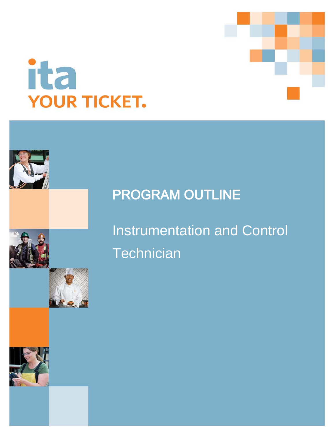



# **PROGRAM OUTLINE**

Instrumentation and Control **Technician** 

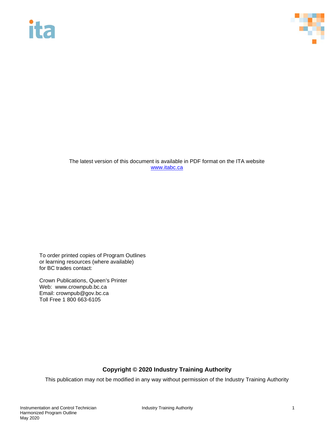# **ita**



The latest version of this document is available in PDF format on the ITA website [www.itabc.ca](http://www.itabc.ca/)

To order printed copies of Program Outlines or learning resources (where available) for BC trades contact:

Crown Publications, Queen's Printer Web: www.crownpub.bc.ca Email: crownpub@gov.bc.ca Toll Free 1 800 663-6105

## **Copyright © 2020 Industry Training Authority**

This publication may not be modified in any way without permission of the Industry Training Authority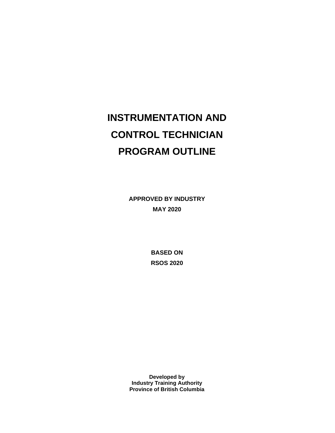# **INSTRUMENTATION AND CONTROL TECHNICIAN PROGRAM OUTLINE**

**APPROVED BY INDUSTRY MAY 2020**

> **BASED ON RSOS 2020**

**Developed by Industry Training Authority Province of British Columbia**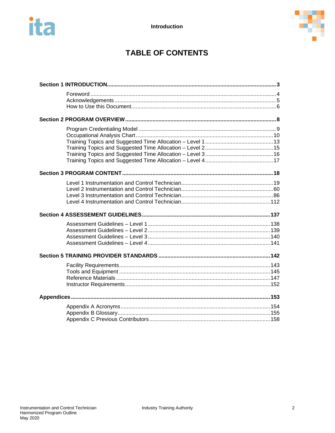



# **TABLE OF CONTENTS**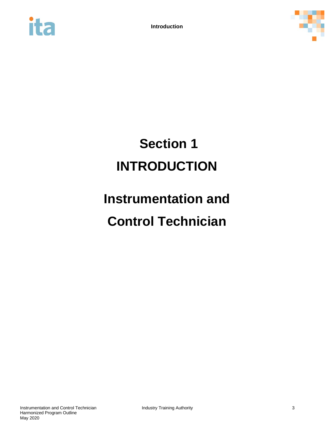



# <span id="page-4-0"></span>**Section 1 INTRODUCTION**

# **Instrumentation and Control Technician**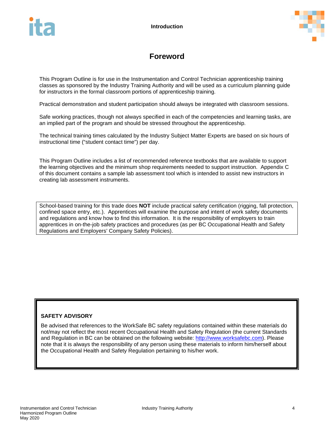

# **Foreword**

<span id="page-5-0"></span>This Program Outline is for use in the Instrumentation and Control Technician apprenticeship training classes as sponsored by the Industry Training Authority and will be used as a curriculum planning guide for instructors in the formal classroom portions of apprenticeship training.

Practical demonstration and student participation should always be integrated with classroom sessions.

Safe working practices, though not always specified in each of the competencies and learning tasks, are an implied part of the program and should be stressed throughout the apprenticeship.

The technical training times calculated by the Industry Subject Matter Experts are based on six hours of instructional time ("student contact time") per day.

This Program Outline includes a list of recommended reference textbooks that are available to support the learning objectives and the minimum shop requirements needed to support instruction. Appendix C of this document contains a sample lab assessment tool which is intended to assist new instructors in creating lab assessment instruments.

School-based training for this trade does **NOT** include practical safety certification (rigging, fall protection, confined space entry, etc.). Apprentices will examine the purpose and intent of work safety documents and regulations and know how to find this information. It is the responsibility of employers to train apprentices in on-the-job safety practices and procedures (as per BC Occupational Health and Safety Regulations and Employers' Company Safety Policies).

### **SAFETY ADVISORY**

Be advised that references to the WorkSafe BC safety regulations contained within these materials do not/may not reflect the most recent Occupational Health and Safety Regulation (the current Standards and Regulation in BC can be obtained on the following website: [http://www.worksafebc.com\)](http://www.worksafebc.com/). Please note that it is always the responsibility of any person using these materials to inform him/herself about the Occupational Health and Safety Regulation pertaining to his/her work.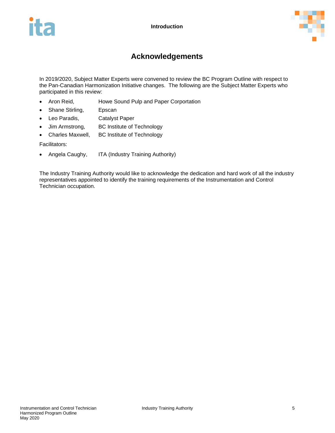

# **Acknowledgements**

<span id="page-6-0"></span>In 2019/2020, Subject Matter Experts were convened to review the BC Program Outline with respect to the Pan-Canadian Harmonization Initiative changes. The following are the Subject Matter Experts who participated in this review:

- Aron Reid, **Howe Sound Pulp and Paper Corportation**
- Shane Stirling, Epscan
- Leo Paradis, Catalyst Paper
- Jim Armstrong, BC Institute of Technology
- Charles Maxwell, BC Institute of Technology

Facilitators:

• Angela Caughy, ITA (Industry Training Authority)

The Industry Training Authority would like to acknowledge the dedication and hard work of all the industry representatives appointed to identify the training requirements of the Instrumentation and Control Technician occupation.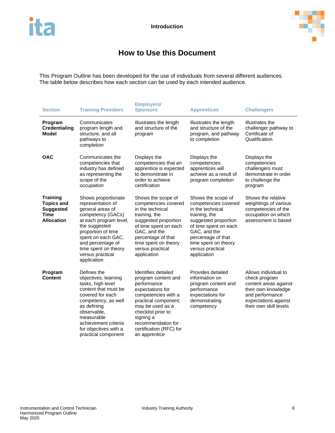

# **How to Use this Document**

<span id="page-7-0"></span>This Program Outline has been developed for the use of individuals from several different audiences. The table below describes how each section can be used by each intended audience.

| <b>Section</b>                                                                               | <b>Training Providers</b>                                                                                                                                                                                                                                | <b>Employers/</b><br><b>Sponsors</b>                                                                                                                                                                                                                  | <b>Apprentices</b>                                                                                                                                                                                                                | <b>Challengers</b>                                                                                                                                         |
|----------------------------------------------------------------------------------------------|----------------------------------------------------------------------------------------------------------------------------------------------------------------------------------------------------------------------------------------------------------|-------------------------------------------------------------------------------------------------------------------------------------------------------------------------------------------------------------------------------------------------------|-----------------------------------------------------------------------------------------------------------------------------------------------------------------------------------------------------------------------------------|------------------------------------------------------------------------------------------------------------------------------------------------------------|
| Program<br><b>Credentialing</b><br><b>Model</b>                                              | Communicates<br>program length and<br>structure, and all<br>pathways to<br>completion                                                                                                                                                                    | Illustrates the length<br>and structure of the<br>program                                                                                                                                                                                             | Illustrates the length<br>and structure of the<br>program, and pathway<br>to completion                                                                                                                                           | Illustrates the<br>challenger pathway to<br>Certificate of<br>Qualification                                                                                |
| <b>OAC</b>                                                                                   | Communicates the<br>competencies that<br>industry has defined<br>as representing the<br>scope of the<br>occupation                                                                                                                                       | Displays the<br>competencies that an<br>apprentice is expected<br>to demonstrate in<br>order to achieve<br>certification                                                                                                                              | Displays the<br>competencies<br>apprentices will<br>achieve as a result of<br>program completion                                                                                                                                  | Displays the<br>competencies<br>challengers must<br>demonstrate in order<br>to challenge the<br>program                                                    |
| <b>Training</b><br><b>Topics and</b><br><b>Suggested</b><br><b>Time</b><br><b>Allocation</b> | Shows proportionate<br>representation of<br>general areas of<br>competency (GACs)<br>at each program level,<br>the suggested<br>proportion of time<br>spent on each GAC,<br>and percentage of<br>time spent on theory<br>versus practical<br>application | Shows the scope of<br>competencies covered<br>in the technical<br>training, the<br>suggested proportion<br>of time spent on each<br>GAC, and the<br>percentage of that<br>time spent on theory<br>versus practical<br>application                     | Shows the scope of<br>competencies covered<br>in the technical<br>training, the<br>suggested proportion<br>of time spent on each<br>GAC, and the<br>percentage of that<br>time spent on theory<br>versus practical<br>application | Shows the relative<br>weightings of various<br>competencies of the<br>occupation on which<br>assessment is based                                           |
| Program<br><b>Content</b>                                                                    | Defines the<br>objectives, learning<br>tasks, high level<br>content that must be<br>covered for each<br>competency, as well<br>as defining<br>observable,<br>measurable<br>achievement criteria<br>for objectives with a<br>practical component          | Identifies detailed<br>program content and<br>performance<br>expectations for<br>competencies with a<br>practical component;<br>may be used as a<br>checklist prior to<br>signing a<br>recommendation for<br>certification (RFC) for<br>an apprentice | Provides detailed<br>information on<br>program content and<br>performance<br>expectations for<br>demonstrating<br>competency                                                                                                      | Allows individual to<br>check program<br>content areas against<br>their own knowledge<br>and performance<br>expectations against<br>their own skill levels |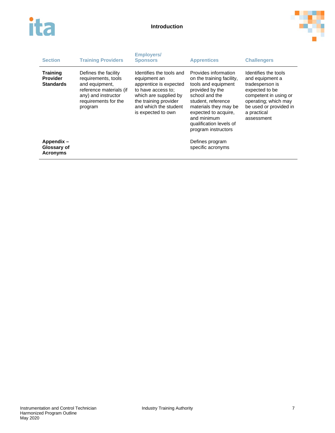



| <b>Section</b>                                         | <b>Training Providers</b>                                                                                                                          | <b>Employers/</b><br><b>Sponsors</b>                                                                                                                                                      | <b>Apprentices</b>                                                                                                                                                                                                                                    | <b>Challengers</b>                                                                                                                                                                   |
|--------------------------------------------------------|----------------------------------------------------------------------------------------------------------------------------------------------------|-------------------------------------------------------------------------------------------------------------------------------------------------------------------------------------------|-------------------------------------------------------------------------------------------------------------------------------------------------------------------------------------------------------------------------------------------------------|--------------------------------------------------------------------------------------------------------------------------------------------------------------------------------------|
| <b>Training</b><br><b>Provider</b><br><b>Standards</b> | Defines the facility<br>requirements, tools<br>and equipment,<br>reference materials (if<br>any) and instructor<br>requirements for the<br>program | Identifies the tools and<br>equipment an<br>apprentice is expected<br>to have access to:<br>which are supplied by<br>the training provider<br>and which the student<br>is expected to own | Provides information<br>on the training facility,<br>tools and equipment<br>provided by the<br>school and the<br>student. reference<br>materials they may be<br>expected to acquire.<br>and minimum<br>qualification levels of<br>program instructors | Identifies the tools<br>and equipment a<br>tradesperson is<br>expected to be<br>competent in using or<br>operating; which may<br>be used or provided in<br>a practical<br>assessment |
| Appendix-<br>Glossary of<br><b>Acronyms</b>            |                                                                                                                                                    |                                                                                                                                                                                           | Defines program<br>specific acronyms                                                                                                                                                                                                                  |                                                                                                                                                                                      |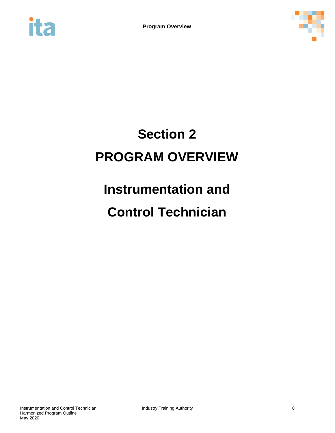<span id="page-9-0"></span>



# **Section 2 PROGRAM OVERVIEW**

# **Instrumentation and**

# **Control Technician**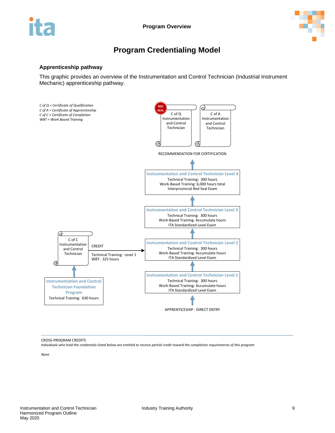

# **Program Credentialing Model**

#### <span id="page-10-0"></span>**Apprenticeship pathway**

This graphic provides an overview of the Instrumentation and Control Technician (Industrial Instrument Mechanic) apprenticeship pathway.



CROSS-PROGRAM CREDITS

*Individuals who hold the credentials listed below are entitled to receive partial credit toward the completion requirements of this program*

*None*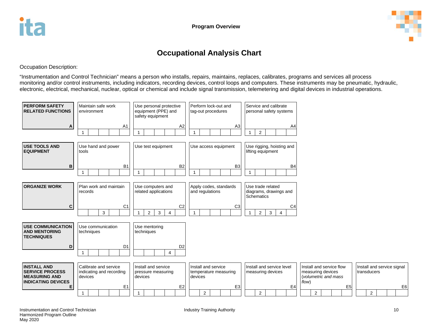

# **Occupational Analysis Chart**

Occupation Description:

"Instrumentation and Control Technician" means a person who installs, repairs, maintains, replaces, calibrates, programs and services all process monitoring and/or control instruments, including indicators, recording devices, control loops and computers. These instruments may be pneumatic, hydraulic, electronic, electrical, mechanical, nuclear, optical or chemical and include signal transmission, telemetering and digital devices in industrial operations.

<span id="page-11-0"></span>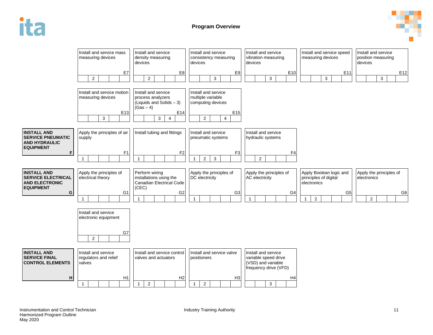



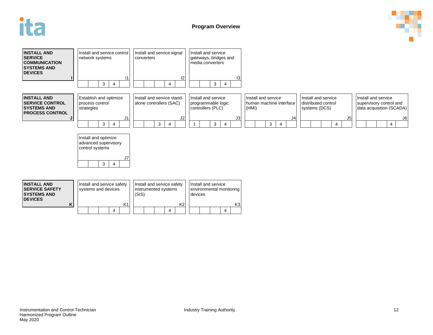



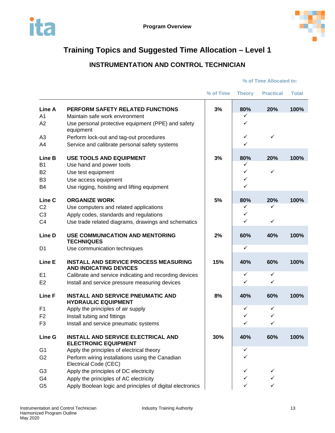<span id="page-14-0"></span>



# **INSTRUMENTATION AND CONTROL TECHNICIAN**

|                   |                                                                               | % of Time | <b>Theory</b> | <b>Practical</b> | <b>Total</b> |
|-------------------|-------------------------------------------------------------------------------|-----------|---------------|------------------|--------------|
| Line A            | PERFORM SAFETY RELATED FUNCTIONS                                              | 3%        | 80%           | 20%              | 100%         |
| A1                | Maintain safe work environment                                                |           | ✓             |                  |              |
| A <sub>2</sub>    | Use personal protective equipment (PPE) and safety<br>equipment               |           | ✓             |                  |              |
| A <sub>3</sub>    | Perform lock-out and tag-out procedures                                       |           | $\checkmark$  | $\checkmark$     |              |
| A4                | Service and calibrate personal safety systems                                 |           | ✓             |                  |              |
| Line B            | <b>USE TOOLS AND EQUIPMENT</b>                                                | 3%        | 80%           | 20%              | 100%         |
| <b>B1</b>         | Use hand and power tools                                                      |           | ✓             |                  |              |
| <b>B2</b>         | Use test equipment                                                            |           | ✓             | ✓                |              |
| B <sub>3</sub>    | Use access equipment                                                          |           | ✓             |                  |              |
| B4                | Use rigging, hoisting and lifting equipment                                   |           | ✓             |                  |              |
| Line <sub>C</sub> | <b>ORGANIZE WORK</b>                                                          | 5%        | 80%           | 20%              | 100%         |
| C <sub>2</sub>    | Use computers and related applications                                        |           | $\checkmark$  | ✓                |              |
| C <sub>3</sub>    | Apply codes, standards and regulations                                        |           | ✓             |                  |              |
| C <sub>4</sub>    | Use trade related diagrams, drawings and schematics                           |           | ✓             | $\checkmark$     |              |
| Line D            | <b>USE COMMUNICATION AND MENTORING</b><br><b>TECHNIQUES</b>                   | 2%        | 60%           | 40%              | 100%         |
| D1                | Use communication techniques                                                  |           | $\checkmark$  |                  |              |
| Line E            | <b>INSTALL AND SERVICE PROCESS MEASURING</b><br><b>AND INDICATING DEVICES</b> | 15%       | 40%           | 60%              | 100%         |
| E1                | Calibrate and service indicating and recording devices                        |           | ✓             | ✓                |              |
| E <sub>2</sub>    | Install and service pressure measuring devices                                |           | ✓             | ✓                |              |
| Line F            | <b>INSTALL AND SERVICE PNEUMATIC AND</b><br><b>HYDRAULIC EQUIPMENT</b>        | 8%        | 40%           | 60%              | 100%         |
| F1                | Apply the principles of air supply                                            |           | ✓             | ✓                |              |
| F <sub>2</sub>    | Install tubing and fittings                                                   |           | ✓             | ✓                |              |
| F <sub>3</sub>    | Install and service pneumatic systems                                         |           | ✓             | ✓                |              |
| Line G            | <b>INSTALL AND SERVICE ELECTRICAL AND</b><br><b>ELECTRONIC EQUIPMENT</b>      | 30%       | 40%           | 60%              | 100%         |
| G <sub>1</sub>    | Apply the principles of electrical theory                                     |           | ✓             |                  |              |
| G <sub>2</sub>    | Perform wiring installations using the Canadian<br>Electrical Code (CEC)      |           | ✓             |                  |              |
| G <sub>3</sub>    | Apply the principles of DC electricity                                        |           | ✓             | ✓                |              |
| G4                | Apply the principles of AC electricity                                        |           | ✓             | ✓                |              |
| G <sub>5</sub>    | Apply Boolean logic and principles of digital electronics                     |           | ✓             | ✓                |              |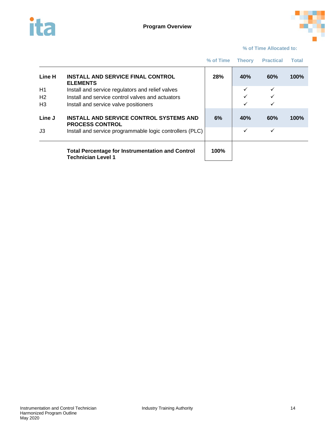



|                                        |                                                                                                                                               | % of Time | <b>Theory</b> | <b>Practical</b> | Total |
|----------------------------------------|-----------------------------------------------------------------------------------------------------------------------------------------------|-----------|---------------|------------------|-------|
| Line H                                 | <b>INSTALL AND SERVICE FINAL CONTROL</b><br><b>ELEMENTS</b>                                                                                   | 28%       | <b>40%</b>    | 60%              | 100%  |
| H1<br>H <sub>2</sub><br>H <sub>3</sub> | Install and service regulators and relief valves<br>Install and service control valves and actuators<br>Install and service valve positioners |           | ✓             | ✓                |       |
| Line J                                 | INSTALL AND SERVICE CONTROL SYSTEMS AND<br><b>PROCESS CONTROL</b>                                                                             | 6%        | <b>40%</b>    | 60%              | 100%  |
| J3                                     | Install and service programmable logic controllers (PLC)                                                                                      |           | ✓             | ✓                |       |
|                                        | <b>Total Percentage for Instrumentation and Control</b><br><b>Technician Level 1</b>                                                          | 100%      |               |                  |       |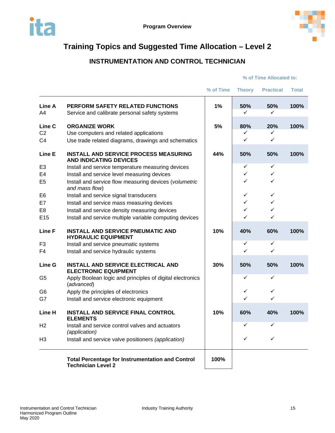

# **INSTRUMENTATION AND CONTROL TECHNICIAN**

<span id="page-16-0"></span>

|                 |                                                                                          | % of Time | <b>Theory</b> | <b>Practical</b> | <b>Total</b> |
|-----------------|------------------------------------------------------------------------------------------|-----------|---------------|------------------|--------------|
| Line A<br>A4    | <b>PERFORM SAFETY RELATED FUNCTIONS</b><br>Service and calibrate personal safety systems | 1%        | 50%<br>✓      | 50%<br>✓         | 100%         |
| Line C          | <b>ORGANIZE WORK</b>                                                                     | 5%        | 80%           | 20%              | 100%         |
| C <sub>2</sub>  | Use computers and related applications                                                   |           | $\checkmark$  | ✓                |              |
| C <sub>4</sub>  | Use trade related diagrams, drawings and schematics                                      |           | $\checkmark$  | $\checkmark$     |              |
| Line E          | <b>INSTALL AND SERVICE PROCESS MEASURING</b><br><b>AND INDICATING DEVICES</b>            | 44%       | 50%           | 50%              | 100%         |
| E <sub>3</sub>  | Install and service temperature measuring devices                                        |           | ✓             | ✓                |              |
| E <sub>4</sub>  | Install and service level measuring devices                                              |           | ✓             | ✓                |              |
| E <sub>5</sub>  | Install and service flow measuring devices (volumetric<br>and mass flow)                 |           | ✓             | ✓                |              |
| E <sub>6</sub>  | Install and service signal transducers                                                   |           | ✓             | ✓                |              |
| E7              | Install and service mass measuring devices                                               |           | ✓             | ✓                |              |
| E <sub>8</sub>  | Install and service density measuring devices                                            |           | ✓             | ✓                |              |
| E <sub>15</sub> | Install and service multiple variable computing devices                                  |           | ✓             | ✓                |              |
| Line F          | <b>INSTALL AND SERVICE PNEUMATIC AND</b><br><b>HYDRAULIC EQUIPMENT</b>                   | 10%       | 40%           | 60%              | 100%         |
| F <sub>3</sub>  | Install and service pneumatic systems                                                    |           | $\checkmark$  | ✓                |              |
| F4              | Install and service hydraulic systems                                                    |           | ✓             | ✓                |              |
| Line G          | <b>INSTALL AND SERVICE ELECTRICAL AND</b><br><b>ELECTRONIC EQUIPMENT</b>                 | 30%       | 50%           | 50%              | 100%         |
| G <sub>5</sub>  | Apply Boolean logic and principles of digital electronics<br>(advanced)                  |           | ✓             | ✓                |              |
| G <sub>6</sub>  | Apply the principles of electronics                                                      |           | ✓             | ✓                |              |
| G7              | Install and service electronic equipment                                                 |           | ✓             | ✓                |              |
| Line H          | <b>INSTALL AND SERVICE FINAL CONTROL</b><br><b>ELEMENTS</b>                              | 10%       | 60%           | 40%              | 100%         |
| H2              | Install and service control valves and actuators<br>(application)                        |           | ✓             | ✓                |              |
| H <sub>3</sub>  | Install and service valve positioners (application)                                      |           | ✓             | ✓                |              |
|                 | <b>Total Percentage for Instrumentation and Control</b><br><b>Technician Level 2</b>     | 100%      |               |                  |              |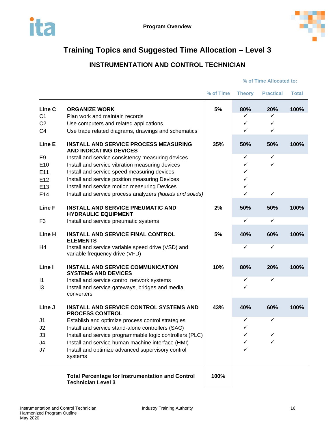<span id="page-17-0"></span>



# **INSTRUMENTATION AND CONTROL TECHNICIAN**

|                |                                                                                      | % of Time | <b>Theory</b> | <b>Practical</b> | <b>Total</b> |
|----------------|--------------------------------------------------------------------------------------|-----------|---------------|------------------|--------------|
| Line C         | <b>ORGANIZE WORK</b>                                                                 | 5%        | 80%           | 20%              | 100%         |
| C <sub>1</sub> | Plan work and maintain records                                                       |           | ✓             | ✓                |              |
| C <sub>2</sub> | Use computers and related applications                                               |           | $\checkmark$  | ✓                |              |
| C <sub>4</sub> | Use trade related diagrams, drawings and schematics                                  |           | $\checkmark$  | $\checkmark$     |              |
| Line E         | <b>INSTALL AND SERVICE PROCESS MEASURING</b><br><b>AND INDICATING DEVICES</b>        | 35%       | 50%           | 50%              | 100%         |
| E <sub>9</sub> | Install and service consistency measuring devices                                    |           | ✓             | ✓                |              |
| E10            | Install and service vibration measuring devices                                      |           | ✓             | ✓                |              |
| E11            | Install and service speed measuring devices                                          |           | ✓             |                  |              |
| E12            | Install and service position measuring Devices                                       |           | $\checkmark$  |                  |              |
| E13            | Install and service motion measuring Devices                                         |           | $\checkmark$  |                  |              |
| E14            | Install and service process analyzers (liquids and solids)                           |           | ✓             | $\checkmark$     |              |
| Line F         | <b>INSTALL AND SERVICE PNEUMATIC AND</b><br><b>HYDRAULIC EQUIPMENT</b>               | 2%        | 50%           | 50%              | 100%         |
| F <sub>3</sub> | Install and service pneumatic systems                                                |           | $\checkmark$  | ✓                |              |
| Line H         | <b>INSTALL AND SERVICE FINAL CONTROL</b><br><b>ELEMENTS</b>                          | 5%        | 40%           | 60%              | 100%         |
| H4             | Install and service variable speed drive (VSD) and<br>variable frequency drive (VFD) |           | ✓             | ✓                |              |
| Line I         | <b>INSTALL AND SERVICE COMMUNICATION</b><br><b>SYSTEMS AND DEVICES</b>               | 10%       | 80%           | 20%              | 100%         |
| $\mathsf{I}$   | Install and service control network systems                                          |           | ✓             | ✓                |              |
| 13             | Install and service gateways, bridges and media<br>converters                        |           | ✓             |                  |              |
| Line J         | <b>INSTALL AND SERVICE CONTROL SYSTEMS AND</b><br><b>PROCESS CONTROL</b>             | 43%       | 40%           | 60%              | 100%         |
| J <sub>1</sub> | Establish and optimize process control strategies                                    |           | $\checkmark$  | ✓                |              |
| J2             | Install and service stand-alone controllers (SAC)                                    |           | $\checkmark$  |                  |              |
| J3             | Install and service programmable logic controllers (PLC)                             |           | ✓             | ✓                |              |
| J4             | Install and service human machine interface (HMI)                                    |           | ✓             | ✓                |              |
| J7             | Install and optimize advanced supervisory control<br>systems                         |           |               |                  |              |
|                | <b>Total Percentage for Instrumentation and Control</b><br><b>Technician Level 3</b> | 100%      |               |                  |              |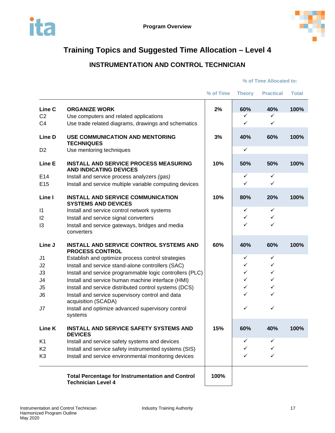<span id="page-18-0"></span>



# **INSTRUMENTATION AND CONTROL TECHNICIAN**

|                                            |                                                                                                                       | % of Time | <b>Theory</b>     | <b>Practical</b>  | <b>Total</b> |
|--------------------------------------------|-----------------------------------------------------------------------------------------------------------------------|-----------|-------------------|-------------------|--------------|
| Line C<br>C <sub>2</sub><br>C <sub>4</sub> | <b>ORGANIZE WORK</b><br>Use computers and related applications<br>Use trade related diagrams, drawings and schematics | 2%        | 60%<br>✓<br>✓     | 40%<br>✓<br>✓     | 100%         |
| Line D                                     | <b>USE COMMUNICATION AND MENTORING</b><br><b>TECHNIQUES</b>                                                           | 3%        | 40%               | 60%               | 100%         |
| D <sub>2</sub>                             | Use mentoring techniques                                                                                              |           | $\checkmark$      |                   |              |
| Line E                                     | <b>INSTALL AND SERVICE PROCESS MEASURING</b><br><b>AND INDICATING DEVICES</b>                                         | 10%       | 50%               | 50%               | 100%         |
| E <sub>14</sub><br>E <sub>15</sub>         | Install and service process analyzers (gas)<br>Install and service multiple variable computing devices                |           | $\checkmark$<br>✓ | $\checkmark$<br>✓ |              |
| Line I                                     | <b>INSTALL AND SERVICE COMMUNICATION</b><br><b>SYSTEMS AND DEVICES</b>                                                | 10%       | 80%               | 20%               | 100%         |
| $\vert$ 1                                  | Install and service control network systems                                                                           |           | ✓                 | ✓                 |              |
| 12                                         | Install and service signal converters                                                                                 |           | ✓                 | ✓                 |              |
| 13                                         | Install and service gateways, bridges and media<br>converters                                                         |           | ✓                 | ✓                 |              |
| Line J                                     | <b>INSTALL AND SERVICE CONTROL SYSTEMS AND</b><br><b>PROCESS CONTROL</b>                                              | 60%       | 40%               | 60%               | 100%         |
| J <sub>1</sub>                             | Establish and optimize process control strategies                                                                     |           | ✓                 | ✓                 |              |
| J <sub>2</sub>                             | Install and service stand-alone controllers (SAC)                                                                     |           | ✓                 | ✓                 |              |
| J3                                         | Install and service programmable logic controllers (PLC)                                                              |           | ✓                 | $\checkmark$      |              |
| J4                                         | Install and service human machine interface (HMI)                                                                     |           | ✓                 | ✓                 |              |
| J <sub>5</sub>                             | Install and service distributed control systems (DCS)                                                                 |           | ✓                 | ✓                 |              |
| J <sub>6</sub>                             | Install and service supervisory control and data<br>acquisition (SCADA)                                               |           | ✓                 | ✓                 |              |
| J7                                         | Install and optimize advanced supervisory control<br>systems                                                          |           | ✓                 | $\checkmark$      |              |
| Line K                                     | <b>INSTALL AND SERVICE SAFETY SYSTEMS AND</b><br><b>DEVICES</b>                                                       | 15%       | 60%               | 40%               | 100%         |
| K <sub>1</sub>                             | Install and service safety systems and devices                                                                        |           | ✓                 |                   |              |
| K <sub>2</sub>                             | Install and service safety instrumented systems (SIS)                                                                 |           | ✓                 |                   |              |
| K <sub>3</sub>                             | Install and service environmental monitoring devices                                                                  |           | ✓                 | ✓                 |              |
|                                            | <b>Total Percentage for Instrumentation and Control</b><br><b>Technician Level 4</b>                                  | 100%      |                   |                   |              |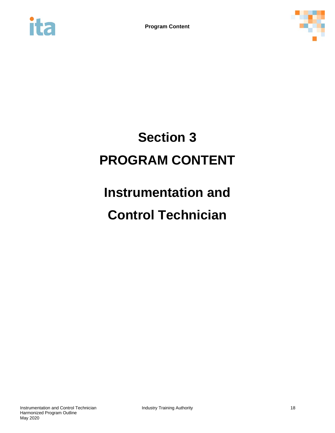<span id="page-19-0"></span>



# **Section 3 PROGRAM CONTENT**

# **Instrumentation and**

# **Control Technician**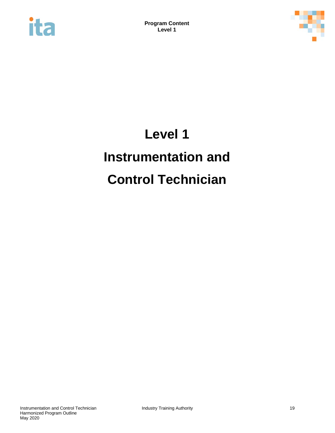<span id="page-20-0"></span>



# **Level 1 Instrumentation and Control Technician**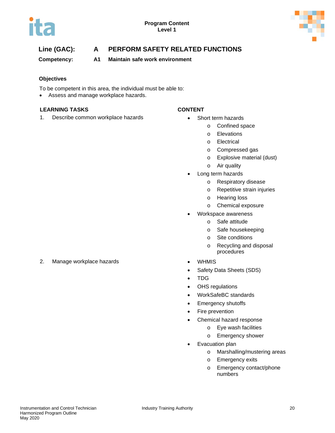



## **Line (GAC): A PERFORM SAFETY RELATED FUNCTIONS**

**Competency: A1 Maintain safe work environment**

### **Objectives**

To be competent in this area, the individual must be able to:

• Assess and manage workplace hazards.

#### **LEARNING TASKS CONTENT**

1. Describe common workplace hazards **•** Short term hazards

- - o Confined space
	- o Elevations
	- o Electrical
	- o Compressed gas
	- o Explosive material (dust)
	- o Air quality
- Long term hazards
	- o Respiratory disease
	- o Repetitive strain injuries
	- o Hearing loss
	- o Chemical exposure
	- Workspace awareness
		- o Safe attitude
		- o Safe housekeeping
		- o Site conditions
		- o Recycling and disposal procedures
- 
- Safety Data Sheets (SDS)
- TDG
- OHS regulations
- WorkSafeBC standards
- Emergency shutoffs
- Fire prevention
- Chemical hazard response
	- o Eye wash facilities
	- o Emergency shower
- Evacuation plan
	- o Marshalling/mustering areas
	- o Emergency exits
	- o Emergency contact/phone numbers

2. Manage workplace hazards **•** WHMIS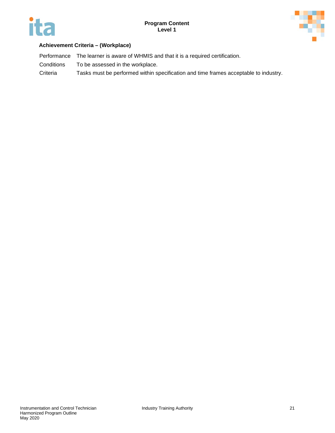



### **Achievement Criteria – (Workplace)**

Performance The learner is aware of WHMIS and that it is a required certification. Conditions To be assessed in the workplace. Criteria Tasks must be performed within specification and time frames acceptable to industry.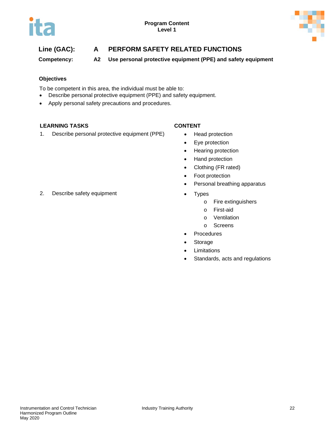

# **Line (GAC): A PERFORM SAFETY RELATED FUNCTIONS**

**Competency: A2 Use personal protective equipment (PPE) and safety equipment**

### **Objectives**

To be competent in this area, the individual must be able to:

- Describe personal protective equipment (PPE) and safety equipment.
- Apply personal safety precautions and procedures.

### **LEARNING TASKS CONTENT**

1. Describe personal protective equipment (PPE) • Head protection

- 
- Eye protection
- Hearing protection
- Hand protection
- Clothing (FR rated)
- Foot protection
- Personal breathing apparatus
- - o Fire extinguishers
	- o First-aid
	- o Ventilation
	- o Screens
- Procedures
- **Storage**
- Limitations
- Standards, acts and regulations

2. Describe safety equipment **•** Types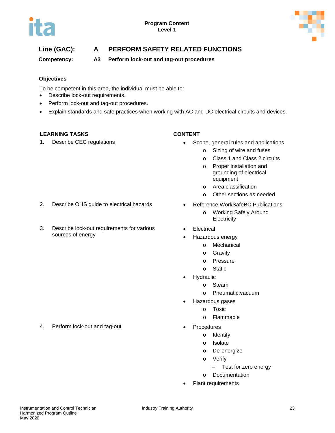

# **Line (GAC): A PERFORM SAFETY RELATED FUNCTIONS**

### **Competency: A3 Perform lock-out and tag-out procedures**

### **Objectives**

To be competent in this area, the individual must be able to:

- Describe lock-out requirements.
- Perform lock-out and tag-out procedures.

3. Describe lock-out requirements for various

• Explain standards and safe practices when working with AC and DC electrical circuits and devices.

#### **LEARNING TASKS CONTENT**

sources of energy

- 1. Describe CEC regulations Scope, general rules and applications
	- o Sizing of wire and fuses
	- o Class 1 and Class 2 circuits
	- o Proper installation and grounding of electrical equipment
	- o Area classification
	- o Other sections as needed
- 2. Describe OHS guide to electrical hazards Reference WorkSafeBC Publications
	- o Working Safely Around **Electricity**
	- Electrical
		- Hazardous energy
			- o Mechanical
			- o Gravity
			- o Pressure
			- o Static
	- **Hydraulic** 
		- o Steam
		- o Pneumatic.vacuum
	- Hazardous gases
		- o Toxic
		- o Flammable
	- - o Identify
		- o Isolate
		- o De-energize
		- o Verify
			- − Test for zero energy
		- o Documentation
	- Plant requirements

4. Perform lock-out and tag-out **•** Procedures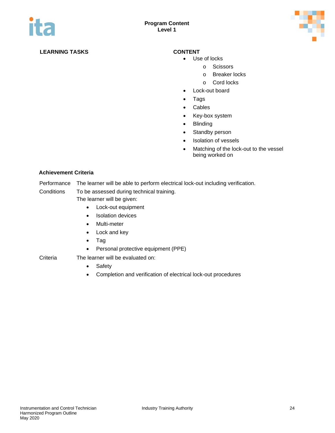

### **LEARNING TASKS CONTENT**

- Use of locks
	- o Scissors
		- o Breaker locks
		- o Cord locks
- Lock-out board
- Tags
- Cables
- Key-box system
- Blinding
- Standby person
- Isolation of vessels
- Matching of the lock-out to the vessel being worked on

#### **Achievement Criteria**

Performance The learner will be able to perform electrical lock-out including verification.

Conditions To be assessed during technical training.

The learner will be given:

- Lock-out equipment
- Isolation devices
- Multi-meter
- Lock and key
- Tag
- Personal protective equipment (PPE)

### Criteria The learner will be evaluated on:

- Safety
- Completion and verification of electrical lock-out procedures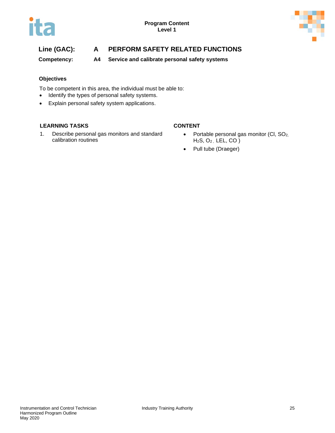

# **Line (GAC): A PERFORM SAFETY RELATED FUNCTIONS**

**Competency: A4 Service and calibrate personal safety systems**

#### **Objectives**

To be competent in this area, the individual must be able to:

- Identify the types of personal safety systems.
- Explain personal safety system applications.

#### **LEARNING TASKS CONTENT**

1. Describe personal gas monitors and standard calibration routines

- Portable personal gas monitor (Cl, SO<sub>2,</sub> H2S, O2 , LEL, CO )
- Pull tube (Draeger)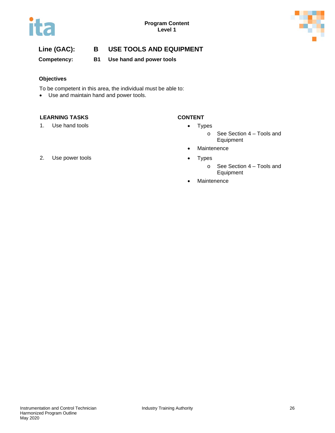



**Competency: B1 Use hand and power tools**

### **Objectives**

To be competent in this area, the individual must be able to:

• Use and maintain hand and power tools.

### **LEARNING TASKS CONTENT**

1. Use hand tools **•** Types

- - o See Section 4 Tools and Equipment
- Maintenence
- - o See Section 4 Tools and Equipment
- Maintenence
- 2. Use power tools **•** Types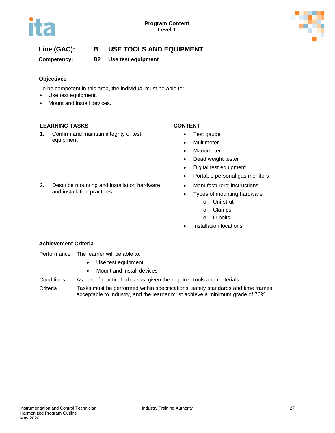



**Competency: B2 Use test equipment**

#### **Objectives**

To be competent in this area, the individual must be able to:

- Use test equipment.
- Mount and install devices.

### **LEARNING TASKS CONTENT**

1. Confirm and maintain integrity of test equipment

2. Describe mounting and installation hardware

and installation practices

- Test gauge
- Multimeter
- Manometer
- Dead weight tester
- Digital test equipment
- Portable personal gas monitors
- Manufacturers' instructions
- Types of mounting hardware
	- o Uni-strut
	- o Clamps
	- o U-bolts
- Installation locations

### **Achievement Criteria**

- Performance The learner will be able to:
	- Use test equipment
	- Mount and install devices
- Conditions As part of practical lab tasks, given the required tools and materials
- Criteria Tasks must be performed within specifications, safety standards and time frames acceptable to industry, and the learner must achieve a minimum grade of 70%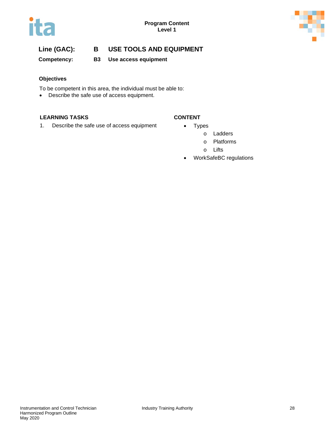



**Competency: B3 Use access equipment**

### **Objectives**

To be competent in this area, the individual must be able to:

• Describe the safe use of access equipment.

#### **LEARNING TASKS CONTENT**

1. Describe the safe use of access equipment • Types

- - o Ladders
	- o Platforms
	- o Lifts
- WorkSafeBC regulations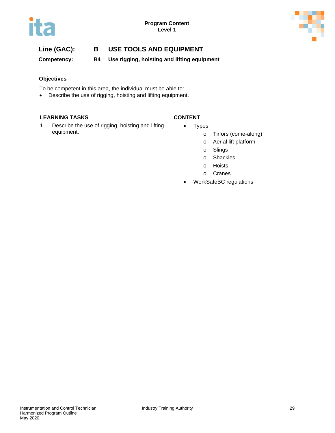

**Competency: B4 Use rigging, hoisting and lifting equipment**

#### **Objectives**

To be competent in this area, the individual must be able to:

• Describe the use of rigging, hoisting and lifting equipment.

#### **LEARNING TASKS CONTENT**

- 1. Describe the use of rigging, hoisting and lifting equipment.
- Types
	- o Tirfors (come-along)
	- o Aerial lift platform
	- o Slings
	- o Shackles
	- o Hoists
	- o Cranes
- WorkSafeBC regulations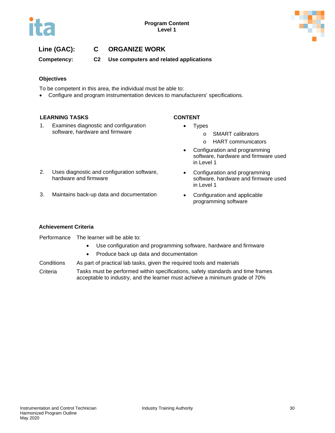

## **Line (GAC): C ORGANIZE WORK**

**Competency: C2 Use computers and related applications**

#### **Objectives**

To be competent in this area, the individual must be able to:

• Configure and program instrumentation devices to manufacturers' specifications.

#### **LEARNING TASKS CONTENT**

1. Examines diagnostic and configuration software, hardware and firmware

- Types
	- o SMART calibrators
	- o HART communicators
- Configuration and programming software, hardware and firmware used in Level 1
- Configuration and programming software, hardware and firmware used in Level 1
- 3. Maintains back-up data and documentation Configuration and applicable

2. Uses diagnostic and configuration software,

hardware and firmware

programming software

#### **Achievement Criteria**

Performance The learner will be able to:

- Use configuration and programming software, hardware and firmware
- Produce back up data and documentation
- Conditions As part of practical lab tasks, given the required tools and materials
- Criteria Tasks must be performed within specifications, safety standards and time frames acceptable to industry, and the learner must achieve a minimum grade of 70%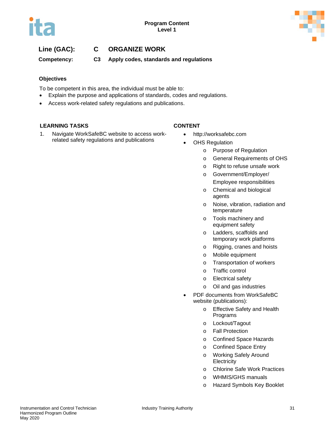

## **Line (GAC): C ORGANIZE WORK**

**Competency: C3 Apply codes, standards and regulations** 

#### **Objectives**

To be competent in this area, the individual must be able to:

- Explain the purpose and applications of standards, codes and regulations.
- Access work-related safety regulations and publications.

#### **LEARNING TASKS CONTENT**

1. Navigate WorkSafeBC website to access workrelated safety regulations and publications

- http://worksafebc.com
- OHS Regulation
	- o Purpose of Regulation
	- o General Requirements of OHS
	- o Right to refuse unsafe work
	- o Government/Employer/
	- Employee responsibilities o Chemical and biological agents
	- o Noise, vibration, radiation and temperature
	- o Tools machinery and equipment safety
	- o Ladders, scaffolds and temporary work platforms
	- o Rigging, cranes and hoists
	- o Mobile equipment
	- o Transportation of workers
	- o Traffic control
	- o Electrical safety
	- o Oil and gas industries
- PDF documents from WorkSafeBC website (publications):
	- o Effective Safety and Health Programs
	- o Lockout/Tagout
	- o Fall Protection
	- o Confined Space Hazards
	- o Confined Space Entry
	- o Working Safely Around **Electricity**
	- o Chlorine Safe Work Practices
	- o WHMIS/GHS manuals
	- o Hazard Symbols Key Booklet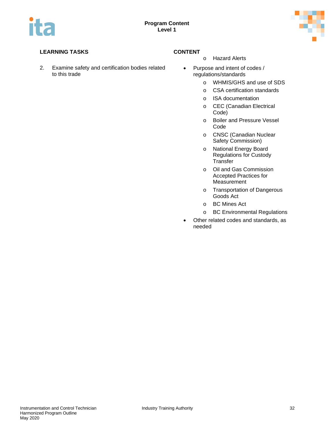

## **LEARNING TASKS CONTENT**

2. Examine safety and certification bodies related to this trade

- o Hazard Alerts
- Purpose and intent of codes / regulations/standards
	- o WHMIS/GHS and use of SDS
	- o CSA certification standards
	- o ISA documentation
	- o CEC (Canadian Electrical Code)
	- o Boiler and Pressure Vessel Code
	- o CNSC (Canadian Nuclear Safety Commission)
	- o National Energy Board Regulations for Custody **Transfer**
	- o Oil and Gas Commission Accepted Practices for Measurement
	- o Transportation of Dangerous Goods Act
	- o BC Mines Act
	- o BC Environmental Regulations
- Other related codes and standards, as needed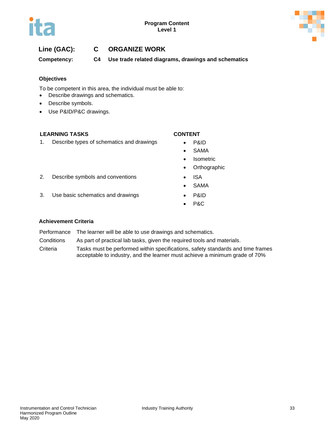

## **Line (GAC): C ORGANIZE WORK**

**Competency: C4 Use trade related diagrams, drawings and schematics**

#### **Objectives**

To be competent in this area, the individual must be able to:

- Describe drawings and schematics.
- Describe symbols.
- Use P&ID/P&C drawings.

#### **LEARNING TASKS CONTENT**

1. Describe types of schematics and drawings • P&ID

- 
- SAMA
- Isometric
- Orthographic
- 2. Describe symbols and conventions ISA
	- SAMA
- 3. Use basic schematics and drawings **•** P&ID
	- P&C

#### **Achievement Criteria**

Performance The learner will be able to use drawings and schematics.

Conditions As part of practical lab tasks, given the required tools and materials.

Criteria Tasks must be performed within specifications, safety standards and time frames acceptable to industry, and the learner must achieve a minimum grade of 70%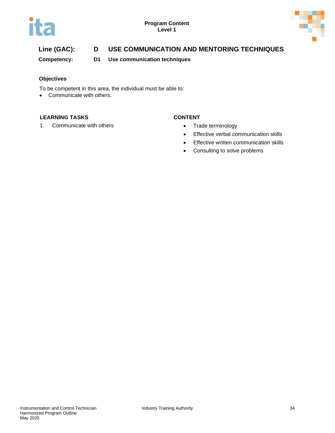



# **Line (GAC): D USE COMMUNICATION AND MENTORING TECHNIQUES**

**Competency: D1 Use communication techniques**

#### **Objectives**

To be competent in this area, the individual must be able to:

• Communicate with others.

#### **LEARNING TASKS CONTENT**

1. Communicate with others **•** Trade terminology

- 
- Effective verbal communication skills
- Effective written communication skills
- Consulting to solve problems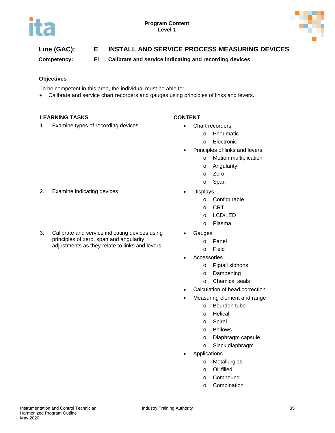



# **Line (GAC): E INSTALL AND SERVICE PROCESS MEASURING DEVICES**

**Competency: E1 Calibrate and service indicating and recording devices**

### **Objectives**

To be competent in this area, the individual must be able to:

• Calibrate and service chart recorders and gauges using principles of links and levers.

#### **LEARNING TASKS CONTENT**

1. Examine types of recording devices • Chart recorders

- - o Pneumatic
	- o Electronic
	- Principles of links and levers
		- o Motion multiplication
		- o Angularity
		- o Zero
		- o Span
- - o Configurable
	- o CRT
	- o LCD/LED
	- o Plasma
- **Gauges** 
	- o Panel
		- o Field
- **Accessories** 
	- o Pigtail siphons
	- o Dampening
	- o Chemical seals
- Calculation of head correction
- Measuring element and range
	- o Bourdon tube
	- o Helical
	- o Spiral
	- o Bellows
	- o Diaphragm capsule
	- o Slack diaphragm
- **Applications** 
	- o Metallurgies
	- o Oil filled
	- o Compound
	- o Combination
- 2. Examine indicating devices **•** Displays
- 3. Calibrate and service indicating devices using principles of zero, span and angularity adjustments as they relate to links and levers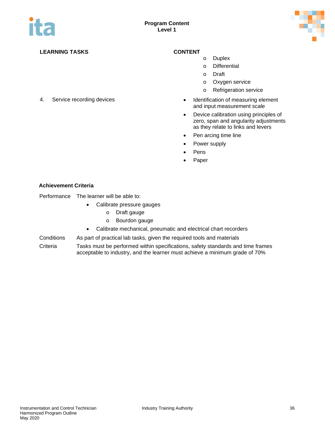

- o Duplex
- o Differential
- o Draft
- o Oxygen service
- o Refrigeration service
- 4. Service recording devices Identification of measuring element and input measurement scale
	- Device calibration using principles of zero, span and angularity adjustments as they relate to links and levers
	- Pen arcing time line
	- Power supply
	- Pens
	- Paper

#### **Achievement Criteria**

Performance The learner will be able to:

- Calibrate pressure gauges
	- o Draft gauge
	- o Bourdon gauge
- Calibrate mechanical, pneumatic and electrical chart recorders
- Conditions As part of practical lab tasks, given the required tools and materials
- Criteria Tasks must be performed within specifications, safety standards and time frames acceptable to industry, and the learner must achieve a minimum grade of 70%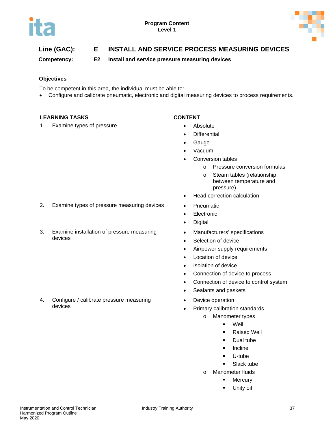

# **Line (GAC): E INSTALL AND SERVICE PROCESS MEASURING DEVICES**

**Competency: E2 Install and service pressure measuring devices**

### **Objectives**

To be competent in this area, the individual must be able to:

• Configure and calibrate pneumatic, electronic and digital measuring devices to process requirements.

#### **LEARNING TASKS CONTENT**

1. Examine types of pressure **•** Absolute

- 
- **Differential**
- Gauge
- Vacuum
- Conversion tables
	- o Pressure conversion formulas
	- o Steam tables (relationship between temperature and pressure)
- Head correction calculation
- 
- Electronic
- Digital
- Manufacturers' specifications
- Selection of device
- Air/power supply requirements
- Location of device
- Isolation of device
- Connection of device to process
- Connection of device to control system
- Sealants and gaskets
- Device operation
- Primary calibration standards
	- o Manometer types
		- Well
		- **Raised Well**
		- **Dual tube**
		- **Incline**
		- U-tube
		- **Slack tube**
	- o Manometer fluids
		- **-** Mercury
		- Unity oil
- 2. Examine types of pressure measuring devices Pneumatic
- 3. Examine installation of pressure measuring devices

4. Configure / calibrate pressure measuring devices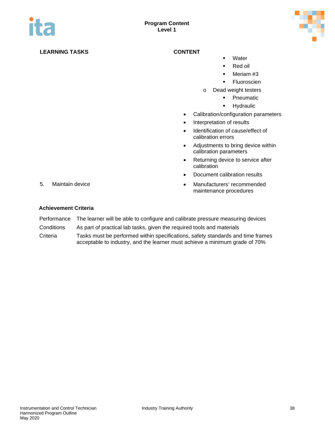

- **•** Water
- Red oil
- **Meriam #3**
- **Fluoroscien**
- o Dead weight testers
	- **•** Pneumatic
	- **-** Hydraulic
- Calibration/configuration parameters
- Interpretation of results
- Identification of cause/effect of calibration errors
- Adjustments to bring device within calibration parameters
- Returning device to service after calibration
- Document calibration results
- 5. Maintain device Manufacturers' recommended maintenance procedures

- Performance The learner will be able to configure and calibrate pressure measuring devices
- Conditions As part of practical lab tasks, given the required tools and materials
- Criteria Tasks must be performed within specifications, safety standards and time frames acceptable to industry, and the learner must achieve a minimum grade of 70%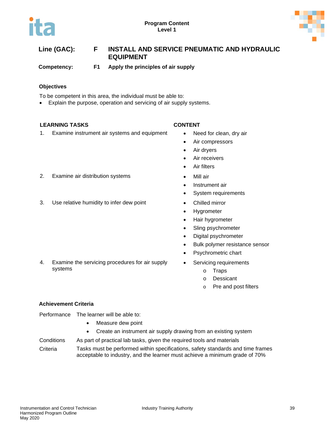



# **Line (GAC): F INSTALL AND SERVICE PNEUMATIC AND HYDRAULIC EQUIPMENT**

**Competency: F1 Apply the principles of air supply**

#### **Objectives**

To be competent in this area, the individual must be able to:

• Explain the purpose, operation and servicing of air supply systems.

#### **LEARNING TASKS CONTENT**

1. Examine instrument air systems and equipment • Need for clean, dry air

- 
- Air compressors
- Air dryers
- Air receivers
- Air filters
- 2. Examine air distribution systems Mill air
	- Instrument air
	- System requirements
	-
	- Hygrometer
	- Hair hygrometer
	- Sling psychrometer
	- Digital psychrometer
	- Bulk polymer resistance sensor
	- Psychrometric chart
	- Servicing requirements
		- o Traps
		- o Dessicant
		- o Pre and post filters

3. Use relative humidity to infer dew point • Chilled mirror

4. Examine the servicing procedures for air supply

### **Achievement Criteria**

systems

Performance The learner will be able to:

- Measure dew point
- Create an instrument air supply drawing from an existing system

Conditions As part of practical lab tasks, given the required tools and materials Criteria Tasks must be performed within specifications, safety standards and time frames

acceptable to industry, and the learner must achieve a minimum grade of 70%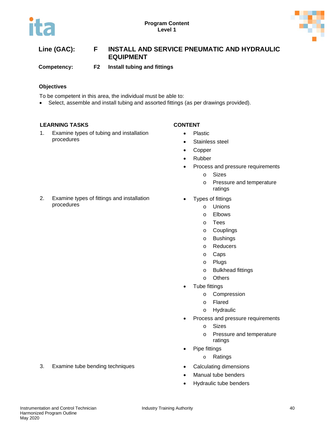

# **Line (GAC): F INSTALL AND SERVICE PNEUMATIC AND HYDRAULIC EQUIPMENT**

**Competency: F2 Install tubing and fittings**

### **Objectives**

To be competent in this area, the individual must be able to:

• Select, assemble and install tubing and assorted fittings (as per drawings provided).

### **LEARNING TASKS CONTENT**

procedures

1. Examine types of tubing and installation procedures

2. Examine types of fittings and installation

- Plastic
- Stainless steel
- Copper
- Rubber
- Process and pressure requirements
	- o Sizes
	- o Pressure and temperature ratings
- Types of fittings
	- o Unions
		- o Elbows
	- o Tees
	- o Couplings
	- o Bushings
	- o Reducers
	- o Caps
	- o Plugs
	- o Bulkhead fittings
	- o Others
	- Tube fittings
		- o Compression
		- o Flared
		- o Hydraulic
- Process and pressure requirements
	- o Sizes
	- o Pressure and temperature ratings
- Pipe fittings
	- o Ratings
- 
- Manual tube benders
- Hydraulic tube benders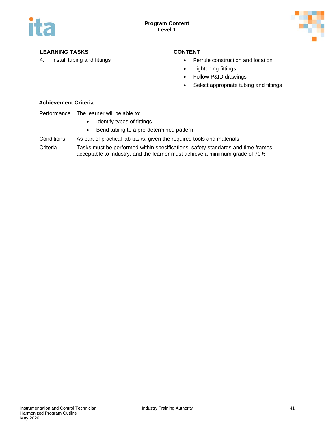

- 4. Install tubing and fittings Ferrule construction and location
	- Tightening fittings
	- Follow P&ID drawings
	- Select appropriate tubing and fittings

### **Achievement Criteria**

#### Performance The learner will be able to:

- Identify types of fittings
- Bend tubing to a pre-determined pattern

Conditions As part of practical lab tasks, given the required tools and materials

Criteria Tasks must be performed within specifications, safety standards and time frames acceptable to industry, and the learner must achieve a minimum grade of 70%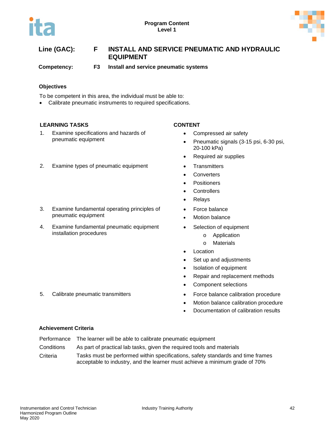

# **Line (GAC): F INSTALL AND SERVICE PNEUMATIC AND HYDRAULIC EQUIPMENT**

**Competency: F3 Install and service pneumatic systems**

### **Objectives**

To be competent in this area, the individual must be able to:

• Calibrate pneumatic instruments to required specifications.

### **LEARNING TASKS CONTENT**

1. Examine specifications and hazards of pneumatic equipment

#### 2. Examine types of pneumatic equipment • Transmitters

- 3. Examine fundamental operating principles of pneumatic equipment
- 4. Examine fundamental pneumatic equipment installation procedures

- Compressed air safety
- Pneumatic signals (3-15 psi, 6-30 psi, 20-100 kPa)
- Required air supplies
- 
- **Converters**
- **Positioners**
- Controllers
- Relays
- Force balance
- **Motion balance**
- Selection of equipment
	- o Application
	- o Materials
- **Location**
- Set up and adjustments
- Isolation of equipment
- Repair and replacement methods
- Component selections
- 5. Calibrate pneumatic transmitters **•** Force balance calibration procedure
	- Motion balance calibration procedure
	- Documentation of calibration results

- Performance The learner will be able to calibrate pneumatic equipment
- Conditions As part of practical lab tasks, given the required tools and materials
- Criteria Tasks must be performed within specifications, safety standards and time frames acceptable to industry, and the learner must achieve a minimum grade of 70%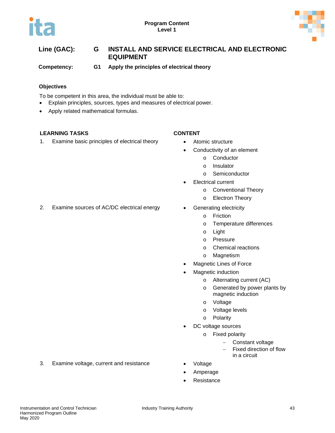

# **Line (GAC): G INSTALL AND SERVICE ELECTRICAL AND ELECTRONIC EQUIPMENT**

**Competency: G1 Apply the principles of electrical theory**

### **Objectives**

To be competent in this area, the individual must be able to:

- Explain principles, sources, types and measures of electrical power.
- Apply related mathematical formulas.

### **LEARNING TASKS CONTENT**

1. Examine basic principles of electrical theory • Atomic structure

- - Conductivity of an element
		- o Conductor
		- o Insulator
		- o Semiconductor
- Electrical current
	- o Conventional Theory
	- o Electron Theory
- - o Friction
	- o Temperature differences
	- o Light
	- o Pressure
	- o Chemical reactions
	- o Magnetism
- Magnetic Lines of Force
- Magnetic induction
	- o Alternating current (AC)
	- o Generated by power plants by magnetic induction
	- o Voltage
	- o Voltage levels
	- o Polarity
- DC voltage sources
	- o Fixed polarity
		- − Constant voltage
		- Fixed direction of flow in a circuit
- 
- Amperage
- **Resistance**
- 3. Examine voltage, current and resistance Voltage
- 2. Examine sources of AC/DC electrical energy Generating electricity
- 
-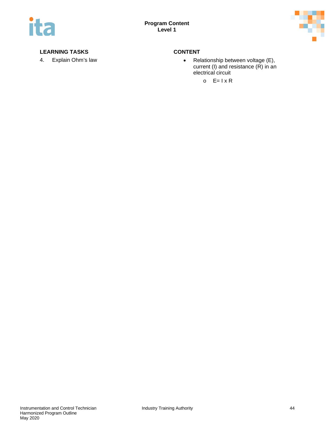

4. Explain Ohm's law • Relationship between voltage (E), current (I) and resistance (R) in an electrical circuit

 $O$   $E=1 \times R$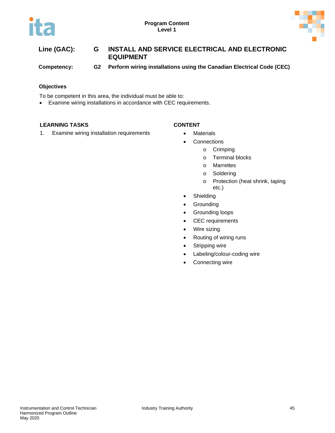



# **Line (GAC): G INSTALL AND SERVICE ELECTRICAL AND ELECTRONIC EQUIPMENT Competency: G2 Perform wiring installations using the Canadian Electrical Code (CEC)**

#### **Objectives**

To be competent in this area, the individual must be able to:

• Examine wiring installations in accordance with CEC requirements.

### **LEARNING TASKS CONTENT**

- 1. Examine wiring installation requirements Materials
	- Connections
		- o Crimping
			- o Terminal blocks
			- o Marrettes
			- o Soldering
			- o Protection (heat shrink, taping etc.)
	- Shielding
	- Grounding
	- Grounding loops
	- CEC requirements
	- Wire sizing
	- Routing of wiring runs
	- Stripping wire
	- Labeling/colour-coding wire
	- Connecting wire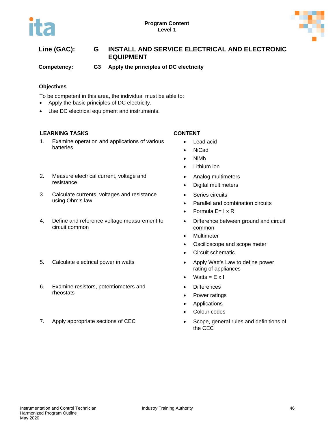

# **Line (GAC): G INSTALL AND SERVICE ELECTRICAL AND ELECTRONIC EQUIPMENT**

**Competency: G3 Apply the principles of DC electricity**

### **Objectives**

To be competent in this area, the individual must be able to:

- Apply the basic principles of DC electricity.
- Use DC electrical equipment and instruments.

### **LEARNING TASKS CONTENT**

1. Examine operation and applications of various batteries

### 2. Measure electrical current, voltage and resistance

- 3. Calculate currents, voltages and resistance using Ohm's law
- 4. Define and reference voltage measurement to circuit common
- 5. Calculate electrical power in watts **•** Apply Watt's Law to define power
- 6. Examine resistors, potentiometers and rheostats
- 

- Lead acid
- NiCad
- NiMh
- Lithium ion
- Analog multimeters
- Digital multimeters
- Series circuits
- Parallel and combination circuits
- Formula  $E=1 \times R$
- Difference between ground and circuit common
- Multimeter
- Oscilloscope and scope meter
- Circuit schematic
- rating of appliances
- Watts =  $E \times I$
- Differences
- Power ratings
- Applications
- Colour codes
- 7. Apply appropriate sections of CEC Scope, general rules and definitions of the CEC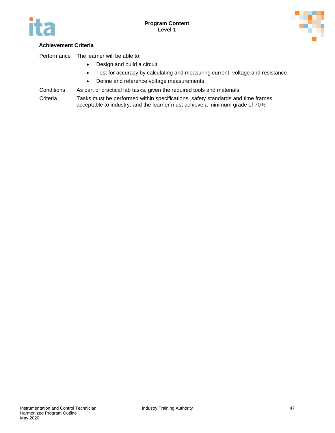



### **Achievement Criteria**

Performance The learner will be able to:

- Design and build a circuit
- Test for accuracy by calculating and measuring current, voltage and resistance
- Define and reference voltage measurements
- Conditions As part of practical lab tasks, given the required tools and materials

Criteria Tasks must be performed within specifications, safety standards and time frames acceptable to industry, and the learner must achieve a minimum grade of 70%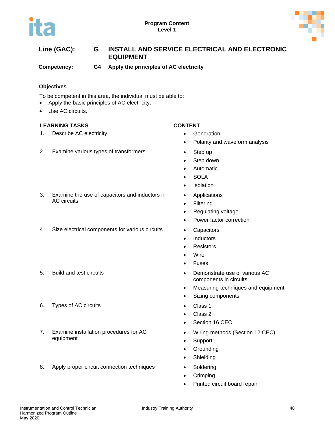

# **Line (GAC): G INSTALL AND SERVICE ELECTRICAL AND ELECTRONIC EQUIPMENT**

**Competency: G4 Apply the principles of AC electricity**

### **Objectives**

To be competent in this area, the individual must be able to:

- Apply the basic principles of AC electricity.
- Use AC circuits.

### **LEARNING TASKS CONTENT**

AC circuits

1. Describe AC electricity **and the Contract of Contract Contract Contract Contract Contract Contract Contract Contract Contract Contract Contract Contract Contract Contract Contract Contract Contract Contract Contract Con** 

### 2. Examine various types of transformers • Step up

- 
- Polarity and waveform analysis
- 
- Step down
- Automatic
- SOLA
- Isolation
- Applications
- Filtering
- Regulating voltage
- Power factor correction
- 
- Inductors
- Resistors
- Wire
- Fuses
- 5. Build and test circuits Demonstrate use of various AC components in circuits
	- Measuring techniques and equipment
	- Sizing components
	-
	- Class 2
	- Section 16 CEC
	- Wiring methods (Section 12 CEC)
	- Support
	- Grounding
	- Shielding
	-
	- Crimping
	- Printed circuit board repair

# 4. Size electrical components for various circuits • Capacitors

3. Examine the use of capacitors and inductors in

- 
- 6. Types of AC circuits Class 1
- 7. Examine installation procedures for AC equipment
- 8. Apply proper circuit connection techniques Soldering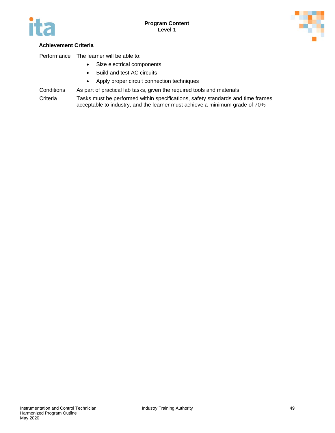



### **Achievement Criteria**

Performance The learner will be able to:

- Size electrical components
- Build and test AC circuits
- Apply proper circuit connection techniques
- Conditions As part of practical lab tasks, given the required tools and materials
- Criteria Tasks must be performed within specifications, safety standards and time frames acceptable to industry, and the learner must achieve a minimum grade of 70%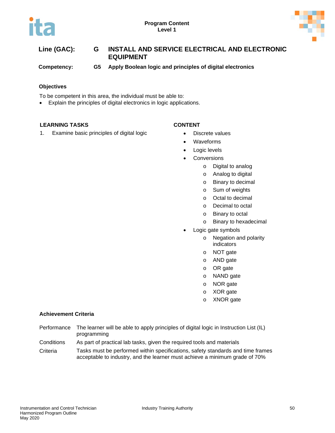



| Line (GAC): | G   | INSTALL AND SERVICE ELECTRICAL AND ELECTRONIC<br><b>EQUIPMENT</b> |
|-------------|-----|-------------------------------------------------------------------|
| Competency: | G5. | Apply Boolean logic and principles of digital electronics         |

#### **Objectives**

To be competent in this area, the individual must be able to:

• Explain the principles of digital electronics in logic applications.

#### **LEARNING TASKS CONTENT**

- 
- 1. Examine basic principles of digital logic **•** Discrete values
	- Waveforms
	- Logic levels
	- Conversions
		- o Digital to analog
		- o Analog to digital
		- o Binary to decimal
		- o Sum of weights
		- o Octal to decimal
		- o Decimal to octal
		- o Binary to octal
		- o Binary to hexadecimal
	- Logic gate symbols
		- o Negation and polarity indicators
		- o NOT gate
		- o AND gate
		- o OR gate
		- o NAND gate
		- o NOR gate
		- o XOR gate
		- o XNOR gate

- Performance The learner will be able to apply principles of digital logic in Instruction List (IL) programming
- Conditions As part of practical lab tasks, given the required tools and materials
- Criteria Tasks must be performed within specifications, safety standards and time frames acceptable to industry, and the learner must achieve a minimum grade of 70%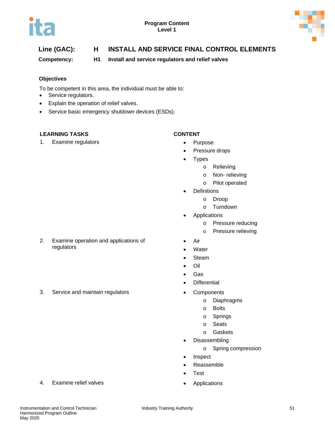



# **Line (GAC): H INSTALL AND SERVICE FINAL CONTROL ELEMENTS**

**Competency: H1 Install and service regulators and relief valves**

#### **Objectives**

To be competent in this area, the individual must be able to:

- Service regulators.
- Explain the operation of relief valves.

2. Examine operation and applications of

• Service basic emergency shutdown devices (ESDs).

#### **LEARNING TASKS CONTENT**

regulators

1. Examine regulators **•** Purpose

- 
- Pressure drops
- Types
	- o Relieving
	- o Non- relieving
	- o Pilot operated
- **Definitions** 
	- o Droop
	- o Turndown
- **Applications** 
	- o Pressure reducing
	- o Pressure relieving
- Air
- **Water**
- Steam
- Oil
- Gas
- **Differential**
- 3. Service and maintain regulators Components
	- o Diaphragms
	- o Bolts
	- o Springs
	- o Seats
	- o Gaskets
	- Disassembling
		- o Spring compression
	- **Inspect**
	- Reassemble
	- Test
	-
- 4. Examine relief valves **Applications •** Applications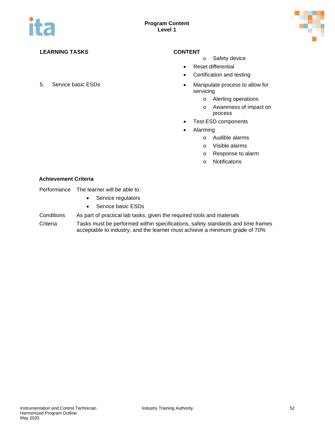

- o Safety device
- Reset differential
- Certification and testing
- 5. Service basic ESDs Manipulate process to allow for servicing
	- o Alerting operations
	- o Awareness of impact on process
	- Test ESD components
	- Alarming
		- o Audible alarms
		- o Visible alarms
		- o Response to alarm
		- o Notificatons

#### **Achievement Criteria**

Performance The learner will be able to:

- Service regulators
- Service basic ESDs

#### Conditions As part of practical lab tasks, given the required tools and materials

Criteria Tasks must be performed within specifications, safety standards and time frames acceptable to industry, and the learner must achieve a minimum grade of 70%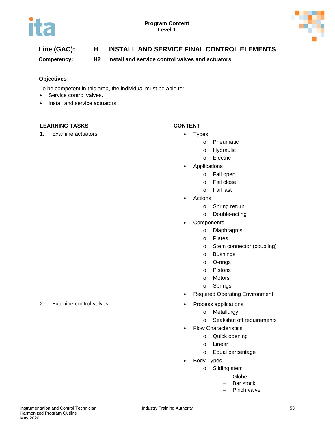



# **Line (GAC): H INSTALL AND SERVICE FINAL CONTROL ELEMENTS**

**Competency: H2 Install and service control valves and actuators**

### **Objectives**

To be competent in this area, the individual must be able to:

- Service control valves.
- Install and service actuators.

### **LEARNING TASKS CONTENT**

1. Examine actuators **•** Types

- - o Pneumatic
		- o Hydraulic
		- o Electric
- **Applications** 
	- o Fail open
	- o Fail close
	- o Fail last
- **Actions** 
	- o Spring return
	- o Double-acting
- **Components** 
	- o Diaphragms
	- o Plates
	- o Stem connector (coupling)
	- o Bushings
	- o O-rings
	- o Pistons
	- o Motors
	- o Springs
- Required Operating Environment
- - o Metallurgy
	- o Seal/shut off requirements
- Flow Characteristics
	- o Quick opening
	- o Linear
	- o Equal percentage
- Body Types
	- o Sliding stem
		- − Globe
			- − Bar stock
			- Pinch valve

2. Examine control valves **Examine** control valves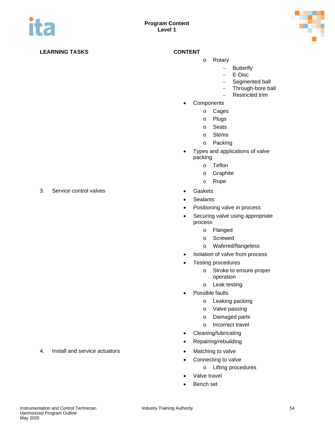

- o Rotary
	- − Butterfly
	- − E-Disc
	- − Segmented ball
	- − Through-bore ball
	- − Restricted trim
- **Components** 
	- o Cages
	- o Plugs
	- o Seats
	- o Stems
	- o Packing
- Types and applications of valve packing
	- o Teflon
	- o Graphite
	- o Rope
- 
- **Sealants**
- Positioning valve in process
- Securing valve using appropriate process
	- o Flanged
	- o Screwed
	- o Wafered/flangeless
- Isolation of valve from process
- Testing procedures
	- o Stroke to ensure proper operation
	- o Leak testing
- Possible faults
	- o Leaking packing
	- o Valve passing
	- o Damaged parts
	- o Incorrect travel
- Cleaning/lubricating
- Repairing/rebuilding
- 4. Install and service actuators **•** Matching to valve
	- Connecting to valve
		- o Lifting procedures
	- Valve travel
	- Bench set

3. Service control valves **by a strategie of the Service Caskets • Gaskets**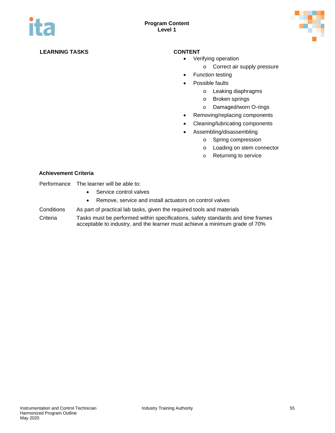

- Verifying operation
	- o Correct air supply pressure
- Function testing
- Possible faults
	- o Leaking diaphragms
	- o Broken springs
	- o Damaged/worn O-rings
- Removing/replacing components
- Cleaning/lubricating components
- Assembling/disassembling
	- o Spring compression
	- o Loading on stem connector
	- o Returning to service

|  | Performance | The learner will be able to: |
|--|-------------|------------------------------|
|--|-------------|------------------------------|

- Service control valves
- Remove, service and install actuators on control valves
- Conditions As part of practical lab tasks, given the required tools and materials
- Criteria Tasks must be performed within specifications, safety standards and time frames acceptable to industry, and the learner must achieve a minimum grade of 70%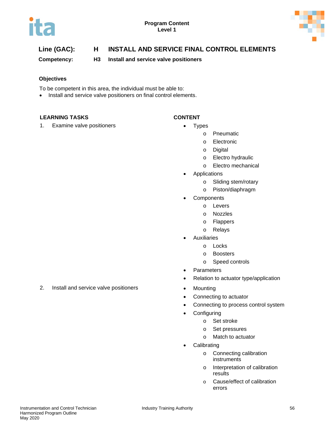



# **Line (GAC): H INSTALL AND SERVICE FINAL CONTROL ELEMENTS**

**Competency: H3 Install and service valve positioners**

### **Objectives**

To be competent in this area, the individual must be able to:

• Install and service valve positioners on final control elements.

#### **LEARNING TASKS CONTENT**

1. Examine valve positioners **•** Types

- - o Pneumatic
	- o Electronic
	- o Digital
	- o Electro hydraulic
	- o Electro mechanical
	- **Applications** 
		- o Sliding stem/rotary
		- o Piston/diaphragm
	- **Components** 
		- o Levers
			- o Nozzles
			- o Flappers
			- o Relays
	- **Auxiliaries** 
		- o Locks
		- o Boosters
		- o Speed controls
- Parameters
- Relation to actuator type/application
- 2. Install and service valve positioners **•** Mounting
	- Connecting to actuator
	- Connecting to process control system
	- **Configuring** 
		- o Set stroke
		- o Set pressures
		- o Match to actuator
	- **Calibrating** 
		- o Connecting calibration instruments
		- o Interpretation of calibration results
		- o Cause/effect of calibration errors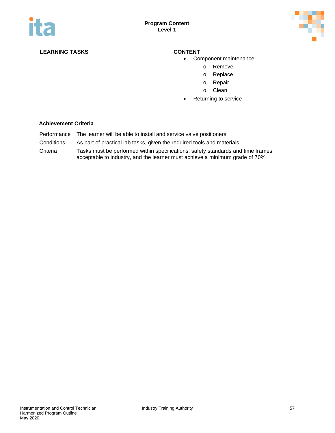

- Component maintenance
	- o Remove
	- o Replace
	- o Repair
	- o Clean
- Returning to service

- Performance The learner will be able to install and service valve positioners
- Conditions As part of practical lab tasks, given the required tools and materials
- Criteria Tasks must be performed within specifications, safety standards and time frames acceptable to industry, and the learner must achieve a minimum grade of 70%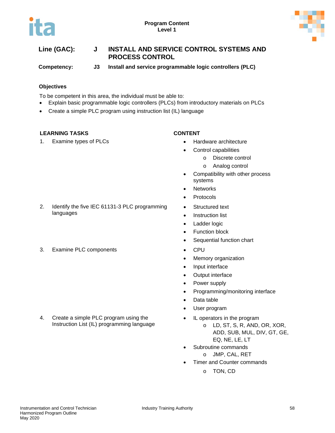

# **Line (GAC): J INSTALL AND SERVICE CONTROL SYSTEMS AND PROCESS CONTROL**

**Competency: J3 Install and service programmable logic controllers (PLC)**

### **Objectives**

To be competent in this area, the individual must be able to:

- Explain basic programmable logic controllers (PLCs) from introductory materials on PLCs
- Create a simple PLC program using instruction list (IL) language

### **LEARNING TASKS CONTENT**

languages

1. Examine types of PLCs **• Constanting the State of PLCs** • Hardware architecture

- - Control capabilities
		- o Discrete control
		- o Analog control
- Compatibility with other process systems
- Networks
- Protocols
- Structured text
- Instruction list
- Ladder logic
- Function block
- Sequential function chart
- 
- Memory organization
- Input interface
- Output interface
- Power supply
- Programming/monitoring interface
- Data table
- User program
- IL operators in the program
	- o LD, ST, S, R, AND, OR, XOR, ADD, SUB, MUL, DIV, GT, GE, EQ, NE, LE, LT
- Subroutine commands
	- o JMP, CAL, RET
- Timer and Counter commands
	- o TON, CD

2. Identify the five IEC 61131-3 PLC programming

3. Examine PLC components **•** CPU

4. Create a simple PLC program using the Instruction List (IL) programming language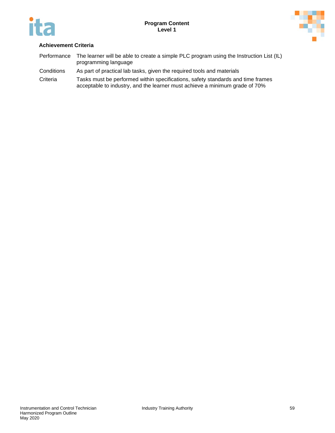



- Performance The learner will be able to create a simple PLC program using the Instruction List (IL) programming language
- Conditions As part of practical lab tasks, given the required tools and materials
- Criteria Tasks must be performed within specifications, safety standards and time frames acceptable to industry, and the learner must achieve a minimum grade of 70%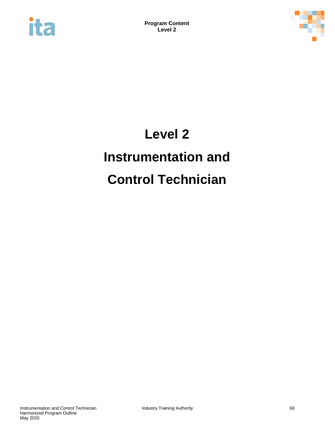



# **Level 2 Instrumentation and Control Technician**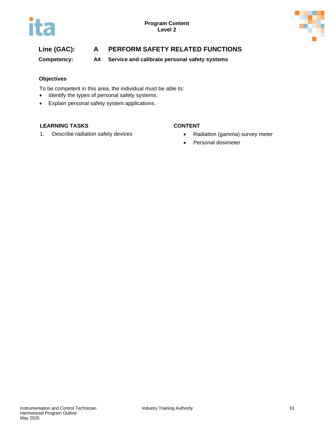

# **Line (GAC): A PERFORM SAFETY RELATED FUNCTIONS**

**Competency: A4 Service and calibrate personal safety systems**

### **Objectives**

To be competent in this area, the individual must be able to:

- Identify the types of personal safety systems.
- Explain personal safety system applications.

### **LEARNING TASKS CONTENT**

1. Describe radiation safety devices **•** Radiation (gamma) survey meter

- 
- Personal dosimeter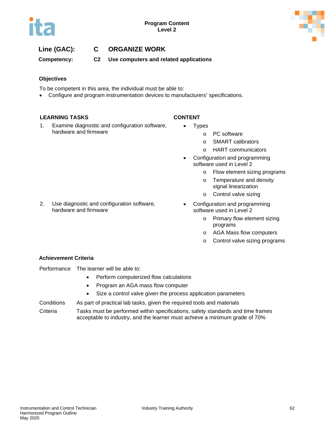

## **Line (GAC): C ORGANIZE WORK**

**Competency: C2 Use computers and related applications**

#### **Objectives**

To be competent in this area, the individual must be able to:

• Configure and program instrumentation devices to manufacturers' specifications.

#### **LEARNING TASKS CONTENT**

- 1. Examine diagnostic and configuration software, hardware and firmware
- Types
	- o PC software
	- o SMART calibrators
	- o HART communicators
- Configuration and programming software used in Level 2
	- o Flow element sizing programs
	- o Temperature and density signal linearization
	- o Control valve sizing
- 2. Use diagnostic and configuration software, • Configuration and programming software used in Level 2
	- o Primary flow element sizing programs
	- o AGA Mass flow computers
	- o Control valve sizing programs

### **Achievement Criteria**

Performance The learner will be able to:

hardware and firmware

- Perform computerized flow calculations
- Program an AGA mass flow computer
- Size a control valve given the process application parameters
- Conditions As part of practical lab tasks, given the required tools and materials

Criteria Tasks must be performed within specifications, safety standards and time frames acceptable to industry, and the learner must achieve a minimum grade of 70%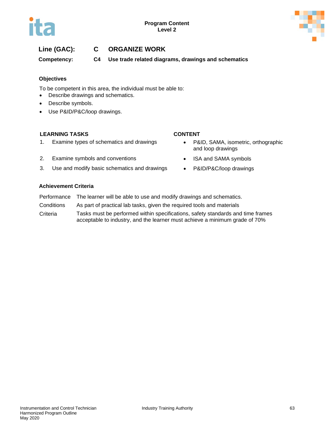

# **Line (GAC): C ORGANIZE WORK**

**Competency: C4 Use trade related diagrams, drawings and schematics**

#### **Objectives**

To be competent in this area, the individual must be able to:

- Describe drawings and schematics.
- Describe symbols.
- Use P&ID/P&C/loop drawings.

#### **LEARNING TASKS CONTENT**

- 1. Examine types of schematics and drawings **•** P&ID, SAMA, isometric, orthographic
- 2. Examine symbols and conventions **•** ISA and SAMA symbols
- 3. Use and modify basic schematics and drawings P&ID/P&C/loop drawings

- and loop drawings
- 
- 

- Performance The learner will be able to use and modify drawings and schematics.
- Conditions As part of practical lab tasks, given the required tools and materials
- Criteria Tasks must be performed within specifications, safety standards and time frames acceptable to industry, and the learner must achieve a minimum grade of 70%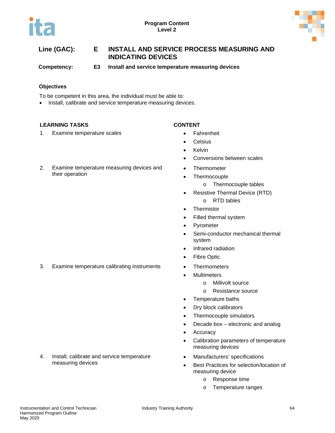



# **Line (GAC): E INSTALL AND SERVICE PROCESS MEASURING AND INDICATING DEVICES**

**Competency: E3 Install and service temperature measuring devices**

### **Objectives**

To be competent in this area, the individual must be able to:

• Install, calibrate and service temperature measuring devices.

### **LEARNING TASKS CONTENT**

their operation

1. Examine temperature scales **•** Fahrenheit

- 
- Celsius
- Kelvin
- Conversions between scales
- Thermometer
- Thermocouple
	- o Thermocouple tables
- Resistive Thermal Device (RTD) o RTD tables
- **Thermistor**
- Filled thermal system
- **Pyrometer**
- Semi-conductor mechanical thermal system
- Infrared radiation
- Fibre Optic
- 3. Examine temperature calibrating instruments Thermometers
	- Multimeters
		- o Millivolt source
		- o Resistance source
	- Temperature baths
	- Dry block calibrators
	- Thermocouple simulators
	- Decade box electronic and analog
	- Accuracy
	- Calibration parameters of temperature measuring devices
	- Manufacturers' specifications
	- Best Practices for selection/location of measuring device
		- o Response time
		- o Temperature ranges

2. Examine temperature measuring devices and

4. Install, calibrate and service temperature measuring devices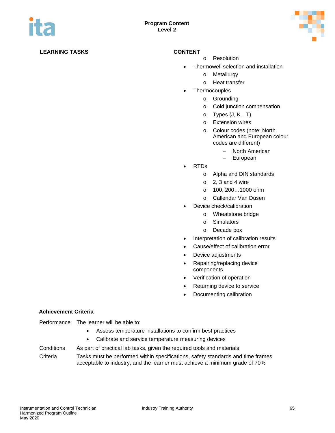

- o Resolution
- Thermowell selection and installation
	- o Metallurgy
	- o Heat transfer
- **Thermocouples** 
	- o Grounding
	- o Cold junction compensation
	- o Types (J, K…T)
	- o Extension wires
	- o Colour codes (note: North American and European colour codes are different)
		- − North American
		- − European
- RTDs
	- o Alpha and DIN standards
	- $\circ$  2, 3 and 4 wire
	- o 100, 200…1000 ohm
	- o Callendar Van Dusen
- Device check/calibration
	- o Wheatstone bridge
	- o Simulators
	- o Decade box
- Interpretation of calibration results
- Cause/effect of calibration error
- Device adjustments
- Repairing/replacing device components
- Verification of operation
- Returning device to service
- Documenting calibration

#### **Achievement Criteria**

Performance The learner will be able to:

- Assess temperature installations to confirm best practices
- Calibrate and service temperature measuring devices
- Conditions As part of practical lab tasks, given the required tools and materials Criteria Tasks must be performed within specifications, safety standards and time frames acceptable to industry, and the learner must achieve a minimum grade of 70%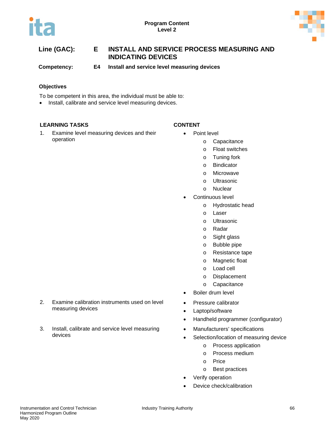



# **Line (GAC): E INSTALL AND SERVICE PROCESS MEASURING AND INDICATING DEVICES**

**Competency: E4 Install and service level measuring devices**

### **Objectives**

To be competent in this area, the individual must be able to:

• Install, calibrate and service level measuring devices.

### **LEARNING TASKS CONTENT**

1. Examine level measuring devices and their operation

- Point level
	- o Capacitance
		- o Float switches
		- o Tuning fork
		- o Bindicator
		- o Microwave
		- o Ultrasonic
		- o Nuclear
	- Continuous level
		- o Hydrostatic head
		- o Laser
		- o Ultrasonic
		- o Radar
		- o Sight glass
		- o Bubble pipe
		- o Resistance tape
		- o Magnetic float
		- o Load cell
		- o Displacement
		- o Capacitance
	- Boiler drum level
- Pressure calibrator
- Laptop/software
- Handheld programmer (configurator)
- Manufacturers' specifications
- Selection/location of measuring device
	- o Process application
	- o Process medium
	- o Price
	- o Best practices
- Verify operation
- Device check/calibration
- 2. Examine calibration instruments used on level measuring devices
- 3. Install, calibrate and service level measuring devices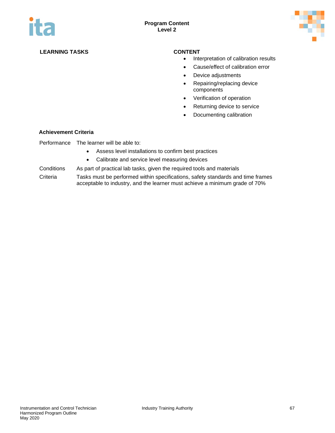

- Interpretation of calibration results
- Cause/effect of calibration error
- Device adjustments
- Repairing/replacing device components
- Verification of operation
- Returning device to service
- Documenting calibration

#### **Achievement Criteria**

Performance The learner will be able to:

- Assess level installations to confirm best practices
- Calibrate and service level measuring devices

Conditions As part of practical lab tasks, given the required tools and materials

Criteria Tasks must be performed within specifications, safety standards and time frames acceptable to industry, and the learner must achieve a minimum grade of 70%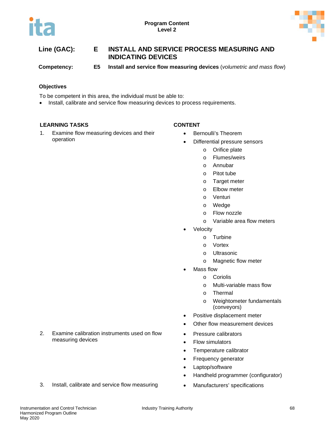

# **Line (GAC): E INSTALL AND SERVICE PROCESS MEASURING AND INDICATING DEVICES**

**Competency: E5 Install and service flow measuring devices** (*volumetric and mass flow*)

### **Objectives**

To be competent in this area, the individual must be able to:

• Install, calibrate and service flow measuring devices to process requirements.

### **LEARNING TASKS CONTENT**

1. Examine flow measuring devices and their operation

- Bernoulli's Theorem
- Differential pressure sensors
	- o Orifice plate
	- o Flumes/weirs
	- o Annubar
	- o Pitot tube
	- o Target meter
	- o Elbow meter
	- o Venturi
	- o Wedge
	- o Flow nozzle
	- o Variable area flow meters
- **Velocity** 
	- o Turbine
	- o Vortex
	- o Ultrasonic
	- o Magnetic flow meter
- Mass flow
	- o Coriolis
	- o Multi-variable mass flow
	- o Thermal
	- o Weightometer fundamentals (conveyors)
- Positive displacement meter
- Other flow measurement devices
- Pressure calibrators
- Flow simulators
- Temperature calibrator
- Frequency generator
- Laptop/software
- Handheld programmer (configurator)
- 
- 2. Examine calibration instruments used on flow measuring devices
- 3. Install, calibrate and service flow measuring Manufacturers' specifications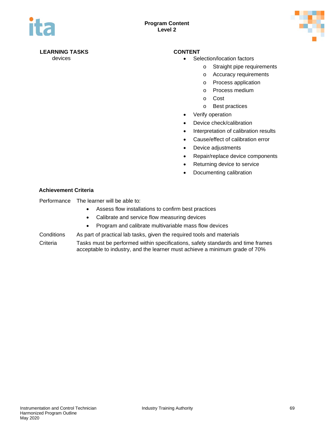

- devices  **Selection/location factors** 
	- o Straight pipe requirements
	- o Accuracy requirements
	- o Process application
	- o Process medium
	- o Cost
	- o Best practices
	- Verify operation
	- Device check/calibration
	- Interpretation of calibration results
	- Cause/effect of calibration error
	- Device adjustments
	- Repair/replace device components
	- Returning device to service
	- Documenting calibration

### **Achievement Criteria**

Performance The learner will be able to:

- Assess flow installations to confirm best practices
- Calibrate and service flow measuring devices
- Program and calibrate multivariable mass flow devices
- Conditions As part of practical lab tasks, given the required tools and materials
- Criteria Tasks must be performed within specifications, safety standards and time frames acceptable to industry, and the learner must achieve a minimum grade of 70%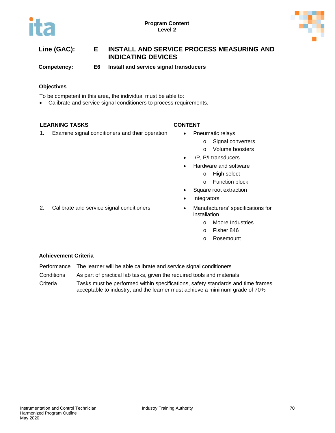



# **Line (GAC): E INSTALL AND SERVICE PROCESS MEASURING AND INDICATING DEVICES**

**Competency: E6 Install and service signal transducers**

### **Objectives**

To be competent in this area, the individual must be able to:

• Calibrate and service signal conditioners to process requirements.

### **LEARNING TASKS CONTENT**

1. Examine signal conditioners and their operation • Pneumatic relays

- - o Signal converters
	- o Volume boosters
- I/P, P/I transducers
- Hardware and software
	- o High select
	- o Function block
- Square root extraction
- **Integrators**
- 2. Calibrate and service signal conditioners **•** Manufacturers' specifications for installation
	- o Moore Industries
	- o Fisher 846
	- o Rosemount

- Performance The learner will be able calibrate and service signal conditioners
- Conditions As part of practical lab tasks, given the required tools and materials
- Criteria Tasks must be performed within specifications, safety standards and time frames acceptable to industry, and the learner must achieve a minimum grade of 70%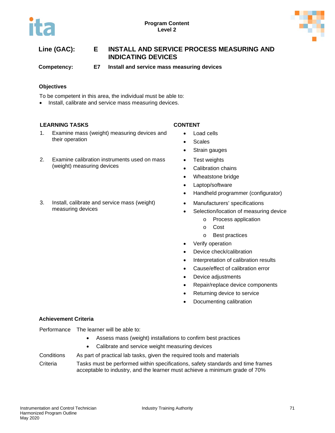

**Competency: E7 Install and service mass measuring devices**

### **Objectives**

To be competent in this area, the individual must be able to:

• Install, calibrate and service mass measuring devices.

### **LEARNING TASKS CONTENT**

- 1. Examine mass (weight) measuring devices and their operation
- 2. Examine calibration instruments used on mass (weight) measuring devices
- 3. Install, calibrate and service mass (weight) measuring devices

- Load cells
- Scales
- Strain gauges
- Test weights
- Calibration chains
- Wheatstone bridge
- Laptop/software
- Handheld programmer (configurator)
- Manufacturers' specifications
- Selection/location of measuring device
	- o Process application
	- o Cost
	- o Best practices
- Verify operation
- Device check/calibration
- Interpretation of calibration results
- Cause/effect of calibration error
- Device adjustments
- Repair/replace device components
- Returning device to service
- Documenting calibration

### **Achievement Criteria**

| Performance<br>The learner will be able to: |
|---------------------------------------------|
|---------------------------------------------|

- Assess mass (weight) installations to confirm best practices
- Calibrate and service weight measuring devices

Conditions As part of practical lab tasks, given the required tools and materials

Criteria Tasks must be performed within specifications, safety standards and time frames acceptable to industry, and the learner must achieve a minimum grade of 70%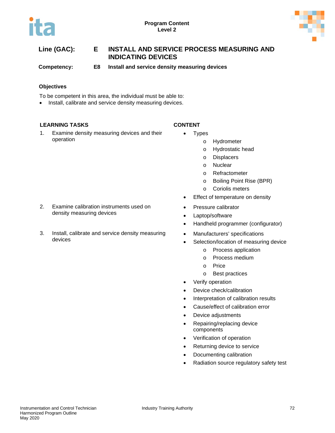



**Competency: E8 Install and service density measuring devices**

### **Objectives**

To be competent in this area, the individual must be able to:

• Install, calibrate and service density measuring devices.

### **LEARNING TASKS CONTENT**

devices

1. Examine density measuring devices and their operation

2. Examine calibration instruments used on

3. Install, calibrate and service density measuring

density measuring devices

- Types
	- o Hydrometer
	- o Hydrostatic head
	- o Displacers
	- o Nuclear
	- o Refractometer
	- o Boiling Point Rise (BPR)
	- o Coriolis meters
	- Effect of temperature on density
	- Pressure calibrator
	- Laptop/software
	- Handheld programmer (configurator)
	- Manufacturers' specifications
	- Selection/location of measuring device
		- o Process application
		- o Process medium
		- o Price
		- o Best practices
	- Verify operation
	- Device check/calibration
	- Interpretation of calibration results
	- Cause/effect of calibration error
	- Device adjustments
	- Repairing/replacing device components
	- Verification of operation
	- Returning device to service
	- Documenting calibration
	- Radiation source regulatory safety test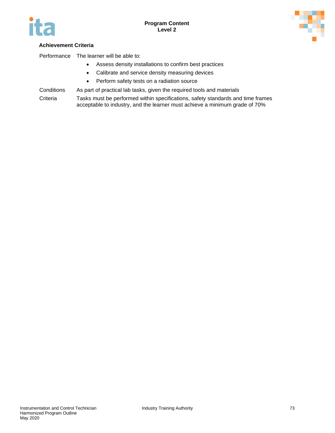



### **Achievement Criteria**

Performance The learner will be able to:

- Assess density installations to confirm best practices
- Calibrate and service density measuring devices
- Perform safety tests on a radiation source
- Conditions As part of practical lab tasks, given the required tools and materials

Criteria Tasks must be performed within specifications, safety standards and time frames acceptable to industry, and the learner must achieve a minimum grade of 70%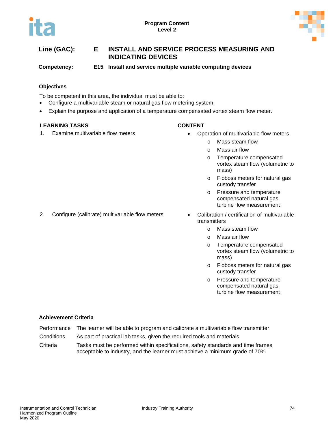

**Competency: E15 Install and service multiple variable computing devices** 

### **Objectives**

To be competent in this area, the individual must be able to:

- Configure a multivariable steam or natural gas flow metering system.
- Explain the purpose and application of a temperature compensated vortex steam flow meter.

#### **LEARNING TASKS CONTENT**

- 1. Examine multivariable flow meters Operation of multivariable flow meters
	- o Mass steam flow
		- o Mass air flow
	- o Temperature compensated vortex steam flow (volumetric to mass)
	- o Floboss meters for natural gas custody transfer
	- o Pressure and temperature compensated natural gas turbine flow measurement
- 2. Configure (calibrate) multivariable flow meters Calibration / certification of multivariable transmitters
	- o Mass steam flow
	- o Mass air flow
	- o Temperature compensated vortex steam flow (volumetric to mass)
	- o Floboss meters for natural gas custody transfer
	- o Pressure and temperature compensated natural gas turbine flow measurement

- Performance The learner will be able to program and calibrate a multivariable flow transmitter
- Conditions As part of practical lab tasks, given the required tools and materials
- Criteria Tasks must be performed within specifications, safety standards and time frames acceptable to industry, and the learner must achieve a minimum grade of 70%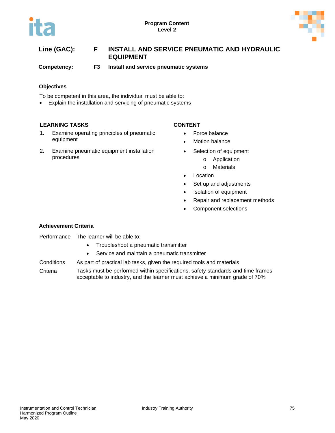

# **Line (GAC): F INSTALL AND SERVICE PNEUMATIC AND HYDRAULIC EQUIPMENT**

**Competency: F3 Install and service pneumatic systems**

### **Objectives**

To be competent in this area, the individual must be able to:

• Explain the installation and servicing of pneumatic systems

### **LEARNING TASKS CONTENT**

- 1. Examine operating principles of pneumatic equipment
- 2. Examine pneumatic equipment installation procedures

- Force balance
- **Motion balance**
- Selection of equipment
	- o Application
	- o Materials
- Location
- Set up and adjustments
- Isolation of equipment
- Repair and replacement methods
- Component selections

#### **Achievement Criteria**

Performance The learner will be able to:

- Troubleshoot a pneumatic transmitter
- Service and maintain a pneumatic transmitter

Conditions As part of practical lab tasks, given the required tools and materials

Criteria Tasks must be performed within specifications, safety standards and time frames acceptable to industry, and the learner must achieve a minimum grade of 70%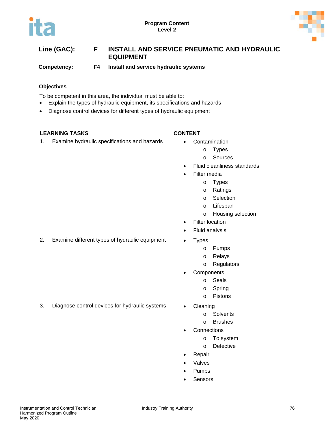

# **Line (GAC): F INSTALL AND SERVICE PNEUMATIC AND HYDRAULIC EQUIPMENT**

**Competency: F4 Install and service hydraulic systems**

### **Objectives**

To be competent in this area, the individual must be able to:

- Explain the types of hydraulic equipment, its specifications and hazards
- Diagnose control devices for different types of hydraulic equipment

### **LEARNING TASKS CONTENT**

1. Examine hydraulic specifications and hazards • Contamination

- - o Types
	- o Sources
- Fluid cleanliness standards
- Filter media
	- o Types
	- o Ratings
	- o Selection
	- o Lifespan
	- o Housing selection
- **Filter location**
- Fluid analysis
- 2. Examine different types of hydraulic equipment Types
	- o Pumps
	- o Relays
	- o Regulators
	- **Components** 
		- o Seals
		- o Spring
		- o Pistons
- 3. Diagnose control devices for hydraulic systems Cleaning
	- - o Solvents
		- o Brushes
	- **Connections** 
		- o To system
		- o Defective
	- **Repair**
	- **Valves**
	- Pumps
	- **Sensors**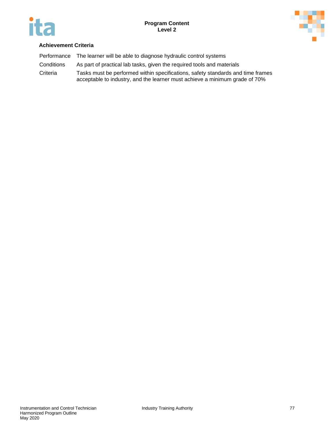



| Performance | The learner will be able to diagnose hydraulic control systems                                                                                                 |
|-------------|----------------------------------------------------------------------------------------------------------------------------------------------------------------|
| Conditions  | As part of practical lab tasks, given the required tools and materials                                                                                         |
| Criteria    | Tasks must be performed within specifications, safety standards and time frames<br>acceptable to industry, and the learner must achieve a minimum grade of 70% |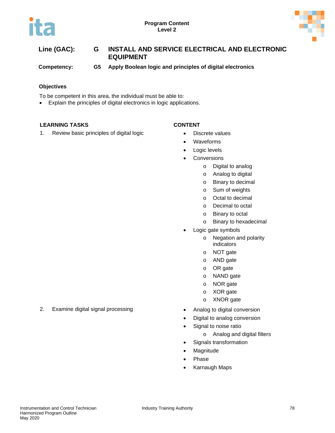



| Line (GAC): | G  | INSTALL AND SERVICE ELECTRICAL AND ELECTRONIC<br><b>EQUIPMENT</b> |
|-------------|----|-------------------------------------------------------------------|
| Competency: | G5 | Apply Boolean logic and principles of digital electronics         |

#### **Objectives**

To be competent in this area, the individual must be able to:

• Explain the principles of digital electronics in logic applications.

### **LEARNING TASKS CONTENT**

- 
- 1. Review basic principles of digital logic **•** Discrete values
	- Waveforms
	- Logic levels
	- Conversions
		- o Digital to analog
		- o Analog to digital
		- o Binary to decimal
		- o Sum of weights
		- o Octal to decimal
		- o Decimal to octal
		- o Binary to octal
		- o Binary to hexadecimal
	- Logic gate symbols
		- o Negation and polarity indicators
		- o NOT gate
		- o AND gate
		- o OR gate
		- o NAND gate
		- o NOR gate
		- o XOR gate
		- o XNOR gate
	-
	- Digital to analog conversion
	- Signal to noise ratio
		- o Analog and digital filters
	- Signals transformation
	- **Magnitude**
	- Phase
	- Karnaugh Maps

2. Examine digital signal processing **•** Analog to digital conversion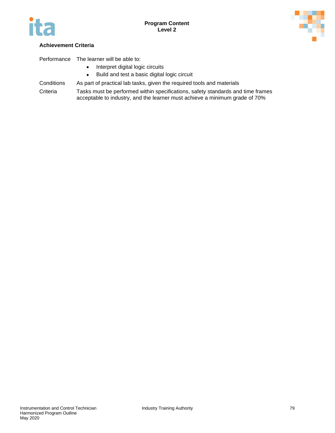



### **Achievement Criteria**

Performance The learner will be able to:

- Interpret digital logic circuits
- Build and test a basic digital logic circuit
- Conditions As part of practical lab tasks, given the required tools and materials
- Criteria Tasks must be performed within specifications, safety standards and time frames acceptable to industry, and the learner must achieve a minimum grade of 70%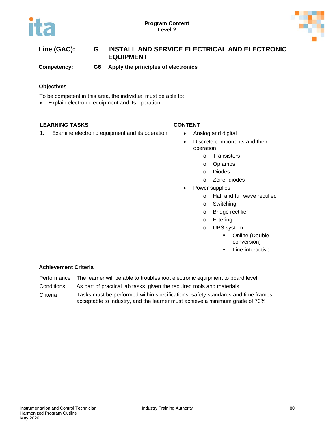



# **Line (GAC): G INSTALL AND SERVICE ELECTRICAL AND ELECTRONIC EQUIPMENT**

**Competency: G6 Apply the principles of electronics**

### **Objectives**

To be competent in this area, the individual must be able to:

• Explain electronic equipment and its operation.

#### **LEARNING TASKS CONTENT**

1. Examine electronic equipment and its operation • Analog and digital

- 
- Discrete components and their operation
	- o Transistors
	- o Op amps
	- o Diodes
	- o Zener diodes
	- Power supplies
		- o Half and full wave rectified
		- o Switching
		- o Bridge rectifier
		- o Filtering
		- o UPS system
			- **•** Online (Double conversion)
			- Line-interactive

- Performance The learner will be able to troubleshoot electronic equipment to board level
- Conditions As part of practical lab tasks, given the required tools and materials
- Criteria Tasks must be performed within specifications, safety standards and time frames acceptable to industry, and the learner must achieve a minimum grade of 70%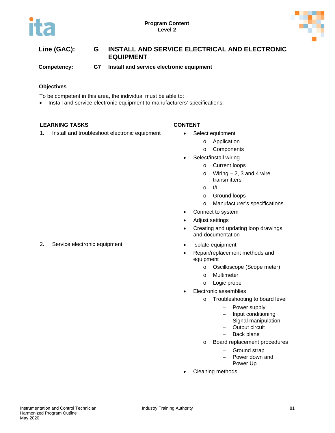



# **Line (GAC): G INSTALL AND SERVICE ELECTRICAL AND ELECTRONIC EQUIPMENT**

**Competency: G7 Install and service electronic equipment**

#### **Objectives**

To be competent in this area, the individual must be able to:

• Install and service electronic equipment to manufacturers' specifications.

### **LEARNING TASKS CONTENT**

1. Install and troubleshoot electronic equipment • Select equipment

- - o Application
		- o Components
- Select/install wiring
	- o Current loops
	- $\circ$  Wiring  $-2$ , 3 and 4 wire transmitters
	- o I/I
	- o Ground loops
	- o Manufacturer's specifications
- Connect to system
- Adjust settings
- Creating and updating loop drawings and documentation
- 
- Repair/replacement methods and equipment
	- o Oscilloscope (Scope meter)
	- o Multimeter
	- o Logic probe
- Electronic assemblies
	- o Troubleshooting to board level
		- Power supply
		- − Input conditioning
		- − Signal manipulation
		- − Output circuit
		- Back plane
	- o Board replacement procedures
		- − Ground strap
		- − Power down and
			- Power Up
- Cleaning methods

2. Service electronic equipment **•** Isolate equipment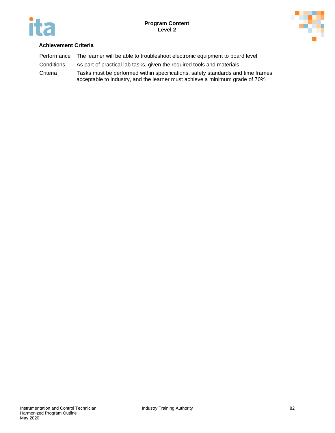



| Performance | The learner will be able to troubleshoot electronic equipment to board level                                                                                   |
|-------------|----------------------------------------------------------------------------------------------------------------------------------------------------------------|
| Conditions  | As part of practical lab tasks, given the required tools and materials                                                                                         |
| Criteria    | Tasks must be performed within specifications, safety standards and time frames<br>acceptable to industry, and the learner must achieve a minimum grade of 70% |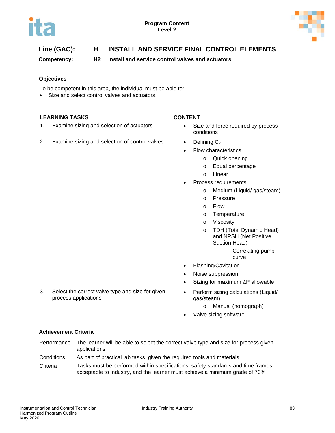



# **Line (GAC): H INSTALL AND SERVICE FINAL CONTROL ELEMENTS**

**Competency: H2 Install and service control valves and actuators**

#### **Objectives**

To be competent in this area, the individual must be able to:

• Size and select control valves and actuators.

#### **LEARNING TASKS CONTENT**

- 1. Examine sizing and selection of actuators Size and force required by process
- 2. Examine sizing and selection of control valves  $\bullet$  Defining  $C_v$

3. Select the correct valve type and size for given

- conditions
- - Flow characteristics
		- o Quick opening
		- o Equal percentage
		- o Linear
- Process requirements
	- o Medium (Liquid/ gas/steam)
	- o Pressure
	- o Flow
	- o Temperature
	- o Viscosity
	- o TDH (Total Dynamic Head) and NPSH (Net Positive Suction Head)
		- − Correlating pump curve
- Flashing/Cavitation
- Noise suppression
- Sizing for maximum ∆P allowable
- Perform sizing calculations (Liquid/ gas/steam)
	- o Manual (nomograph)
- Valve sizing software

### **Achievement Criteria**

process applications

- Performance The learner will be able to select the correct valve type and size for process given applications
- Conditions As part of practical lab tasks, given the required tools and materials
- Criteria Tasks must be performed within specifications, safety standards and time frames acceptable to industry, and the learner must achieve a minimum grade of 70%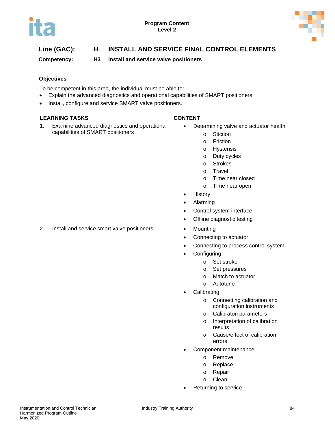



# **Line (GAC): H INSTALL AND SERVICE FINAL CONTROL ELEMENTS**

**Competency: H3 Install and service valve positioners** 

### **Objectives**

To be competent in this area, the individual must be able to:

- Explain the advanced diagnostics and operational capabilities of SMART positioners.
- Install, configure and service SMART valve positioners.

#### **LEARNING TASKS CONTENT**

1. Examine advanced diagnostics and operational capabilities of SMART positioners

- Determining valve and actuator health
	- o Stiction
	- o Friction
	- o Hysterisis
	- o Duty cycles
	- o Strokes
	- o Travel
	- o Time near closed
	- o Time near open
- History
- Alarming
- Control system interface
- Offline diagnostic testing
- 
- Connecting to actuator
- Connecting to process control system
- **Configuring** 
	- o Set stroke
	- o Set pressures
	- o Match to actuator
	- o Autotune
- **Calibrating** 
	- o Connecting calibration and configuration instruments
	- o Calibraton parameters
	- o Interpretation of calibration results
	- o Cause/effect of calibration errors
- Component maintenance
	- o Remove
	- o Replace
	- o Repair
	- o Clean
- Returning to service

2. Install and service smart valve positioners • Mounting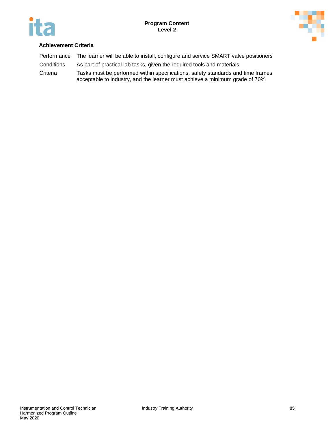



| Performance | The learner will be able to install, configure and service SMART valve positioners                                                                             |
|-------------|----------------------------------------------------------------------------------------------------------------------------------------------------------------|
| Conditions  | As part of practical lab tasks, given the required tools and materials                                                                                         |
| Criteria    | Tasks must be performed within specifications, safety standards and time frames<br>acceptable to industry, and the learner must achieve a minimum grade of 70% |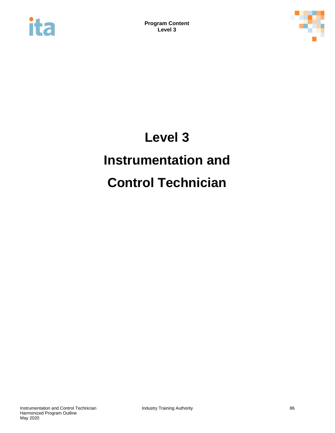



# **Level 3 Instrumentation and Control Technician**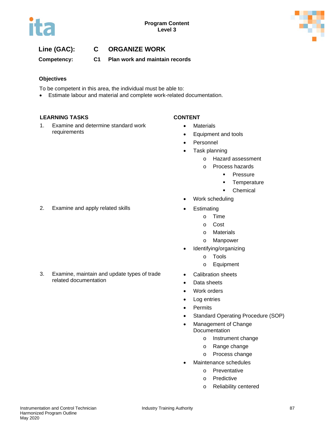

# **Line (GAC): C ORGANIZE WORK**

**Competency: C1 Plan work and maintain records**

### **Objectives**

To be competent in this area, the individual must be able to:

• Estimate labour and material and complete work-related documentation.

#### **LEARNING TASKS CONTENT**

1. Examine and determine standard work requirements

- Materials
- Equipment and tools
- Personnel
- Task planning
	- o Hazard assessment
	- o Process hazards
		- **Pressure**
		- **Temperature**
		- **Chemical**
- Work scheduling
- - o Time
	- o Cost
	- o Materials
	- o Manpower
- Identifying/organizing
	- o Tools
	- o Equipment
- Calibration sheets
- Data sheets
- Work orders
- Log entries
- Permits
- Standard Operating Procedure (SOP)
- Management of Change **Documentation** 
	- o Instrument change
	- o Range change
	- o Process change
- Maintenance schedules
	- o Preventative
	- o Predictive
	- o Reliability centered

2. Examine and apply related skills **•** Estimating

3. Examine, maintain and update types of trade related documentation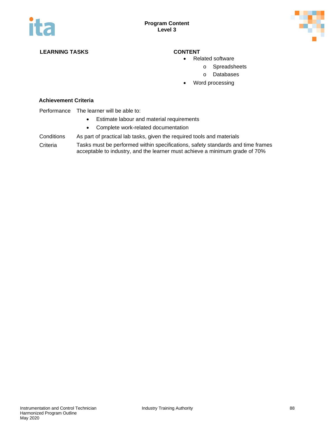

### **LEARNING TASKS CONTENT**

- Related software
	- o Spreadsheets
		- o Databases
- Word processing

#### **Achievement Criteria**

#### Performance The learner will be able to:

- Estimate labour and material requirements
- Complete work-related documentation

### Conditions As part of practical lab tasks, given the required tools and materials

Criteria Tasks must be performed within specifications, safety standards and time frames acceptable to industry, and the learner must achieve a minimum grade of 70%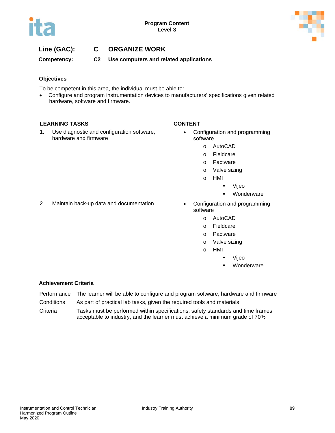

## **Line (GAC): C ORGANIZE WORK**

**Competency: C2 Use computers and related applications**

#### **Objectives**

To be competent in this area, the individual must be able to:

• Configure and program instrumentation devices to manufacturers' specifications given related hardware, software and firmware.

#### **LEARNING TASKS CONTENT**

1. Use diagnostic and configuration software, hardware and firmware

- Configuration and programming software
	- o AutoCAD
	- o Fieldcare
	- o Pactware
	- o Valve sizing
	- o HMI
		- Vijeo
		- **•** Wonderware
- 2. Maintain back-up data and documentation Configuration and programming
- software
	- o AutoCAD
	- o Fieldcare
	- o Pactware
	- o Valve sizing
	- o HMI
		- Vijeo
		- Wonderware

- Performance The learner will be able to configure and program software, hardware and firmware
- Conditions As part of practical lab tasks, given the required tools and materials
- Criteria Tasks must be performed within specifications, safety standards and time frames acceptable to industry, and the learner must achieve a minimum grade of 70%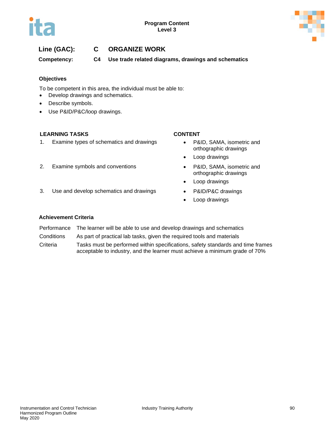

# **Line (GAC): C ORGANIZE WORK**

**Competency: C4 Use trade related diagrams, drawings and schematics**

#### **Objectives**

To be competent in this area, the individual must be able to:

- Develop drawings and schematics.
- Describe symbols.
- Use P&ID/P&C/loop drawings.

### **LEARNING TASKS CONTENT**

1. Examine types of schematics and drawings • P&ID, SAMA, isometric and

#### 2. Examine symbols and conventions • P&ID, SAMA, isometric and

3. Use and develop schematics and drawings • P&ID/P&C drawings

- orthographic drawings
- Loop drawings
- orthographic drawings
- Loop drawings
- 
- Loop drawings

- Performance The learner will be able to use and develop drawings and schematics
- Conditions As part of practical lab tasks, given the required tools and materials
- Criteria Tasks must be performed within specifications, safety standards and time frames acceptable to industry, and the learner must achieve a minimum grade of 70%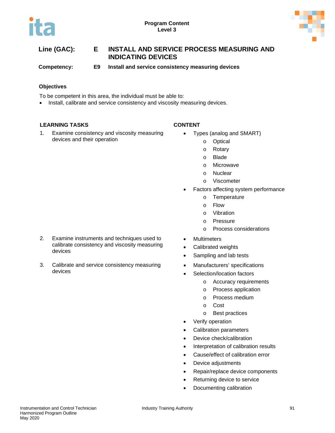

**Competency: E9 Install and service consistency measuring devices**

### **Objectives**

To be competent in this area, the individual must be able to:

• Install, calibrate and service consistency and viscosity measuring devices.

### **LEARNING TASKS CONTENT**

devices

devices

1. Examine consistency and viscosity measuring devices and their operation

2. Examine instruments and techniques used to calibrate consistency and viscosity measuring

3. Calibrate and service consistency measuring

- Types (analog and SMART)
	- o Optical
	- o Rotary
	- o Blade
	- o Microwave
	- o Nuclear
	- o Viscometer
- Factors affecting system performance
	- o Temperature
	- o Flow
	- o Vibration
	- o Pressure
	- o Process considerations
- Multimeters
- Calibrated weights
- Sampling and lab tests
- Manufacturers' specifications
- Selection/location factors
	- o Accuracy requirements
	- o Process application
	- o Process medium
	- o Cost
	- o Best practices
- Verify operation
- Calibration parameters
- Device check/calibration
- Interpretation of calibration results
- Cause/effect of calibration error
- Device adjustments
- Repair/replace device components
- Returning device to service
- Documenting calibration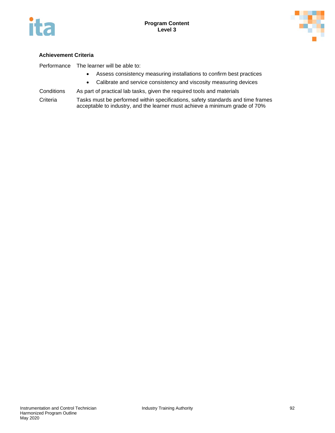



#### **Achievement Criteria**

Performance The learner will be able to:

- Assess consistency measuring installations to confirm best practices
- Calibrate and service consistency and viscosity measuring devices
- Conditions As part of practical lab tasks, given the required tools and materials

Criteria Tasks must be performed within specifications, safety standards and time frames acceptable to industry, and the learner must achieve a minimum grade of 70%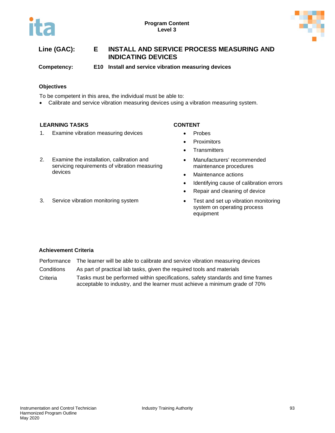



**Competency: E10 Install and service vibration measuring devices**

#### **Objectives**

To be competent in this area, the individual must be able to:

• Calibrate and service vibration measuring devices using a vibration measuring system.

#### **LEARNING TASKS CONTENT**

- 1. Examine vibration measuring devices Probes
- 2. Examine the installation, calibration and servicing requirements of vibration measuring devices
- 

- 
- Proximitors
- **Transmitters**
- Manufacturers' recommended maintenance procedures
- Maintenance actions
- Identifying cause of calibration errors
- Repair and cleaning of device
- 3. Service vibration monitoring system Test and set up vibration monitoring system on operating process equipment

- Performance The learner will be able to calibrate and service vibration measuring devices
- Conditions As part of practical lab tasks, given the required tools and materials
- Criteria Tasks must be performed within specifications, safety standards and time frames acceptable to industry, and the learner must achieve a minimum grade of 70%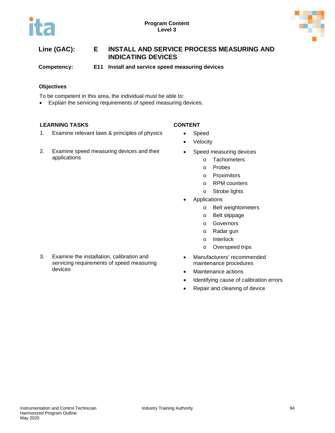



**Competency: E11 Install and service speed measuring devices**

### **Objectives**

To be competent in this area, the individual must be able to:

• Explain the servicing requirements of speed measuring devices.

### **LEARNING TASKS CONTENT**

- 1. Examine relevant laws & principles of physics Speed
- 2. Examine speed measuring devices and their applications

- 
- Velocity
- Speed measuring devices
	- o Tachometers
	- o Probes
	- o Proximitors
	- o RPM counters
	- o Strobe lights
- **Applications** 
	- o Belt weightometers
	- o Belt slippage
	- o Governors
	- o Radar gun
	- o Interlock
	- o Overspeed trips
- Manufacturers' recommended maintenance procedures
- Maintenance actions
- Identifying cause of calibration errors
- Repair and cleaning of device

3. Examine the installation, calibration and servicing requirements of speed measuring devices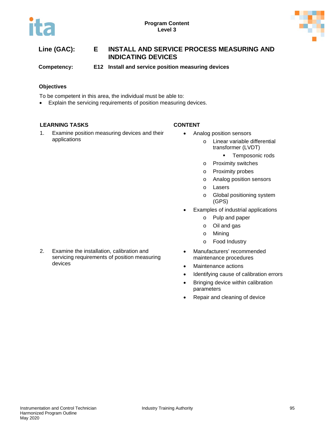

**Competency: E12 Install and service position measuring devices**

### **Objectives**

To be competent in this area, the individual must be able to:

• Explain the servicing requirements of position measuring devices.

### **LEARNING TASKS CONTENT**

1. Examine position measuring devices and their applications

- Analog position sensors
	- o Linear variable differential transformer (LVDT)
		- **Temposonic rods**
	- o Proximity switches
	- o Proximity probes
	- o Analog position sensors
	- o Lasers
	- o Global positioning system (GPS)
	- Examples of industrial applications
		- o Pulp and paper
		- o Oil and gas
		- o Mining
		- o Food Industry
	- Manufacturers' recommended maintenance procedures
	- Maintenance actions
	- Identifying cause of calibration errors
	- Bringing device within calibration parameters
- Repair and cleaning of device
- 2. Examine the installation, calibration and servicing requirements of position measuring devices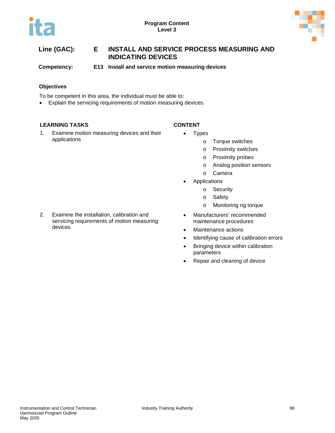

**Competency: E13 Install and service motion measuring devices**

### **Objectives**

To be competent in this area, the individual must be able to:

• Explain the servicing requirements of motion measuring devices.

### **LEARNING TASKS CONTENT**

1. Examine motion measuring devices and their applications

- Types
	- o Torque switches
	- o Proximity switches
	- o Proximity probes
	- o Analog position sensors
	- o Camera
	- **Applications** 
		- o Security
		- o Safety
		- o Monitoring rig torque
	- Manufacturers' recommended maintenance procedures
- Maintenance actions
- Identifying cause of calibration errors
- Bringing device within calibration parameters
- Repair and cleaning of device

2. Examine the installation, calibration and servicing requirements of motion measuring devices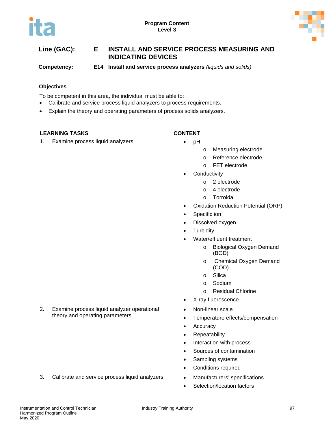

**Competency: E14 Install and service process analyzers** *(liquids and solids)*

### **Objectives**

To be competent in this area, the individual must be able to:

- Calibrate and service process liquid analyzers to process requirements.
- Explain the theory and operating parameters of process solids analyzers.

### **LEARNING TASKS CONTENT**

1. Examine process liquid analyzers • **•** pH

- 
- o Measuring electrode
- o Reference electrode
- o FET electrode
- **Conductivity** 
	- o 2 electrode
	- o 4 electrode
	- o Torroidal
- Oxidation Reduction Potential (ORP)
- Specific ion
- Dissolved oxygen
- **Turbidity**
- Water/effluent treatment
	- o Biological Oxygen Demand (BOD)
	- o Chemical Oxygen Demand (COD)
	- o Silica
	- o Sodium
	- o Residual Chlorine
- X-ray fluorescence
- Non-linear scale
- Temperature effects/compensation
- Accuracy
- Repeatability
- Interaction with process
- Sources of contamination
- Sampling systems
- Conditions required
- 3. Calibrate and service process liquid analyzers Manufacturers' specifications
	- Selection/location factors

2. Examine process liquid analyzer operational theory and operating parameters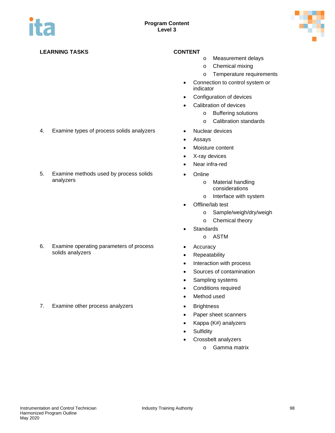

### **LEARNING TASKS CONTENT**

- o Measurement delays
- o Chemical mixing
- o Temperature requirements
- Connection to control system or indicator
- Configuration of devices
- Calibration of devices
	- o Buffering solutions
	- o Calibration standards
- 
- Assays
- Moisture content
- X-ray devices
- Near infra-red
- Online
	- o Material handling considerations
	- o Interface with system
- Offline/lab test
	- o Sample/weigh/dry/weigh
	- o Chemical theory
- Standards
	- o ASTM
- Accuracy
- Repeatability
- Interaction with process
- Sources of contamination
- Sampling systems
- Conditions required
- Method used
- 
- Paper sheet scanners
- Kappa (K#) analyzers
- Sulfidity
- Crossbelt analyzers
	- o Gamma matrix
- 4. Examine types of process solids analyzers Nuclear devices
- 5. Examine methods used by process solids analyzers

6. Examine operating parameters of process solids analyzers

7. Examine other process analyzers **•** Brightness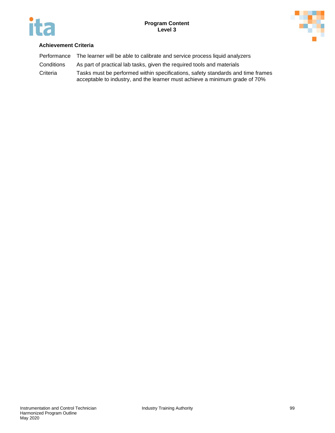



| Performance | The learner will be able to calibrate and service process liquid analyzers                                                                                     |
|-------------|----------------------------------------------------------------------------------------------------------------------------------------------------------------|
| Conditions  | As part of practical lab tasks, given the required tools and materials                                                                                         |
| Criteria    | Tasks must be performed within specifications, safety standards and time frames<br>acceptable to industry, and the learner must achieve a minimum grade of 70% |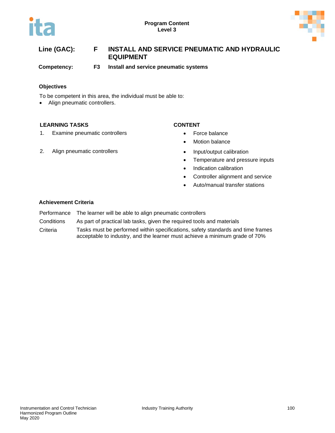



# **Line (GAC): F INSTALL AND SERVICE PNEUMATIC AND HYDRAULIC EQUIPMENT**

**Competency: F3 Install and service pneumatic systems**

#### **Objectives**

To be competent in this area, the individual must be able to:

• Align pneumatic controllers.

### **LEARNING TASKS CONTENT**

1. Examine pneumatic controllers **•** Force balance

- 
- Motion balance
- 2. Align pneumatic controllers **•** Input/output calibration
	- Temperature and pressure inputs
	- Indication calibration
	- Controller alignment and service
	- Auto/manual transfer stations

- Performance The learner will be able to align pneumatic controllers
- Conditions As part of practical lab tasks, given the required tools and materials
- Criteria Tasks must be performed within specifications, safety standards and time frames acceptable to industry, and the learner must achieve a minimum grade of 70%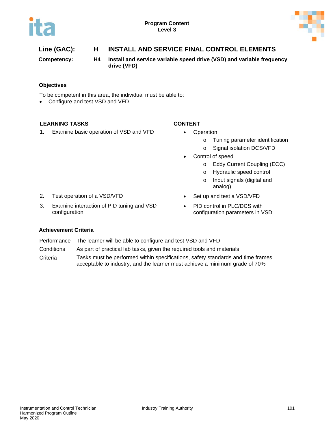



# **Line (GAC): H INSTALL AND SERVICE FINAL CONTROL ELEMENTS**

**Competency: H4 Install and service variable speed drive (VSD) and variable frequency drive (VFD)**

**Objectives**

To be competent in this area, the individual must be able to:

• Configure and test VSD and VFD.

### **LEARNING TASKS CONTENT**

1. Examine basic operation of VSD and VFD • Operation

- - o Tuning parameter identification
	- o Signal isolation DCS/VFD
- Control of speed
	- o Eddy Current Coupling (ECC)
	- o Hydraulic speed control
	- o Input signals (digital and analog)
- 2. Test operation of a VSD/VFD Set up and test a VSD/VFD
- 3. Examine interaction of PID tuning and VSD configuration
- 
- PID control in PLC/DCS with configuration parameters in VSD

- Performance The learner will be able to configure and test VSD and VFD
- Conditions As part of practical lab tasks, given the required tools and materials
- Criteria Tasks must be performed within specifications, safety standards and time frames acceptable to industry, and the learner must achieve a minimum grade of 70%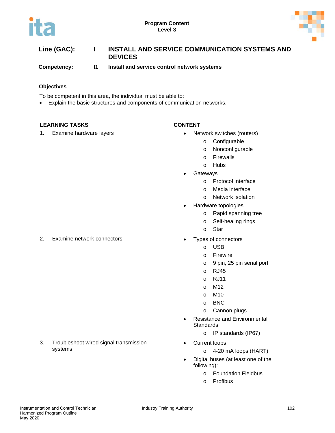



| Line (GAC): | INSTALL AND SERVICE COMMUNICATION SYSTEMS AND |
|-------------|-----------------------------------------------|
|             | <b>DEVICES</b>                                |

**Competency: I1 Install and service control network systems**

#### **Objectives**

To be competent in this area, the individual must be able to:

• Explain the basic structures and components of communication networks.

### **LEARNING TASKS CONTENT**

- 1. Examine hardware layers **•** Network switches (routers)
	- o Configurable
	- o Nonconfigurable
	- o Firewalls
	- o Hubs
	- **Gateways** 
		- o Protocol interface
		- o Media interface
		- o Network isolation
	- Hardware topologies
		- o Rapid spanning tree
		- o Self-healing rings
		- o Star
- 2. Examine network connectors **•** Types of connectors
	- o USB
	- o Firewire
	- o 9 pin, 25 pin serial port
	- o RJ45
	- o RJ11
	- o M12
	- o M10
	- o BNC
	- o Cannon plugs
	- Resistance and Environmental **Standards** 
		- o IP standards (IP67)
	- Current loops
		- o 4-20 mA loops (HART)
		- Digital buses (at least one of the following):
			- o Foundation Fieldbus
			- o Profibus

3. Troubleshoot wired signal transmission systems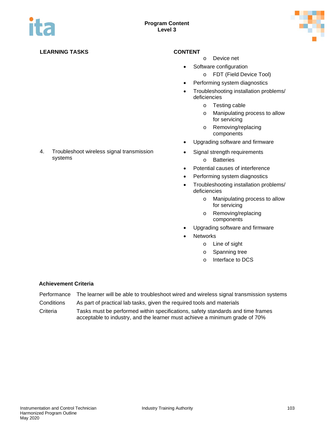

### **LEARNING TASKS CONTENT**

- o Device net
- Software configuration
	- o FDT (Field Device Tool)
- Performing system diagnostics
- Troubleshooting installation problems/ deficiencies
	- o Testing cable
	- o Manipulating process to allow for servicing
	- o Removing/replacing components
- Upgrading software and firmware
- Signal strength requirements
	- o Batteries
- Potential causes of interference
- Performing system diagnostics
- Troubleshooting installation problems/ deficiencies
	- o Manipulating process to allow for servicing
	- o Removing/replacing components
- Upgrading software and firmware
- **Networks** 
	- o Line of sight
	- o Spanning tree
	- o Interface to DCS

### **Achievement Criteria**

- Performance The learner will be able to troubleshoot wired and wireless signal transmission systems
- Conditions As part of practical lab tasks, given the required tools and materials

Criteria Tasks must be performed within specifications, safety standards and time frames acceptable to industry, and the learner must achieve a minimum grade of 70%

### 4. Troubleshoot wireless signal transmission systems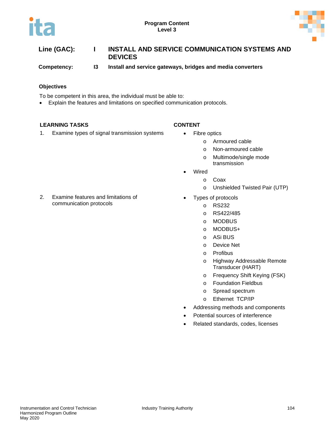



| Line (GAC): | INSTALL AND SERVICE COMMUNICATION SYSTEMS AND<br><b>DEVICES</b> |
|-------------|-----------------------------------------------------------------|
|             |                                                                 |

**Competency: I3 Install and service gateways, bridges and media converters**

### **Objectives**

To be competent in this area, the individual must be able to:

• Explain the features and limitations on specified communication protocols.

### **LEARNING TASKS CONTENT**

1. Examine types of signal transmission systems • Fibre optics

- - o Armoured cable
	- o Non-armoured cable
	- o Multimode/single mode transmission
- Wired
	- o Coax
	- o Unshielded Twisted Pair (UTP)
	- Types of protocols
	- o RS232
		- o RS422/485
		- o MODBUS
		- o MODBUS+
		- o ASi BUS
		- o Device Net
		- o Profibus
		- o Highway Addressable Remote Transducer (HART)
		- o Frequency Shift Keying (FSK)
		- o Foundation Fieldbus
		- o Spread spectrum
		- o Ethernet TCP/IP
- Addressing methods and components
- Potential sources of interference
- Related standards, codes, licenses

2. Examine features and limitations of communication protocols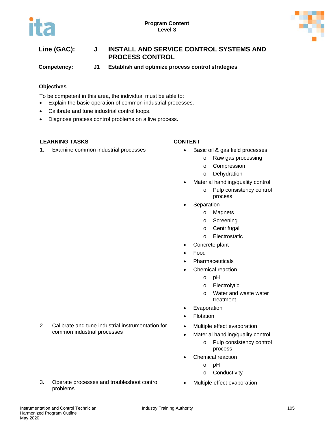

# **Line (GAC): J INSTALL AND SERVICE CONTROL SYSTEMS AND PROCESS CONTROL**

**Competency: J1 Establish and optimize process control strategies**

### **Objectives**

To be competent in this area, the individual must be able to:

- Explain the basic operation of common industrial processes.
- Calibrate and tune industrial control loops.
- Diagnose process control problems on a live process.

### **LEARNING TASKS CONTENT**

1. Examine common industrial processes • Basic oil & gas field processes

- - o Raw gas processing
	- o Compression
	- o Dehydration
- Material handling/quality control
	- o Pulp consistency control process
- **Separation** 
	- o Magnets
	- o Screening
	- o Centrifugal
	- o Electrostatic
- Concrete plant
- Food
- **Pharmaceuticals** 
	- Chemical reaction
		- o pH
			- o Electrolytic
			- o Water and waste water treatment
- **Evaporation**
- **Flotation**
- Multiple effect evaporation
- Material handling/quality control
	- o Pulp consistency control process
- Chemical reaction
	- o pH
	- o Conductivity
- Multiple effect evaporation

2. Calibrate and tune industrial instrumentation for common industrial processes

3. Operate processes and troubleshoot control problems.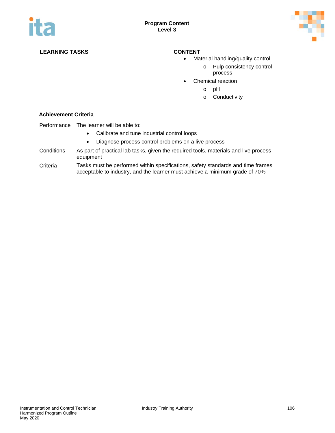

### **LEARNING TASKS CONTENT**

- Material handling/quality control
	- o Pulp consistency control process
- Chemical reaction
	- o pH
	- o Conductivity

- Performance The learner will be able to:
	- Calibrate and tune industrial control loops
	- Diagnose process control problems on a live process
- Conditions As part of practical lab tasks, given the required tools, materials and live process equipment
- Criteria Tasks must be performed within specifications, safety standards and time frames acceptable to industry, and the learner must achieve a minimum grade of 70%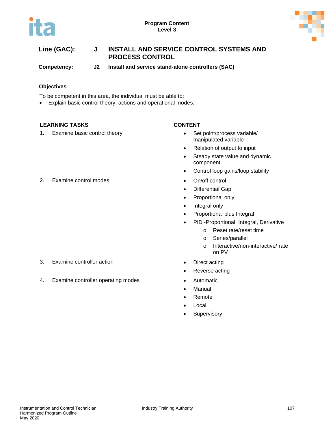



**Competency: J2 Install and service stand-alone controllers (SAC)**

# **Objectives**

To be competent in this area, the individual must be able to:

• Explain basic control theory, actions and operational modes.

# **LEARNING TASKS CONTENT**

1. Examine basic control theory **•** Set point/process variable/

- manipulated variable
- Relation of output to input
- Steady state value and dynamic component
- Control loop gains/loop stability
- 
- Differential Gap
- Proportional only
- Integral only
- Proportional plus Integral
- PID -Proportional, Integral, Derivative
	- o Reset rate/reset time
	- o Series/parallel
	- o Interactive/non-interactive/ rate on PV
- 
- Reverse acting
- 
- **Manual**
- Remote
- Local
- Supervisory

2. Examine control modes **•** On/off control

- 3. Examine controller action **•** Direct acting
- 4. Examine controller operating modes Automatic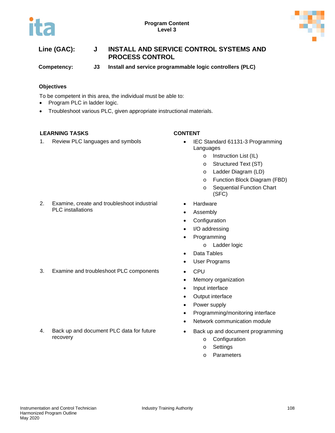



**Competency: J3 Install and service programmable logic controllers (PLC)**

# **Objectives**

To be competent in this area, the individual must be able to:

- Program PLC in ladder logic.
- Troubleshoot various PLC, given appropriate instructional materials.

# **LEARNING TASKS CONTENT**

1. Review PLC languages and symbols • IEC Standard 61131-3 Programming

- Languages
	- o Instruction List (IL)
	- o Structured Text (ST)
	- o Ladder Diagram (LD)
	- o Function Block Diagram (FBD)
	- o Sequential Function Chart (SFC)

- 2. Examine, create and troubleshoot industrial PLC installations
- **Hardware**
- Assembly
- Configuration
- I/O addressing
- Programming
	- o Ladder logic
- Data Tables
- User Programs
- 3. Examine and troubleshoot PLC components CPU
	- Memory organization
	- Input interface
	- Output interface
	- Power supply
	- Programming/monitoring interface
	- Network communication module
	- Back up and document programming
		- o Configuration
		- o Settings
		- o Parameters

# 4. Back up and document PLC data for future recovery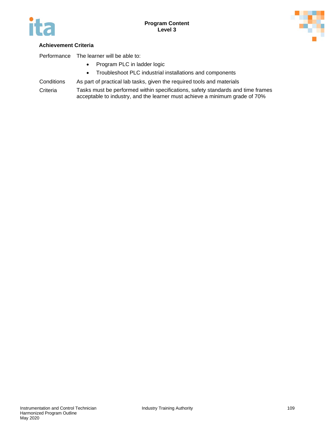



# **Achievement Criteria**

Performance The learner will be able to:

- Program PLC in ladder logic
- Troubleshoot PLC industrial installations and components
- Conditions As part of practical lab tasks, given the required tools and materials
- Criteria Tasks must be performed within specifications, safety standards and time frames acceptable to industry, and the learner must achieve a minimum grade of 70%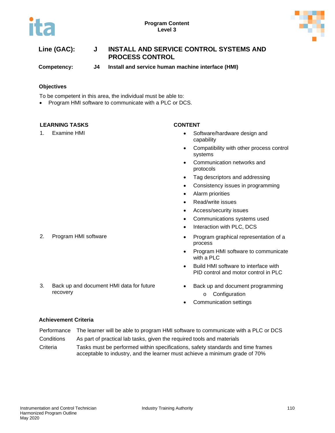



**Competency: J4 Install and service human machine interface (HMI)**

# **Objectives**

To be competent in this area, the individual must be able to:

• Program HMI software to communicate with a PLC or DCS.

# **LEARNING TASKS CONTENT**

- 1. Examine HMI Software/hardware design and capability
	- Compatibility with other process control systems
	- Communication networks and protocols
	- Tag descriptors and addressing
	- Consistency issues in programming
	- Alarm priorities
	- Read/write issues
	- Access/security issues
	- Communications systems used
	- Interaction with PLC, DCS
- 2. Program HMI software  **Program graphical representation of a** process
	- Program HMI software to communicate with a PLC
	- Build HMI software to interface with PID control and motor control in PLC
	- Back up and document programming
		- o Configuration
	- Communication settings

# **Achievement Criteria**

recovery

3. Back up and document HMI data for future

- Performance The learner will be able to program HMI software to communicate with a PLC or DCS
- Conditions As part of practical lab tasks, given the required tools and materials
- Criteria Tasks must be performed within specifications, safety standards and time frames acceptable to industry, and the learner must achieve a minimum grade of 70%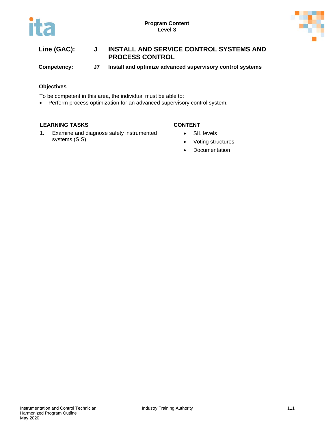



**Competency: J7 Install and optimize advanced supervisory control systems**

# **Objectives**

To be competent in this area, the individual must be able to:

• Perform process optimization for an advanced supervisory control system.

# **LEARNING TASKS CONTENT**

1. Examine and diagnose safety instrumented systems (SIS)

- SIL levels
- Voting structures
- Documentation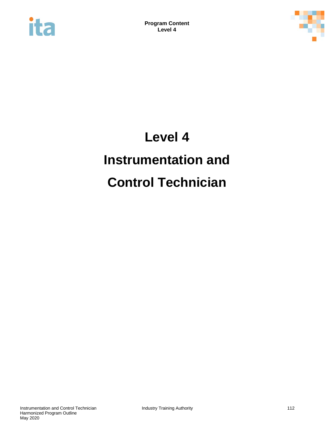



# **Level 4 Instrumentation and Control Technician**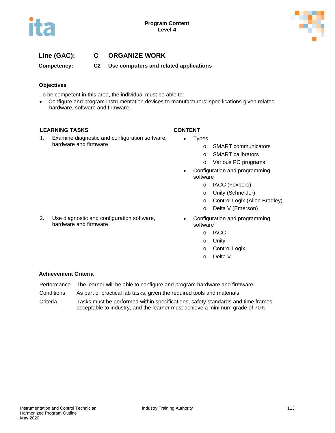

# **Line (GAC): C ORGANIZE WORK**

**Competency: C2 Use computers and related applications**

# **Objectives**

To be competent in this area, the individual must be able to:

• Configure and program instrumentation devices to manufacturers' specifications given related hardware, software and firmware.

### **LEARNING TASKS CONTENT**

1. Examine diagnostic and configuration software, hardware and firmware

2. Use diagnostic and configuration software,

hardware and firmware

- Types
	- o SMART communicators
	- o SMART calibrators
	- o Various PC programs
- Configuration and programming software
	- o IACC (Foxboro)
	- o Unity (Schneider)
	- o Control Logix (Allen Bradley)
	- o Delta V (Emerson)
- Configuration and programming software
	- o IACC
	- o Unity
	- o Control Logix
	- o Delta V

- Performance The learner will be able to configure and program hardware and firmware
- Conditions As part of practical lab tasks, given the required tools and materials
- Criteria Tasks must be performed within specifications, safety standards and time frames acceptable to industry, and the learner must achieve a minimum grade of 70%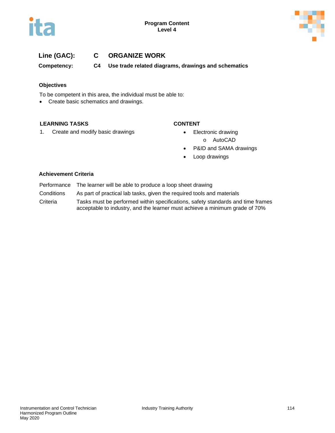



# **Line (GAC): C ORGANIZE WORK**

**Competency: C4 Use trade related diagrams, drawings and schematics**

# **Objectives**

To be competent in this area, the individual must be able to:

• Create basic schematics and drawings.

### **LEARNING TASKS CONTENT**

- 1. Create and modify basic drawings **•** Electronic drawing
	- - o AutoCAD
	- P&ID and SAMA drawings
	- Loop drawings

- Performance The learner will be able to produce a loop sheet drawing
- Conditions As part of practical lab tasks, given the required tools and materials
- Criteria Tasks must be performed within specifications, safety standards and time frames acceptable to industry, and the learner must achieve a minimum grade of 70%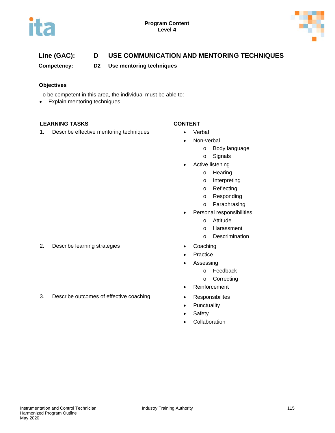



# **Line (GAC): D USE COMMUNICATION AND MENTORING TECHNIQUES**

**Competency: D2 Use mentoring techniques**

# **Objectives**

To be competent in this area, the individual must be able to:

• Explain mentoring techniques.

# **LEARNING TASKS CONTENT**

1. Describe effective mentoring techniques • Verbal

- 
- Non-verbal
	- o Body language
	- o Signals
- Active listening
	- o Hearing
	- o Interpreting
	- o Reflecting
	- o Responding
	- o Paraphrasing
- Personal responsibilities
	- o Attitude
	- o Harassment
	- o Descrimination
- 
- **Practice**
- Assessing
	- o Feedback
	- o Correcting
- Reinforcement
- 
- Punctuality
- Safety
- **Collaboration**

2. Describe learning strategies • Coaching

3. Describe outcomes of effective coaching • Responsibilites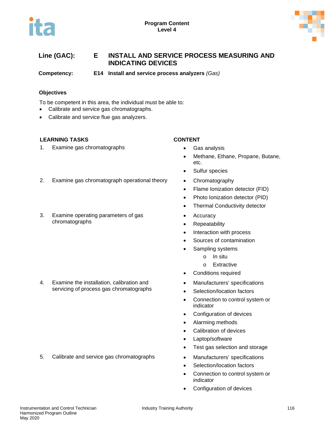



# **Line (GAC): E INSTALL AND SERVICE PROCESS MEASURING AND INDICATING DEVICES**

**Competency: E14 Install and service process analyzers** *(Gas)*

# **Objectives**

To be competent in this area, the individual must be able to:

- Calibrate and service gas chromatographs.
- Calibrate and service flue gas analyzers.

# **LEARNING TASKS CONTENT**

1. Examine gas chromatographs **•** Gas analysis

- 
- Methane, Ethane, Propane, Butane, etc.
- Sulfur species
- 2. Examine gas chromatograph operational theory Chromatography
	- Flame Ionization detector (FID)
	- Photo Ionization detector (PID)
	- Thermal Conductivity detector
	- Accuracy
	- Repeatability
	- Interaction with process
	- Sources of contamination
	- Sampling systems
		- o In situ
		- o Extractive
	- Conditions required
	- Manufacturers' specifications
	- Selection/location factors
	- Connection to control system or indicator
	- Configuration of devices
	- Alarming methods
	- Calibration of devices
	- Laptop/software
	- Test gas selection and storage
	-
	- Selection/location factors
	- Connection to control system or indicator
	- Configuration of devices

4. Examine the installation, calibration and servicing of process gas chromatographs

3. Examine operating parameters of gas

chromatographs

5. Calibrate and service gas chromatographs • Manufacturers' specifications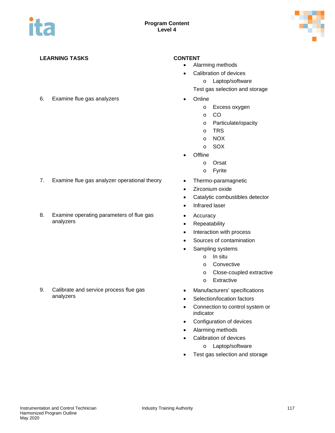

# **LEARNING TASKS CONTENT**

- 6. Examine flue gas analyzers Online
- 

- 7. Examine flue gas analyzer operational theory Thermo-paramagnetic
- 8. Examine operating parameters of flue gas analyzers

9. Calibrate and service process flue gas analyzers

- Alarming methods
- Calibration of devices
	- o Laptop/software
	- Test gas selection and storage
- - o Excess oxygen
	- o CO
	- o Particulate/opacity
	- o TRS
	- o NOX
	- o SOX
- Offline
	- o Orsat
	- o Fyrite
- 
- Zirconium oxide
- Catalytic combustibles detector
- Infrared laser
- Accuracy
- Repeatability
- Interaction with process
- Sources of contamination
- Sampling systems
	- o In situ
	- o Convective
	- o Close-coupled extractive
	- o Extractive
- Manufacturers' specifications
- Selection/location factors
- Connection to control system or indicator
- Configuration of devices
- Alarming methods
- Calibration of devices
	- o Laptop/software
- Test gas selection and storage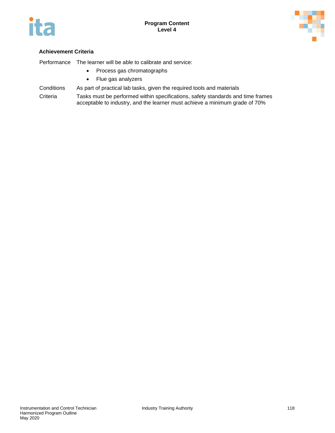



# **Achievement Criteria**

Performance The learner will be able to calibrate and service:

- Process gas chromatographs
- Flue gas analyzers
- Conditions As part of practical lab tasks, given the required tools and materials
- Criteria Tasks must be performed within specifications, safety standards and time frames acceptable to industry, and the learner must achieve a minimum grade of 70%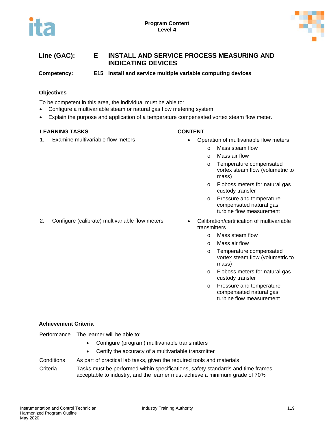



# **Line (GAC): E INSTALL AND SERVICE PROCESS MEASURING AND INDICATING DEVICES**

**Competency: E15 Install and service multiple variable computing devices**

# **Objectives**

To be competent in this area, the individual must be able to:

- Configure a multivariable steam or natural gas flow metering system.
- Explain the purpose and application of a temperature compensated vortex steam flow meter.

### **LEARNING TASKS CONTENT**

- 1. Examine multivariable flow meters Operation of multivariable flow meters
	- - o Mass steam flow
		- o Mass air flow
		- o Temperature compensated vortex steam flow (volumetric to mass)
		- o Floboss meters for natural gas custody transfer
		- o Pressure and temperature compensated natural gas turbine flow measurement
- 2. Configure (calibrate) multivariable flow meters Calibration/certification of multivariable transmitters
	- o Mass steam flow
	- o Mass air flow
	- o Temperature compensated vortex steam flow (volumetric to mass)
	- o Floboss meters for natural gas custody transfer
	- o Pressure and temperature compensated natural gas turbine flow measurement

### **Achievement Criteria**

- Configure (program) multivariable transmitters
- Certify the accuracy of a multivariable transmitter
- Conditions As part of practical lab tasks, given the required tools and materials

Criteria Tasks must be performed within specifications, safety standards and time frames acceptable to industry, and the learner must achieve a minimum grade of 70%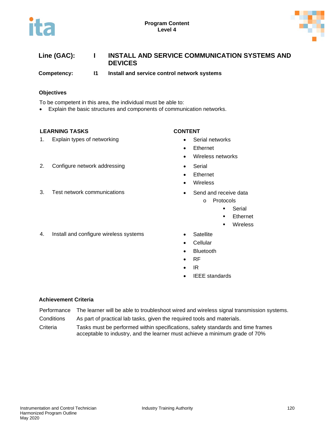



| Line (GAC): | INSTALL AND SERVICE COMMUNICATION SYSTEMS AND |
|-------------|-----------------------------------------------|
|             | <b>DEVICES</b>                                |

**Competency: I1 Install and service control network systems**

### **Objectives**

To be competent in this area, the individual must be able to:

• Explain the basic structures and components of communication networks.

### **LEARNING TASKS CONTENT**

1. Explain types of networking example and the Serial networks

- 
- Ethernet
- Wireless networks
- 2. Configure network addressing **•** Serial
	- **Ethernet**
	- **Wireless**
- 3. Test network communications **•** Send and receive data
	- o Protocols
		- **Serial**
		- Ethernet
		- **Wireless**
	-
	- **Cellular**
	- **Bluetooth**
	- RF
	- IR
	- **IEEE** standards

### **Achievement Criteria**

- Performance The learner will be able to troubleshoot wired and wireless signal transmission systems.
- Conditions As part of practical lab tasks, given the required tools and materials.
- Criteria Tasks must be performed within specifications, safety standards and time frames acceptable to industry, and the learner must achieve a minimum grade of 70%

4. Install and configure wireless systems • Satellite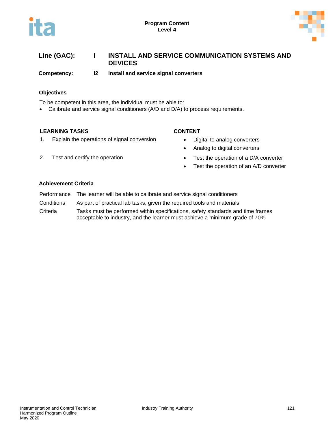



# **Line (GAC): I INSTALL AND SERVICE COMMUNICATION SYSTEMS AND DEVICES**

**Competency: I2 Install and service signal converters**

# **Objectives**

To be competent in this area, the individual must be able to:

• Calibrate and service signal conditioners (A/D and D/A) to process requirements.

### **LEARNING TASKS CONTENT**

1. Explain the operations of signal conversion • Digital to analog converters

- 
- Analog to digital converters
- 2. Test and certify the operation **•** Test the operation of a D/A converter
	- Test the operation of an A/D converter

- Performance The learner will be able to calibrate and service signal conditioners
- Conditions As part of practical lab tasks, given the required tools and materials
- Criteria Tasks must be performed within specifications, safety standards and time frames acceptable to industry, and the learner must achieve a minimum grade of 70%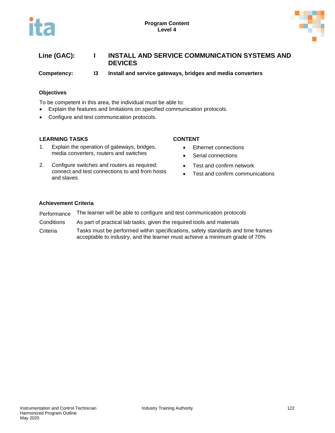



# **Line (GAC): I INSTALL AND SERVICE COMMUNICATION SYSTEMS AND DEVICES**

**Competency: I3 Install and service gateways, bridges and media converters**

### **Objectives**

To be competent in this area, the individual must be able to:

- Explain the features and limitations on specified communication protocols.
- Configure and test communication protocols.

### **LEARNING TASKS CONTENT**

- 1. Explain the operation of gateways, bridges, media converters, routers and switches
- 2. Configure switches and routers as required; connect and test connections to and from hosts and slaves

- Ethernet connections
- Serial connections
- Test and confirm network
- Test and confirm communications

- Performance The learner will be able to configure and test communication protocols
- Conditions As part of practical lab tasks, given the required tools and materials
- Criteria Tasks must be performed within specifications, safety standards and time frames acceptable to industry, and the learner must achieve a minimum grade of 70%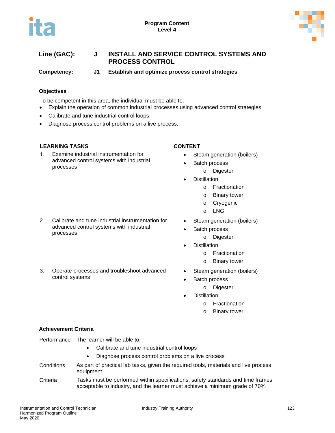

**Competency: J1 Establish and optimize process control strategies**

# **Objectives**

To be competent in this area, the individual must be able to:

- Explain the operation of common industrial processes using advanced control strategies.
- Calibrate and tune industrial control loops.
- Diagnose process control problems on a live process.

### **LEARNING TASKS CONTENT**

processes

1. Examine industrial instrumentation for advanced control systems with industrial processes

- Steam generation (boilers)
- Batch process
	- o Digester
- **Distillation** 
	- o Fractionation
	- o Binary tower
	- o Cryogenic
	- o LNG
- Steam generation (boilers)
- Batch process
	- o Digester
- **Distillation** 
	- o Fractionation
	- o Binary tower
- Steam generation (boilers)
- Batch process
	- o Digester
	- **Distillation** 
		- o Fractionation
		- o Binary tower

### **Achievement Criteria**

Performance The learner will be able to:

- Calibrate and tune industrial control loops
- Diagnose process control problems on a live process
- Conditions As part of practical lab tasks, given the required tools, materials and live process equipment
- Criteria Tasks must be performed within specifications, safety standards and time frames acceptable to industry, and the learner must achieve a minimum grade of 70%

3. Operate processes and troubleshoot advanced control systems

2. Calibrate and tune industrial instrumentation for advanced control systems with industrial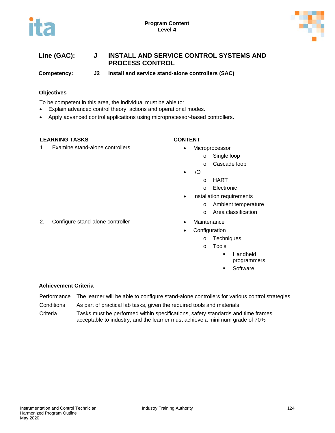



**Competency: J2 Install and service stand-alone controllers (SAC)**

# **Objectives**

To be competent in this area, the individual must be able to:

- Explain advanced control theory, actions and operational modes.
- Apply advanced control applications using microprocessor-based controllers.

### **LEARNING TASKS CONTENT**

1. Examine stand-alone controllers **•** Microprocessor

- - o Single loop
	- o Cascade loop
- $\bullet$  I/O
	- o HART
	- o Electronic
- Installation requirements
	- o Ambient temperature
	- o Area classification
- 2. Configure stand-alone controller **•** Maintenance
	- **Configuration** 
		- o Techniques
		- o Tools
			- **Handheld** 
				- programmers
			- **Software**

- Performance The learner will be able to configure stand-alone controllers for various control strategies
- Conditions As part of practical lab tasks, given the required tools and materials
- Criteria Tasks must be performed within specifications, safety standards and time frames acceptable to industry, and the learner must achieve a minimum grade of 70%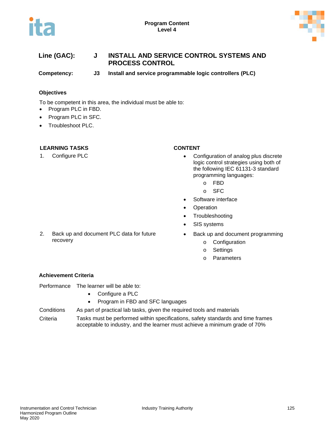



**Competency: J3 Install and service programmable logic controllers (PLC)**

# **Objectives**

To be competent in this area, the individual must be able to:

- Program PLC in FBD.
- Program PLC in SFC.
- Troubleshoot PLC.

### **LEARNING TASKS CONTENT**

- 1. Configure PLC **•** Configuration of analog plus discrete logic control strategies using both of the following IEC 61131-3 standard programming languages:
	- o FBD
	- o SFC
	- Software interface
	- **Operation**
	- Troubleshooting
	- SIS systems
	- Back up and document programming
		- o Configuration
		- o Settings
		- o Parameters

# **Achievement Criteria**

recovery

Performance The learner will be able to:

2. Back up and document PLC data for future

- Configure a PLC
- Program in FBD and SFC languages
- Conditions As part of practical lab tasks, given the required tools and materials
- Criteria Tasks must be performed within specifications, safety standards and time frames acceptable to industry, and the learner must achieve a minimum grade of 70%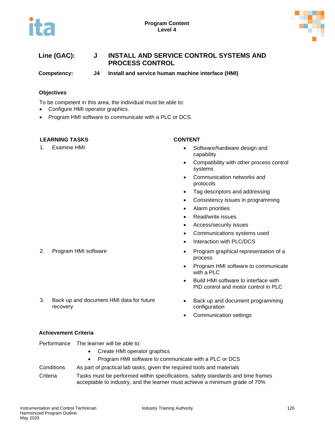



**Competency: J4 Install and service human machine interface (HMI)**

# **Objectives**

To be competent in this area, the individual must be able to:

- Configure HMI operator graphics.
- Program HMI software to communicate with a PLC or DCS.

# **LEARNING TASKS CONTENT**

- 1. Examine HMI Software/hardware design and capability
	- Compatibility with other process control systems
	- Communication networks and protocols
	- Tag descriptors and addressing
	- Consistency issues in programming
	- Alarm priorities
	- Read/write issues
	- Access/security issues
	- Communications systems used
	- Interaction with PLC/DCS
- 2. Program HMI software **•** Program graphical representation of a process
	- Program HMI software to communicate with a PLC
	- Build HMI software to interface with PID control and motor control in PLC
	- Back up and document programming configuration
	- Communication settings

3. Back up and document HMI data for future recovery

### **Achievement Criteria**

Performance The learner will be able to:

- Create HMI operator graphics
- Program HMI software to communicate with a PLC or DCS

# Conditions As part of practical lab tasks, given the required tools and materials

Criteria Tasks must be performed within specifications, safety standards and time frames acceptable to industry, and the learner must achieve a minimum grade of 70%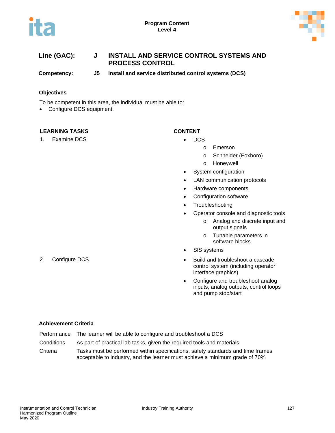



**Competency: J5 Install and service distributed control systems (DCS)**

### **Objectives**

To be competent in this area, the individual must be able to:

• Configure DCS equipment.

### **LEARNING TASKS CONTENT**

1. Examine DCS **• DCS** 

- - o Emerson
	- o Schneider (Foxboro)
	- o Honeywell
	- System configuration
	- LAN communication protocols
	- Hardware components
	- Configuration software
	- Troubleshooting
	- Operator console and diagnostic tools
		- o Analog and discrete input and output signals
		- o Tunable parameters in software blocks
	- SIS systems
- 2. Configure DCS  **Build and troubleshoot a cascade** control system (including operator interface graphics)
	- Configure and troubleshoot analog inputs, analog outputs, control loops and pump stop/start

- Performance The learner will be able to configure and troubleshoot a DCS
- Conditions As part of practical lab tasks, given the required tools and materials
- Criteria Tasks must be performed within specifications, safety standards and time frames acceptable to industry, and the learner must achieve a minimum grade of 70%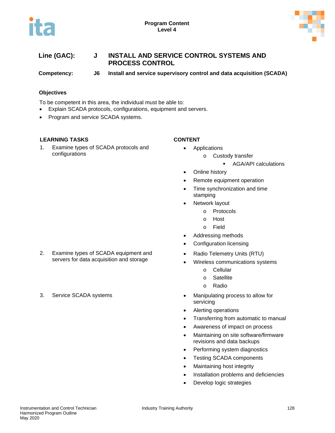



**Competency: J6 Install and service supervisory control and data acquisition (SCADA)**

# **Objectives**

To be competent in this area, the individual must be able to:

- Explain SCADA protocols, configurations, equipment and servers.
- Program and service SCADA systems.

# **LEARNING TASKS CONTENT**

1. Examine types of SCADA protocols and configurations

- Applications
	- o Custody transfer
		- **AGA/API calculations**
- Online history
- Remote equipment operation
- Time synchronization and time stamping
- **Network layout** 
	- o Protocols
	- o Host
	- o Field
- Addressing methods
- Configuration licensing
- Radio Telemetry Units (RTU)
- Wireless communications systems
	- o Cellular
	- o Satellite
	- o Radio
- 3. Service SCADA systems **•** Manipulating process to allow for servicing
	- Alerting operations
	- Transferring from automatic to manual
	- Awareness of impact on process
	- Maintaining on site software/firmware revisions and data backups
	- Performing system diagnostics
	- Testing SCADA components
	- Maintaining host integrity
	- Installation problems and deficiencies
	- Develop logic strategies
- 2. Examine types of SCADA equipment and servers for data acquisition and storage
-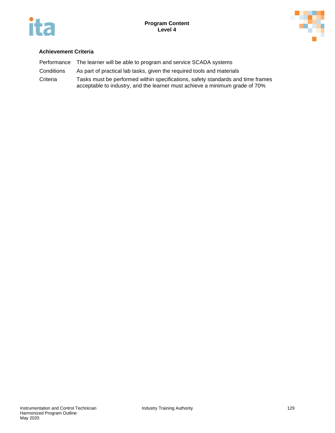



|            | Performance The learner will be able to program and service SCADA systems                                                                                      |
|------------|----------------------------------------------------------------------------------------------------------------------------------------------------------------|
| Conditions | As part of practical lab tasks, given the required tools and materials                                                                                         |
| Criteria   | Tasks must be performed within specifications, safety standards and time frames<br>acceptable to industry, and the learner must achieve a minimum grade of 70% |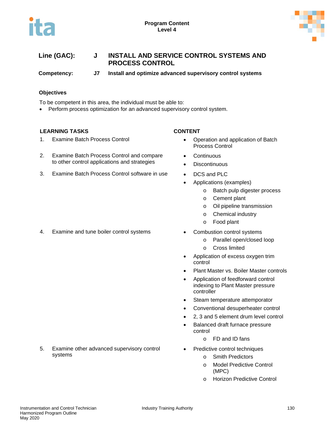



**Competency: J7 Install and optimize advanced supervisory control systems**

# **Objectives**

To be competent in this area, the individual must be able to:

• Perform process optimization for an advanced supervisory control system.

### **LEARNING TASKS CONTENT**

1. Examine Batch Process Control **•** Operation and application of Batch

### 2. Examine Batch Process Control and compare to other control applications and strategies

3. Examine Batch Process Control software in use • DCS and PLC

### 4. Examine and tune boiler control systems • Combustion control systems

5. Examine other advanced supervisory control

- - Process Control
	- **Continuous**
	- Discontinuous
	-
	- Applications (examples)
		- o Batch pulp digester process
		- o Cement plant
		- o Oil pipeline transmission
		- o Chemical industry
		- o Food plant
	- - o Parallel open/closed loop
		- o Cross limited
	- Application of excess oxygen trim control
	- Plant Master vs. Boiler Master controls
	- Application of feedforward control indexing to Plant Master pressure controller
	- Steam temperature attemporator
	- Conventional desuperheater control
	- 2, 3 and 5 element drum level control
	- Balanced draft furnace pressure control
		- o FD and ID fans
	- Predictive control techniques
		- o Smith Predictors
		- o Model Predictive Control (MPC)
		- o Horizon Predictive Control

systems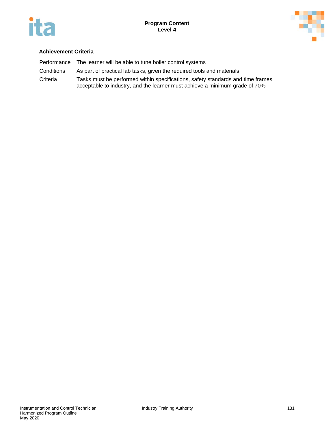



|            | Performance The learner will be able to tune boiler control systems                                                                                            |
|------------|----------------------------------------------------------------------------------------------------------------------------------------------------------------|
| Conditions | As part of practical lab tasks, given the required tools and materials                                                                                         |
| Criteria   | Tasks must be performed within specifications, safety standards and time frames<br>acceptable to industry, and the learner must achieve a minimum grade of 70% |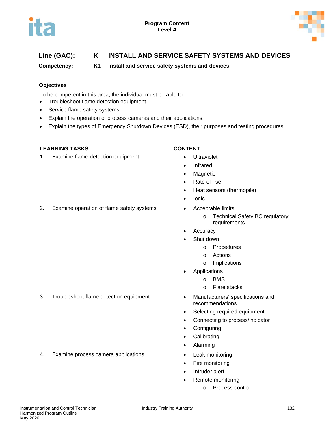

# **Line (GAC): K INSTALL AND SERVICE SAFETY SYSTEMS AND DEVICES**

**Competency: K1 Install and service safety systems and devices**

# **Objectives**

To be competent in this area, the individual must be able to:

- Troubleshoot flame detection equipment.
- Service flame safety systems.
- Explain the operation of process cameras and their applications.
- Explain the types of Emergency Shutdown Devices (ESD), their purposes and testing procedures.

# **LEARNING TASKS CONTENT**

1. Examine flame detection equipment • Ultraviolet

- 
- Infrared
- Magnetic
- Rate of rise
- Heat sensors (thermopile)
- Ionic
- - o Technical Safety BC regulatory requirements
- **Accuracy**
- Shut down
	- o Procedures
	- o Actions
	- o Implications
- Applications
	- o BMS
	- o Flare stacks
- recommendations
- Selecting required equipment
- Connecting to process/indicator
- Configuring
- Calibrating
- Alarming
- 
- Fire monitoring
- Intruder alert
- Remote monitoring
	- o Process control

3. Troubleshoot flame detection equipment • Manufacturers' specifications and

4. Examine process camera applications • Leak monitoring

# 2. Examine operation of flame safety systems • Acceptable limits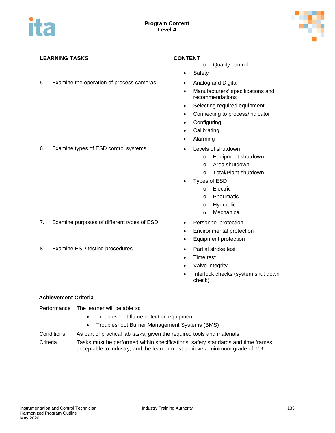

# **LEARNING TASKS CONTENT**

5. Examine the operation of process cameras • Analog and Digital

- 
- 6. Examine types of ESD control systems Levels of shutdown
- 

- 7. Examine purposes of different types of ESD Personnel protection
- 8. Examine ESD testing procedures Partial stroke test

- o Quality control
- **Safety**
- 
- Manufacturers' specifications and recommendations
- Selecting required equipment
- Connecting to process/indicator
- Configuring
- Calibrating
- Alarming
- - o Equipment shutdown
	- o Area shutdown
	- o Total/Plant shutdown
- Types of ESD
	- o Electric
		- o Pneumatic
		- o Hydraulic
		- o Mechanical
- 
- Environmental protection
- Equipment protection
- 
- Time test
- Valve integrity
- Interlock checks (system shut down check)

# **Achievement Criteria**

Performance The learner will be able to:

- Troubleshoot flame detection equipment
- Troubleshoot Burner Management Systems (BMS)
- Conditions As part of practical lab tasks, given the required tools and materials
- Criteria Tasks must be performed within specifications, safety standards and time frames acceptable to industry, and the learner must achieve a minimum grade of 70%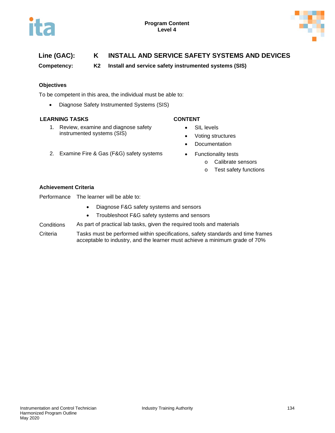

# **Line (GAC): K INSTALL AND SERVICE SAFETY SYSTEMS AND DEVICES**

**Competency: K2 Install and service safety instrumented systems (SIS)**

# **Objectives**

To be competent in this area, the individual must be able to:

• Diagnose Safety Instrumented Systems (SIS)

### **LEARNING TASKS CONTENT**

- 1. Review, examine and diagnose safety instrumented systems (SIS)
- 2. Examine Fire & Gas (F&G) safety systems Functionality tests

- SIL levels
- Voting structures
- Documentation
- - o Calibrate sensors
	- o Test safety functions

### **Achievement Criteria**

Performance The learner will be able to:

- Diagnose F&G safety systems and sensors
- Troubleshoot F&G safety systems and sensors
- Conditions As part of practical lab tasks, given the required tools and materials
- Criteria Tasks must be performed within specifications, safety standards and time frames acceptable to industry, and the learner must achieve a minimum grade of 70%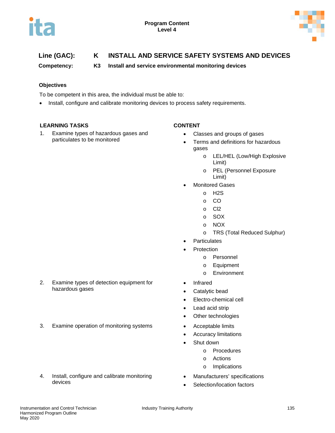

# **Line (GAC): K INSTALL AND SERVICE SAFETY SYSTEMS AND DEVICES**

**Competency: K3 Install and service environmental monitoring devices**

# **Objectives**

To be competent in this area, the individual must be able to:

• Install, configure and calibrate monitoring devices to process safety requirements.

# **LEARNING TASKS CONTENT**

1. Examine types of hazardous gases and particulates to be monitored

- Classes and groups of gases
- Terms and definitions for hazardous gases
	- o LEL/HEL (Low/High Explosive Limit)
	- o PEL (Personnel Exposure Limit)
- Monitored Gases
	- o H2S
	- o CO
	- o Cl2
	- o SOX
	- o NOX
	- o TRS (Total Reduced Sulphur)
- **Particulates**
- **Protection** 
	- o Personnel
	- o Equipment
	- o Environment
- **Infrared**
- Catalytic bead
- Electro-chemical cell
- Lead acid strip
- Other technologies
- 3. Examine operation of monitoring systems Acceptable limits
	- Accuracy limitations
	- Shut down
		- o Procedures
		- o Actions
		- o Implications
	- Manufacturers' specifications
	- Selection/location factors

2. Examine types of detection equipment for hazardous gases

- 
- 4. Install, configure and calibrate monitoring devices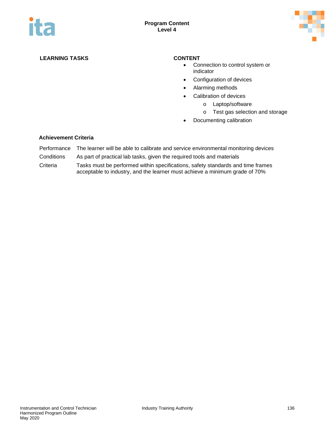



# **LEARNING TASKS CONTENT**

- Connection to control system or indicator
- Configuration of devices
- Alarming methods
- Calibration of devices
	- o Laptop/software
	- o Test gas selection and storage
- Documenting calibration

- Performance The learner will be able to calibrate and service environmental monitoring devices
- Conditions As part of practical lab tasks, given the required tools and materials
- Criteria Tasks must be performed within specifications, safety standards and time frames acceptable to industry, and the learner must achieve a minimum grade of 70%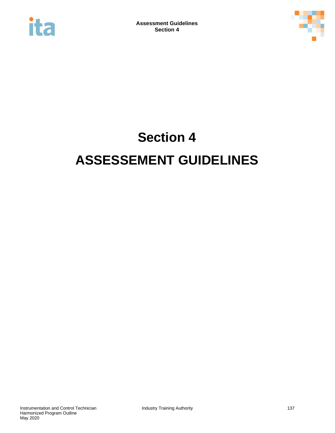



# **Section 4 ASSESSEMENT GUIDELINES**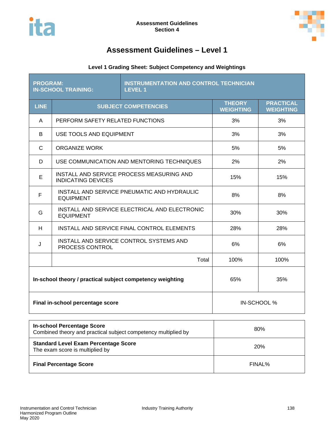

# **Level 1 Grading Sheet: Subject Competency and Weightings**

| <b>PROGRAM:</b><br><b>IN-SCHOOL TRAINING:</b>                                  |                                                                   | <b>INSTRUMENTATION AND CONTROL TECHNICIAN</b><br><b>LEVEL 1</b> |                                   |                                      |
|--------------------------------------------------------------------------------|-------------------------------------------------------------------|-----------------------------------------------------------------|-----------------------------------|--------------------------------------|
| <b>LINE</b>                                                                    |                                                                   | <b>SUBJECT COMPETENCIES</b>                                     | <b>THEORY</b><br><b>WEIGHTING</b> | <b>PRACTICAL</b><br><b>WEIGHTING</b> |
| A                                                                              | PERFORM SAFETY RELATED FUNCTIONS                                  |                                                                 | 3%                                | 3%                                   |
| B                                                                              | USE TOOLS AND EQUIPMENT                                           |                                                                 | 3%                                | 3%                                   |
| C                                                                              | <b>ORGANIZE WORK</b>                                              |                                                                 | 5%                                | 5%                                   |
| D                                                                              |                                                                   | USE COMMUNICATION AND MENTORING TECHNIQUES                      | 2%                                | 2%                                   |
| E                                                                              | <b>INDICATING DEVICES</b>                                         | INSTALL AND SERVICE PROCESS MEASURING AND                       | 15%                               | 15%                                  |
| F                                                                              | INSTALL AND SERVICE PNEUMATIC AND HYDRAULIC<br><b>EQUIPMENT</b>   |                                                                 | 8%                                | 8%                                   |
| G                                                                              | INSTALL AND SERVICE ELECTRICAL AND ELECTRONIC<br><b>EQUIPMENT</b> |                                                                 | 30%                               | 30%                                  |
| H                                                                              | INSTALL AND SERVICE FINAL CONTROL ELEMENTS                        |                                                                 | 28%                               | 28%                                  |
| J                                                                              | INSTALL AND SERVICE CONTROL SYSTEMS AND<br>PROCESS CONTROL        |                                                                 | 6%                                | 6%                                   |
|                                                                                |                                                                   | Total                                                           | 100%                              | 100%                                 |
| In-school theory / practical subject competency weighting                      |                                                                   |                                                                 | 65%                               | 35%                                  |
| Final in-school percentage score                                               |                                                                   |                                                                 |                                   | IN-SCHOOL %                          |
| <b>In-school Percentage Score</b>                                              |                                                                   |                                                                 |                                   |                                      |
| Combined theory and practical subject competency multiplied by                 |                                                                   |                                                                 |                                   | 80%                                  |
| <b>Standard Level Exam Percentage Score</b><br>The exam score is multiplied by |                                                                   |                                                                 | 20%                               |                                      |

**Final Percentage Score FINAL%**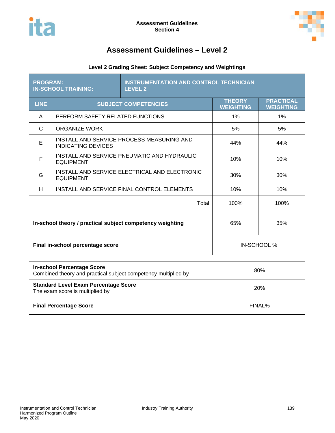

# **Level 2 Grading Sheet: Subject Competency and Weightings**

| <b>PROGRAM:</b><br><b>IN-SCHOOL TRAINING:</b>             |                                                                        | <b>INSTRUMENTATION AND CONTROL TECHNICIAN</b><br><b>LEVEL 2</b> |                                   |                                      |
|-----------------------------------------------------------|------------------------------------------------------------------------|-----------------------------------------------------------------|-----------------------------------|--------------------------------------|
| <b>LINE</b>                                               | <b>SUBJECT COMPETENCIES</b>                                            |                                                                 | <b>THEORY</b><br><b>WEIGHTING</b> | <b>PRACTICAL</b><br><b>WEIGHTING</b> |
| A                                                         | PERFORM SAFETY RELATED FUNCTIONS                                       |                                                                 | 1%                                | $1\%$                                |
| C                                                         | ORGANIZE WORK                                                          |                                                                 | 5%                                | 5%                                   |
| E                                                         | INSTALL AND SERVICE PROCESS MEASURING AND<br><b>INDICATING DEVICES</b> | 44%                                                             | 44%                               |                                      |
| F                                                         | INSTALL AND SERVICE PNEUMATIC AND HYDRAULIC<br><b>EQUIPMENT</b>        | 10%                                                             | 10%                               |                                      |
| G                                                         | INSTALL AND SERVICE ELECTRICAL AND ELECTRONIC<br><b>EQUIPMENT</b>      | 30%                                                             | 30%                               |                                      |
| H                                                         | INSTALL AND SERVICE FINAL CONTROL ELEMENTS                             |                                                                 | 10%                               | 10%                                  |
|                                                           |                                                                        | Total                                                           | 100%                              | 100%                                 |
| In-school theory / practical subject competency weighting |                                                                        |                                                                 | 65%                               | 35%                                  |
| Final in-school percentage score                          |                                                                        |                                                                 |                                   | IN-SCHOOL %                          |
|                                                           |                                                                        |                                                                 |                                   |                                      |

| <b>In-school Percentage Score</b><br>Combined theory and practical subject competency multiplied by | 80%        |  |
|-----------------------------------------------------------------------------------------------------|------------|--|
| <b>Standard Level Exam Percentage Score</b><br>The exam score is multiplied by                      | <b>20%</b> |  |
| <b>Final Percentage Score</b>                                                                       | FINAL%     |  |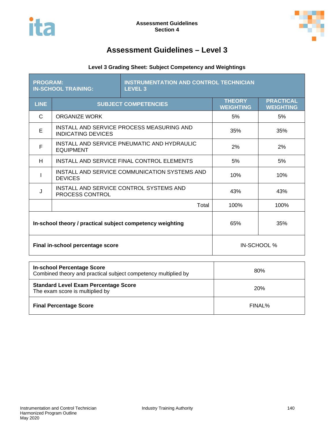

# **Level 3 Grading Sheet: Subject Competency and Weightings**

| <b>PROGRAM:</b>                                           | <b>IN-SCHOOL TRAINING:</b>                                             | <b>INSTRUMENTATION AND CONTROL TECHNICIAN</b><br><b>LEVEL 3</b> |                                   |                                      |  |
|-----------------------------------------------------------|------------------------------------------------------------------------|-----------------------------------------------------------------|-----------------------------------|--------------------------------------|--|
| <b>LINE</b>                                               | <b>SUBJECT COMPETENCIES</b>                                            |                                                                 | <b>THEORY</b><br><b>WEIGHTING</b> | <b>PRACTICAL</b><br><b>WEIGHTING</b> |  |
| C                                                         | ORGANIZE WORK                                                          |                                                                 | 5%                                | 5%                                   |  |
| E                                                         | INSTALL AND SERVICE PROCESS MEASURING AND<br><b>INDICATING DEVICES</b> | 35%                                                             | 35%                               |                                      |  |
| F                                                         | INSTALL AND SERVICE PNEUMATIC AND HYDRAULIC<br><b>EQUIPMENT</b>        | 2%                                                              | 2%                                |                                      |  |
| H                                                         | INSTALL AND SERVICE FINAL CONTROL ELEMENTS                             |                                                                 | 5%                                | 5%                                   |  |
|                                                           | INSTALL AND SERVICE COMMUNICATION SYSTEMS AND<br><b>DEVICES</b>        |                                                                 | 10%                               | 10%                                  |  |
| J                                                         | INSTALL AND SERVICE CONTROL SYSTEMS AND<br>PROCESS CONTROL             | 43%                                                             | 43%                               |                                      |  |
|                                                           |                                                                        | Total                                                           | 100%                              | 100%                                 |  |
| In-school theory / practical subject competency weighting |                                                                        | 65%                                                             | 35%                               |                                      |  |
| Final in-school percentage score                          |                                                                        |                                                                 | IN-SCHOOL %                       |                                      |  |
| In-school Percentage Score                                |                                                                        |                                                                 |                                   |                                      |  |

| <b>In-school Percentage Score</b><br>Combined theory and practical subject competency multiplied by | 80%        |  |
|-----------------------------------------------------------------------------------------------------|------------|--|
| <b>Standard Level Exam Percentage Score</b><br>The exam score is multiplied by                      | <b>20%</b> |  |
| <b>Final Percentage Score</b>                                                                       | FINAL%     |  |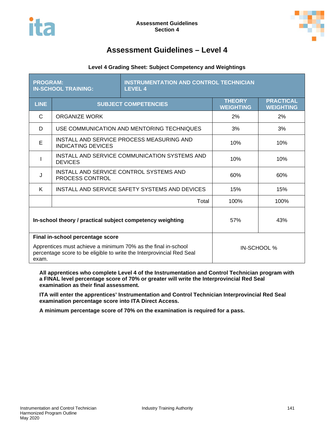

# **Level 4 Grading Sheet: Subject Competency and Weightings**

| <b>PROGRAM:</b><br><b>IN-SCHOOL TRAINING:</b>                                                                                                   |                                                                        | <b>INSTRUMENTATION AND CONTROL TECHNICIAN</b><br><b>LEVEL 4</b> |                                   |                                      |  |
|-------------------------------------------------------------------------------------------------------------------------------------------------|------------------------------------------------------------------------|-----------------------------------------------------------------|-----------------------------------|--------------------------------------|--|
| <b>LINE</b>                                                                                                                                     | <b>SUBJECT COMPETENCIES</b>                                            |                                                                 | <b>THEORY</b><br><b>WEIGHTING</b> | <b>PRACTICAL</b><br><b>WEIGHTING</b> |  |
| C                                                                                                                                               | ORGANIZE WORK                                                          |                                                                 | 2%                                | 2%                                   |  |
| D                                                                                                                                               |                                                                        | USE COMMUNICATION AND MENTORING TECHNIQUES                      | 3%                                | 3%                                   |  |
| E                                                                                                                                               | INSTALL AND SERVICE PROCESS MEASURING AND<br><b>INDICATING DEVICES</b> |                                                                 | 10%                               | 10%                                  |  |
|                                                                                                                                                 | INSTALL AND SERVICE COMMUNICATION SYSTEMS AND<br><b>DEVICES</b>        |                                                                 | 10%                               | 10%                                  |  |
| J                                                                                                                                               | INSTALL AND SERVICE CONTROL SYSTEMS AND<br>PROCESS CONTROL             |                                                                 | 60%                               | 60%                                  |  |
| K                                                                                                                                               | INSTALL AND SERVICE SAFETY SYSTEMS AND DEVICES                         |                                                                 | 15%                               | 15%                                  |  |
|                                                                                                                                                 |                                                                        | Total                                                           | 100%                              | 100%                                 |  |
| In-school theory / practical subject competency weighting<br>57%                                                                                |                                                                        |                                                                 |                                   | 43%                                  |  |
| Final in-school percentage score                                                                                                                |                                                                        |                                                                 |                                   |                                      |  |
| Apprentices must achieve a minimum 70% as the final in-school<br>percentage score to be eligible to write the Interprovincial Red Seal<br>exam. |                                                                        |                                                                 | IN-SCHOOL %                       |                                      |  |

**All apprentices who complete Level 4 of the Instrumentation and Control Technician program with a FINAL level percentage score of 70% or greater will write the Interprovincial Red Seal examination as their final assessment.**

**ITA will enter the apprentices' Instrumentation and Control Technician Interprovincial Red Seal examination percentage score into ITA Direct Access.**

**A minimum percentage score of 70% on the examination is required for a pass.**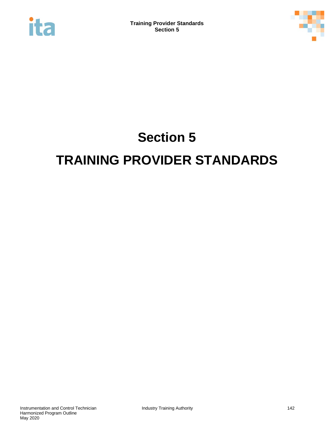



# **Section 5 TRAINING PROVIDER STANDARDS**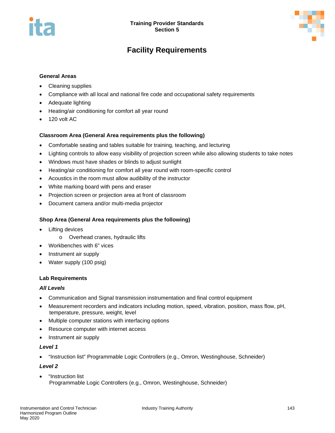

# **Facility Requirements**

# **General Areas**

- Cleaning supplies
- Compliance with all local and national fire code and occupational safety requirements
- Adequate lighting
- Heating/air conditioning for comfort all year round
- 120 volt AC

### **Classroom Area (General Area requirements plus the following)**

- Comfortable seating and tables suitable for training, teaching, and lecturing
- Lighting controls to allow easy visibility of projection screen while also allowing students to take notes
- Windows must have shades or blinds to adjust sunlight
- Heating/air conditioning for comfort all year round with room-specific control
- Acoustics in the room must allow audibility of the instructor
- White marking board with pens and eraser
- Projection screen or projection area at front of classroom
- Document camera and/or multi-media projector

### **Shop Area (General Area requirements plus the following)**

- Lifting devices
	- o Overhead cranes, hydraulic lifts
- Workbenches with 6" vices
- Instrument air supply
- Water supply (100 psig)

#### **Lab Requirements**

#### *All Levels*

- Communication and Signal transmission instrumentation and final control equipment
- Measurement recorders and indicators including motion, speed, vibration, position, mass flow, pH, temperature, pressure, weight, level
- Multiple computer stations with interfacing options
- Resource computer with internet access
- Instrument air supply

#### *Level 1*

• "Instruction list" Programmable Logic Controllers (e.g., Omron, Westinghouse, Schneider)

#### *Level 2*

• "Instruction list Programmable Logic Controllers (e.g., Omron, Westinghouse, Schneider)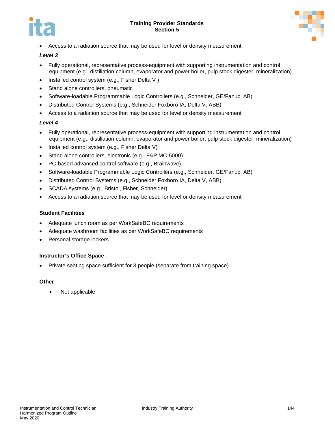



• Access to a radiation source that may be used for level or density measurement

# *Level 3*

- Fully operational, representative process-equipment with supporting instrumentation and control equipment (e.g., distillation column, evaporator and power boiler, pulp stock digester, mineralization)
- Installed control system (e.g., Fisher Delta V)
- Stand alone controllers, pneumatic
- Software-loadable Programmable Logic Controllers (e.g., Schneider, GE/Fanuc, AB)
- Distributed Control Systems (e.g., Schneider Foxboro IA, Delta V, ABB)
- Access to a radiation source that may be used for level or density measurement

# *Level 4*

- Fully operational, representative process-equipment with supporting instrumentation and control equipment (e.g., distillation column, evaporator and power boiler, pulp stock digester, mineralization)
- Installed control system (e.g., Fisher Delta V)
- Stand alone controllers, electronic (e.g., F&P MC-5000)
- PC-based advanced control software (e.g., Brainwave)
- Software-loadable Programmable Logic Controllers (e.g., Schneider, GE/Fanuc, AB)
- Distributed Control Systems (e.g., Schneider Foxboro IA, Delta V, ABB)
- SCADA systems (e.g., Bristol, Fisher, Schneider)
- Access to a radiation source that may be used for level or density measurement

# **Student Facilities**

- Adequate lunch room as per WorkSafeBC requirements
- Adequate washroom facilities as per WorkSafeBC requirements
- Personal storage lockers

# **Instructor's Office Space**

• Private seating space sufficient for 3 people (separate from training space)

# **Other**

• Not applicable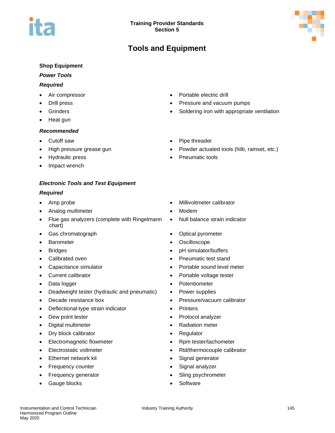# **Tools and Equipment**

# **Shop Equipment**

# *Power Tools*

# *Required*

- 
- 
- 
- Heat gun

# *Recommended*

- 
- 
- 
- Impact wrench

# *Electronic Tools and Test Equipment*

# *Required*

- 
- Analog multimeter **•** Modem
- Flue gas analyzers (complete with Ringelmann chart)
- Gas chromatograph **•** Optical pyrometer
- 
- 
- 
- 
- 
- 
- Deadweight tester (hydraulic and pneumatic) Power supplies
- 
- Deflectional-type strain indicator Printers
- 
- Digital multimeter Radiation meter
- Dry block calibrator **•** Regulator
- Electromagnetic flowmeter **•** Rpm tester/tachometer
- 
- Ethernet network kit **•** Signal generator
- 
- 
- Gauge blocks Software
- Air compressor Portable electric drill
- Drill press Pressure and vacuum pumps
	- Grinders Soldering iron with appropriate ventilation
- Cutoff saw  **Pipe threader** 
	- High pressure grease gun Powder actuated tools (hilti, ramset, etc.)
	- Hydraulic press Pneumatic tools
- Amp probe Millivoltmeter calibrator
	-
	- Null balance strain indicator
	-
- Barometer Constantine Oscilloscope
- Bridges **blue and the state of the state of the state of the state of the state of the state of the state of the state of the state of the state of the state of the state of the state of the state of the state of the s**
- Calibrated oven **•** Pneumatic test stand
- Capacitance simulator **•** Portable sound level meter
- Current calibrator  **Portable voltage tester**
- Data logger Potentiometer
	-
	- **Decade resistance box by ressure/vacuum calibrator** 
		-
- Dew point tester Protocol analyzer
	-
	-
	-
- Electrostatic voltmeter **Electrostatic voltmeter** Rtd/thermocouple calibrator
	-
	- Frequency counter **Frequency** counter **•** Signal analyzer
	- Frequency generator **•** Sling psychrometer
		-

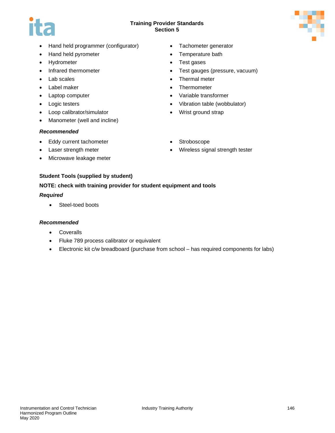

- Hand held programmer (configurator) Tachometer generator
- Hand held pyrometer Temperature bath
- Hydrometer Test gases
- 
- 
- 
- 
- 
- Loop calibrator/simulator Wrist ground strap
- Manometer (well and incline)

# *Recommended*

- Eddy current tachometer Stroboscope
- 
- Microwave leakage meter
	-

- 
- 
- Infrared thermometer Test gauges (pressure, vacuum)
- Lab scales Thermal meter
- Label maker Thermometer
- Laptop computer Variable transformer
- Logic testers Vibration table (wobbulator)
	-
	-
	- Laser strength meter **•** Wireless signal strength tester

# **Student Tools (supplied by student)**

# **NOTE: check with training provider for student equipment and tools**

# *Required*

• Steel-toed boots

# *Recommended*

- Coveralls
- Fluke 789 process calibrator or equivalent
- Electronic kit c/w breadboard (purchase from school has required components for labs)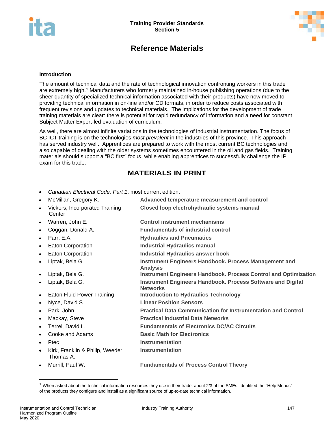

# **Reference Materials**

#### **Introduction**

The amount of technical data and the rate of technological innovation confronting workers in this trade are extremely high.<sup>[1](#page-148-0)</sup> Manufacturers who formerly maintained in-house publishing operations (due to the sheer quantity of specialized technical information associated with their products) have now moved to providing technical information in on-line and/or CD formats, in order to reduce costs associated with frequent revisions and updates to technical materials. The implications for the development of trade training materials are clear: there is potential for rapid redundancy of information and a need for constant Subject Matter Expert-led evaluation of curriculum.

As well, there are almost infinite variations in the technologies of industrial instrumentation. The focus of BC ICT training is on the technologies *most prevalent* in the industries of this province. This approach has served industry well. Apprentices are prepared to work with the most current BC technologies and also capable of dealing with the older systems sometimes encountered in the oil and gas fields. Training materials should support a "BC first" focus, while enabling apprentices to successfully challenge the IP exam for this trade.

# **MATERIALS IN PRINT**

• *Canadian Electrical Code, Part 1*, most current edition.

| $\bullet$ | McMillan, Gregory K.                          | Advanced temperature measurement and control                                          |
|-----------|-----------------------------------------------|---------------------------------------------------------------------------------------|
| $\bullet$ | Vickers, Incorporated Training<br>Center      | Closed loop electrohydraulic systems manual                                           |
| $\bullet$ | Warren, John E.                               | <b>Control instrument mechanisms</b>                                                  |
| $\bullet$ | Coggan, Donald A.                             | <b>Fundamentals of industrial control</b>                                             |
| $\bullet$ | Parr, E.A.                                    | <b>Hydraulics and Pneumatics</b>                                                      |
| $\bullet$ | Eaton Corporation                             | <b>Industrial Hydraulics manual</b>                                                   |
| $\bullet$ | Eaton Corporation                             | <b>Industrial Hydraulics answer book</b>                                              |
| $\bullet$ | Liptak, Bela G.                               | Instrument Engineers Handbook. Process Management and<br><b>Analysis</b>              |
| $\bullet$ | Liptak, Bela G.                               | <b>Instrument Engineers Handbook. Process Control and Optimization</b>                |
| $\bullet$ | Liptak, Bela G.                               | <b>Instrument Engineers Handbook. Process Software and Digital</b><br><b>Networks</b> |
| $\bullet$ | <b>Eaton Fluid Power Training</b>             | <b>Introduction to Hydraulics Technology</b>                                          |
| $\bullet$ | Nyce, David S.                                | <b>Linear Position Sensors</b>                                                        |
| $\bullet$ | Park, John                                    | <b>Practical Data Communication for Instrumentation and Control</b>                   |
| $\bullet$ | Mackay, Steve                                 | <b>Practical Industrial Data Networks</b>                                             |
| $\bullet$ | Terrel, David L.                              | <b>Fundamentals of Electronics DC/AC Circuits</b>                                     |
| $\bullet$ | Cooke and Adams                               | <b>Basic Math for Electronics</b>                                                     |
| $\bullet$ | Ptec                                          | Instrumentation                                                                       |
| $\bullet$ | Kirk, Franklin & Philip, Weeder,<br>Thomas A. | <b>Instrumentation</b>                                                                |
| $\bullet$ | Murrill, Paul W.                              | <b>Fundamentals of Process Control Theory</b>                                         |

<span id="page-148-0"></span> $1$  When asked about the technical information resources they use in their trade, about 2/3 of the SMEs, identified the "Help Menus" of the products they configure and install as a significant source of up-to-date technical information.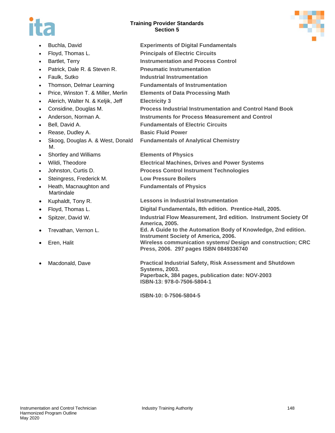



|           | Buchla, David                          | <b>Experiments of Digital Fundamentals</b>                                                                                                                                  |
|-----------|----------------------------------------|-----------------------------------------------------------------------------------------------------------------------------------------------------------------------------|
| $\bullet$ | Floyd, Thomas L.                       | <b>Principals of Electric Circuits</b>                                                                                                                                      |
| $\bullet$ | Bartlet, Terry                         | <b>Instrumentation and Process Control</b>                                                                                                                                  |
| $\bullet$ | Patrick, Dale R. & Steven R.           | <b>Pneumatic Instrumentation</b>                                                                                                                                            |
| $\bullet$ | Faulk, Sutko                           | Industrial Instrumentation                                                                                                                                                  |
| $\bullet$ | Thomson, Delmar Learning               | <b>Fundamentals of Instrumentation</b>                                                                                                                                      |
| $\bullet$ | Price, Winston T. & Miller, Merlin     | <b>Elements of Data Processing Math</b>                                                                                                                                     |
| $\bullet$ | Alerich, Walter N. & Keljik, Jeff      | <b>Electricity 3</b>                                                                                                                                                        |
| $\bullet$ | Considine, Douglas M.                  | <b>Process Industrial Instrumentation and Control Hand Book</b>                                                                                                             |
| $\bullet$ | Anderson, Norman A.                    | <b>Instruments for Process Measurement and Control</b>                                                                                                                      |
| $\bullet$ | Bell, David A.                         | <b>Fundamentals of Electric Circuits</b>                                                                                                                                    |
| $\bullet$ | Rease, Dudley A.                       | <b>Basic Fluid Power</b>                                                                                                                                                    |
| $\bullet$ | Skoog, Douglas A. & West, Donald<br>М. | <b>Fundamentals of Analytical Chemistry</b>                                                                                                                                 |
| $\bullet$ | Shortley and Williams                  | <b>Elements of Physics</b>                                                                                                                                                  |
| $\bullet$ | Wildi, Theodore                        | <b>Electrical Machines, Drives and Power Systems</b>                                                                                                                        |
| $\bullet$ | Johnston, Curtis D.                    | <b>Process Control Instrument Technologies</b>                                                                                                                              |
| $\bullet$ | Steingress, Frederick M.               | <b>Low Pressure Boilers</b>                                                                                                                                                 |
| $\bullet$ | Heath, Macnaughton and<br>Martindale   | <b>Fundamentals of Physics</b>                                                                                                                                              |
| $\bullet$ | Kuphaldt, Tony R.                      | <b>Lessons in Industrial Instrumentation</b>                                                                                                                                |
| $\bullet$ | Floyd, Thomas L.                       | Digital Fundamentals, 8th edition. Prentice-Hall, 2005.                                                                                                                     |
| $\bullet$ | Spitzer, David W.                      | Industrial Flow Measurement, 3rd edition. Instrument Society Of<br>America, 2005.                                                                                           |
| $\bullet$ | Trevathan, Vernon L.                   | Ed. A Guide to the Automation Body of Knowledge, 2nd edition.<br><b>Instrument Society of America, 2006.</b>                                                                |
| $\bullet$ | Eren, Halit                            | Wireless communication systems/ Design and construction; CRC<br>Press, 2006. 297 pages ISBN 0849336740                                                                      |
| $\bullet$ | Macdonald, Dave                        | <b>Practical Industrial Safety, Risk Assessment and Shutdown</b><br><b>Systems, 2003.</b><br>Paperback, 384 pages, publication date: NOV-2003<br>ISBN-13: 978-0-7506-5804-1 |
|           |                                        | ISBN-10: 0-7506-5804-5                                                                                                                                                      |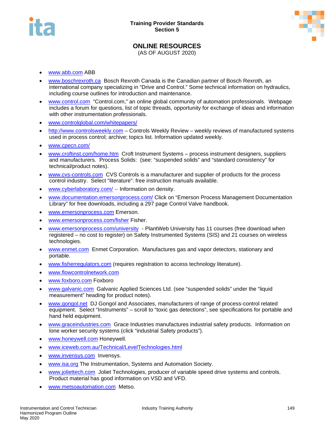



# **ONLINE RESOURCES**

(AS OF AUGUST 2020)

- [www.abb.com](http://www.abb.com/) ABB
- [www.boschrexroth.ca](http://www.boschrexroth.ca/) Bosch Rexroth Canada is the Canadian partner of Bosch Rexroth, an international company specializing in "Drive and Control." Some technical information on hydraulics, including course outlines for introduction and maintenance.
- [www.control.com](http://www.control.com/) "Control.com," an online global community of automation professionals. Webpage includes a forum for questions, list of topic threads, opportunity for exchange of ideas and information with other instrumentation professionals.
- [www.controlglobal.com/whitepapers/](http://www.controlglobal.com/whitepapers/)
- [http://www.controlsweekly.com](http://www.controlsweekly.com/) Controls Weekly Review weekly reviews of manufactured systems used in process control; archive; topics list. Information updated weekly.
- [www.cpecn.com/](http://www.cpecn.com/)
- [www.croftinst.com/home.htm](http://www.croftinst.com/home.htm) Croft Instrument Systems process instrument designers, suppliers and manufacturers. Process Solids: (see: "suspended solids" and "standard consistency" for technical/product notes).
- [www.cvs-controls.com](http://www.cvs-controls.com/) CVS Controls is a manufacturer and supplier of products for the process control industry. Select "literature": free instruction manuals available.
- [www.cyberlaboratory.com/](http://www.cyberlaboratory.com/) -- Information on density.
- [www.documentation.emersonprocess.com/](http://www.documentation.emersonprocess.com/) Click on "Emerson Process Management Documentation Library" for free downloads, including a 297 page Control Valve handbook.
- [www.emersonprocess.com](http://www.emersonprocess.com/) Emerson.
- [www.emersonprocess.com/fisher](http://www.emersonprocess.com/fisher) Fisher.
- [www.emersonprocess.com/university](http://www.emersonprocess.com/university)  PlantWeb University has 11 courses (free download when registered – no cost to register) on Safety Instrumented Systems (SIS) and 21 courses on wireless technologies.
- [www.enmet.com](http://www.enmet.com/) Enmet Corporation. Manufactures gas and vapor detectors, stationary and portable.
- [www.fisherregulators.com](http://www.fisherregulators.com/) (requires registration to access technology literature).
- [www.flowcontrolnetwork.com](http://www.flowcontrolnetwork.com/)
- [www.foxboro.com](http://www.foxboro.com/) Foxboro
- [www.galvanic.com](http://www.galvanic.com/) Galvanic Applied Sciences Ltd. (see "suspended solids" under the "liquid measurement" heading for product notes).
- [www.gongol.net](http://www.gongol.net/) DJ Gongol and Associates, manufacturers of range of process-control related equipment. Select "Instruments" – scroll to "toxic gas detections", see specifications for portable and hand held equipment.
- [www.graceindustries.com](http://www.graceindustries.com/) Grace Industries manufactures industrial safety products. Information on lone worker security systems (click "industrial Safety products").
- [www.honeywell.com](http://www.honeywell.com/) Honeywell.
- [www.iceweb.com.au/Technical/LevelTechnologies.html](http://www.iceweb.com.au/Technical/LevelTechnologies.html)
- [www.invensys.com](http://www.invensys.com/) Invensys.
- [www.isa.org](http://www.isa.org/) The Instrumentation, Systems and Automation Society.
- [www.joliettech.com](http://www.joliettech.com/) Joliet Technologies, producer of variable speed drive systems and controls. Product material has good information on VSD and VFD.
- [www.metsoautomation.com](http://www.metsoautomation.com/) Metso.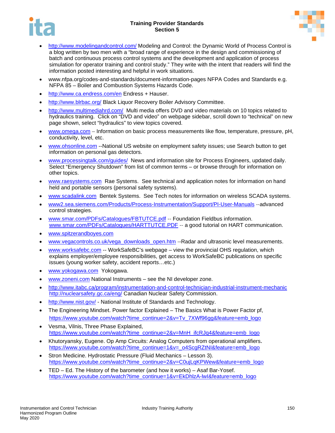



- <http://www.modelingandcontrol.com/> Modeling and Control: the Dynamic World of Process Control is a blog written by two men with a "broad range of experience in the design and commissioning of batch and continuous process control systems and the development and application of process simulation for operator training and control study." They write with the intent that readers will find the information posted interesting and helpful in work situations.
- www.nfpa.org/codes-and-standards/document-information-pages NFPA Codes and Standards e.g. NFPA 85 – Boiler and Combustion Systems Hazards Code.
- <http://www.ca.endress.com/en> Endress + Hauser.
- <http://www.blrbac.org/> Black Liquor Recovery Boiler Advisory Committee.
- <http://www.multimediahrd.com/>Multi media offers DVD and video materials on 10 topics related to hydraulics training. Click on "DVD and video" on webpage sidebar, scroll down to "technical" on new page shown, select "hydraulics" to view topics covered.
- [www.omega.com](http://www.omega.com/) Information on basic process measurements like flow, temperature, pressure, pH, conductivity, level, etc.
- [www.ohsonline.com](http://www.ohsonline.com/) --National US website on employment safety issues; use Search button to get information on personal gas detectors.
- [www.processingtalk.com/guides/](http://www.processingtalk.com/guides/) News and information site for Process Engineers, updated daily. Select "Emergency Shutdown" from list of common terms – or browse through for information on other topics.
- [www.raesystems.com](http://www.raesystems.com/) Rae Systems. See technical and application notes for information on hand held and portable sensors (personal safety systems).
- [www.scadalink.com](http://www.scadalink.com/) Bentek Systems. See Tech notes for information on wireless SCADA systems.
- [www2.sea.siemens.com/Products/Process-Instrumentation/Support/PI-User-Manuals](http://www2.sea.siemens.com/Products/Process-Instrumentation/Support/PI-User-Manuals) --advanced control strategies.
- [www.smar.com/PDFs/Catalogues/FBTUTCE.pdf](http://www.smar.com/PDFs/Catalogues/FBTUTCE.pdf) -- Foundation Fieldbus information. [www.smar.com/PDFs/Catalogues/HARTTUTCE.PDF](http://www.smar.com/PDFs/Catalogues/HARTTUTCE.PDF) -- a good tutorial on HART communication.
- [www.spitzerandboyes.com](http://www.spitzerandboyes.com/)
- [www.vegacontrols.co.uk/vega\\_downloads\\_open.htm](http://www.vegacontrols.co.uk/vega_downloads_open.htm) --Radar and ultrasonic level measurements.
- [www.worksafebc.com](http://www.worksafebc.com/) -- WorkSafeBC's webpage view the provincial OHS regulation, which explains employer/employee responsibilities, get access to WorkSafeBC publications on specific issues (young worker safety, accident reports…etc.)
- [www.yokogawa.com](http://www.yokogawa.com/) Yokogawa.
- [www.zoneni.com](http://www.zoneni.com/) National Instruments see the NI developer zone.
- <http://www.itabc.ca/program/instrumentation-and-control-technician-industrial-instrument-mechanic> <http://nuclearsafety.gc.ca/eng/> Canadian Nuclear Safety Commission.
- <http://www.nist.gov/> National Institute of Standards and Technology.
- The Engineering Mindset. Power factor Explained The Basics What is Power Factor pf, [https://www.youtube.com/watch?time\\_continue=2&v=Tv\\_7XWf96gg&feature=emb\\_logo](https://www.youtube.com/watch?time_continue=2&v=Tv_7XWf96gg&feature=emb_logo)
- Vesma, Vilnis, Three Phase Explained, [https://www.youtube.com/watch?time\\_continue=2&v=MnH\\_ifcRJq4&feature=emb\\_logo](https://www.youtube.com/watch?time_continue=2&v=MnH_ifcRJq4&feature=emb_logo)
- Khutoryansky, Eugene. Op Amp Circuits: Analog Computers from operational amplifiers**.** [https://www.youtube.com/watch?time\\_continue=1&v=\\_o4ScgRZtNI&feature=emb\\_logo](https://www.youtube.com/watch?time_continue=1&v=_o4ScgRZtNI&feature=emb_logo)
- Stron Medicine. Hydrostatic Pressure (Fluid Mechanics Lesson 3). [https://www.youtube.com/watch?time\\_continue=2&v=C0ujLqKPWew&feature=emb\\_logo](https://www.youtube.com/watch?time_continue=2&v=C0ujLqKPWew&feature=emb_logo)
- TED Ed. The History of the barometer (and how it works) Asaf Bar-Yosef. [https://www.youtube.com/watch?time\\_continue=1&v=EkDhlzA-lwI&feature=emb\\_logo](https://www.youtube.com/watch?time_continue=1&v=EkDhlzA-lwI&feature=emb_logo)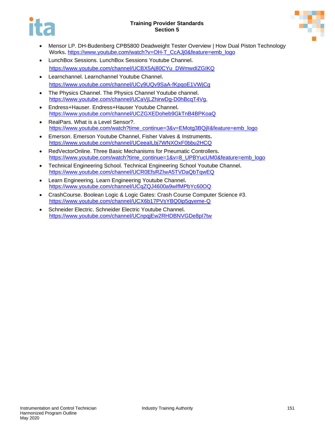



- Mensor LP. DH-Budenberg CPB5800 Deadweight Tester Overview | How Dual Piston Technology Works**.** [https://www.youtube.com/watch?v=OH-T\\_CcAJj0&feature=emb\\_logo](https://www.youtube.com/watch?v=OH-T_CcAJj0&feature=emb_logo)
- LunchBox Sessions. LunchBox Sessions Youtube Channel**.**  [https://www.youtube.com/channel/UCBX5Aj80CYu\\_DWmwdIZGIKQ](https://www.youtube.com/channel/UCBX5Aj80CYu_DWmwdIZGIKQ)
- Learnchannel. Learnchannel Youtube Channel**.**  <https://www.youtube.com/channel/UCy9UQv9SaA-fKpqoE1VWjCg>
- The Physics Channel. The Physics Channel Youtube channel**.**  [https://www.youtube.com/channel/UCaVjLZhirwDg-D0hBcqT4Vg,](https://www.youtube.com/channel/UCaVjLZhirwDg-D0hBcqT4Vg)
- Endress+Hauser. Endress+Hauser Youtube Channel**.** <https://www.youtube.com/channel/UCZGXEDoheb9GkTnB4BPKoaQ>
- RealPars. What is a Level Sensor?. https://www.youtube.com/watch?time\_continue=3&v=EMotg3BQjll&feature=emb\_logo
- Emerson. Emerson Youtube Channel, Fisher Valves & Instruments**.**  <https://www.youtube.com/channel/UCeeaILbj7WNXOxF0bbu2HCQ>
- RedVectorOnline. Three Basic Mechanisms for Pneumatic Controllers**.**  [https://www.youtube.com/watch?time\\_continue=1&v=8\\_UPBYucUM0&feature=emb\\_logo](https://www.youtube.com/watch?time_continue=1&v=8_UPBYucUM0&feature=emb_logo)
- Technical Engineering School. Technical Engineering School Youtube Channel**.**  <https://www.youtube.com/channel/UCR0EfsRZIwA5TVDaQbTqwEQ>
- Learn Engineering. Learn Engineering Youtube Channel**.** <https://www.youtube.com/channel/UCqZQJ4600a9wIfMPbYc60OQ>
- CrashCourse. Boolean Logic & Logic Gates: Crash Course Computer Science #3. <https://www.youtube.com/channel/UCX6b17PVsYBQ0ip5gyeme-Q>
- Schneider Electric. Schneider Electric Youtube Channel**.**  <https://www.youtube.com/channel/UCnpqjEw2RHDBNVGDe8pI7tw>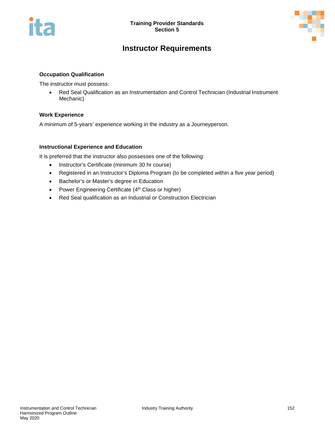



# **Instructor Requirements**

# **Occupation Qualification**

The instructor must possess:

• Red Seal Qualification as an Instrumentation and Control Technician (Industrial Instrument Mechanic)

# **Work Experience**

A minimum of 5-years' experience working in the industry as a Journeyperson.

# **Instructional Experience and Education**

It is preferred that the instructor also possesses one of the following:

- Instructor's Certificate (minimum 30 hr course)
- Registered in an Instructor's Diploma Program (to be completed within a five year period)
- Bachelor's or Master's degree in Education
- Power Engineering Certificate (4<sup>th</sup> Class or higher)
- Red Seal qualification as an Industrial or Construction Electrician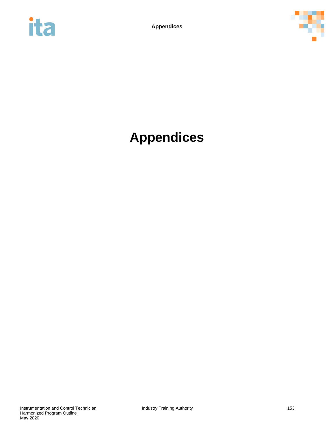



# **Appendices**

Instrumentation and Control Technician **Industry Training Authority** 153 Harmonized Program Outline May 2020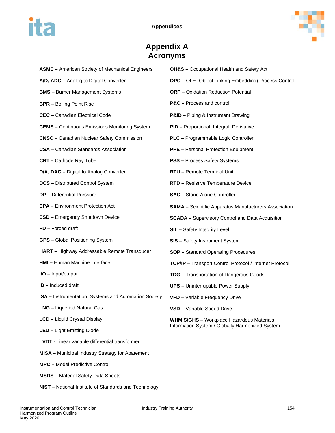



# **Appendix A Acronyms**

| <b>ASME - American Society of Mechanical Engineers</b>       | <b>OH&amp;S</b> - Occupational Health and Safety Act                                                |  |  |  |
|--------------------------------------------------------------|-----------------------------------------------------------------------------------------------------|--|--|--|
| A/D, ADC - Analog to Digital Converter                       | <b>OPC</b> - OLE (Object Linking Embedding) Process Control                                         |  |  |  |
| <b>BMS</b> - Burner Management Systems                       | <b>ORP</b> - Oxidation Reduction Potential                                                          |  |  |  |
| <b>BPR</b> - Boiling Point Rise                              | <b>P&amp;C</b> – Process and control                                                                |  |  |  |
| <b>CEC</b> - Canadian Electrical Code                        | <b>P&amp;ID</b> - Piping & Instrument Drawing                                                       |  |  |  |
| <b>CEMS</b> - Continuous Emissions Monitoring System         | PID - Proportional, Integral, Derivative                                                            |  |  |  |
| <b>CNSC</b> - Canadian Nuclear Safety Commission             | PLC - Programmable Logic Controller                                                                 |  |  |  |
| <b>CSA</b> - Canadian Standards Association                  | <b>PPE</b> - Personal Protection Equipment                                                          |  |  |  |
| <b>CRT</b> - Cathode Ray Tube                                | <b>PSS</b> - Process Safety Systems                                                                 |  |  |  |
| D/A, DAC - Digital to Analog Converter                       | RTU - Remote Terminal Unit                                                                          |  |  |  |
| <b>DCS</b> - Distributed Control System                      | <b>RTD</b> - Resistive Temperature Device                                                           |  |  |  |
| <b>DP</b> - Differential Pressure                            | <b>SAC</b> - Stand Alone Controller                                                                 |  |  |  |
| <b>EPA</b> - Environment Protection Act                      | <b>SAMA</b> - Scientific Apparatus Manufacturers Association                                        |  |  |  |
| <b>ESD</b> - Emergency Shutdown Device                       | <b>SCADA</b> - Supervisory Control and Data Acquisition                                             |  |  |  |
| FD - Forced draft                                            | <b>SIL</b> - Safety Integrity Level                                                                 |  |  |  |
| <b>GPS</b> - Global Positioning System                       | <b>SIS</b> - Safety Instrument System                                                               |  |  |  |
| HART - Highway Addressable Remote Transducer                 | <b>SOP</b> - Standard Operating Procedures                                                          |  |  |  |
| <b>HMI</b> - Human Machine Interface                         | <b>TCP/IP - Transport Control Protocol / Internet Protocol</b>                                      |  |  |  |
| I/O - Input/output                                           | <b>TDG</b> - Transportation of Dangerous Goods                                                      |  |  |  |
| <b>ID</b> - Induced draft                                    | <b>UPS</b> – Uninterruptible Power Supply                                                           |  |  |  |
| <b>ISA</b> – Instrumentation, Systems and Automation Society | <b>VFD</b> - Variable Frequency Drive                                                               |  |  |  |
| LNG - Liquefied Natural Gas                                  | <b>VSD</b> - Variable Speed Drive                                                                   |  |  |  |
| <b>LCD</b> - Liquid Crystal Display                          | <b>WHMIS/GHS</b> - Workplace Hazardous Materials<br>Information System / Globally Harmonized System |  |  |  |
| <b>LED</b> - Light Emitting Diode                            |                                                                                                     |  |  |  |
| <b>LVDT</b> - Linear variable differential transformer       |                                                                                                     |  |  |  |
| <b>MISA</b> - Municipal Industry Strategy for Abatement      |                                                                                                     |  |  |  |
| <b>MPC</b> - Model Predictive Control                        |                                                                                                     |  |  |  |
|                                                              |                                                                                                     |  |  |  |

- **MSDS –** Material Safety Data Sheets
- **NIST –** National Institute of Standards and Technology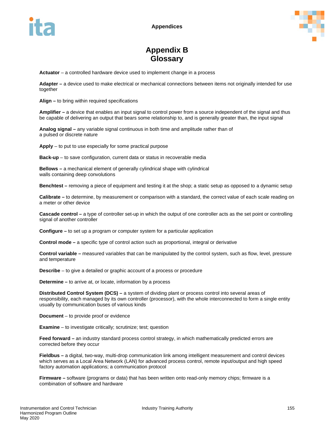

# **Appendix B Glossary**

**Actuator** – a controlled hardware device used to implement change in a process

**Adapter –** a device used to make electrical or mechanical connections between items not originally intended for use together

**Align –** to bring within required specifications

**Amplifier –** a device that enables an input signal to control power from a source independent of the signal and thus be capable of delivering an output that bears some relationship to, and is generally greater than, the input signal

**Analog signal –** any variable signal continuous in both time and amplitude rather than of a pulsed or discrete nature

**Apply** – to put to use especially for some practical purpose

**Back-up** – to save configuration, current data or status in recoverable media

**Bellows –** a mechanical element of generally cylindrical shape with cylindrical walls containing deep convolutions

**Benchtest –** removing a piece of equipment and testing it at the shop; a static setup as opposed to a dynamic setup

**Calibrate –** to determine, by measurement or comparison with a standard, the correct value of each scale reading on a meter or other device

**Cascade control –** a type of controller set-up in which the output of one controller acts as the set point or controlling signal of another controller

**Configure –** to set up a program or computer system for a particular application

**Control mode –** a specific type of control action such as proportional, integral or derivative

**Control variable –** measured variables that can be manipulated by the control system, such as flow, level, pressure and temperature

**Describe** – to give a detailed or graphic account of a process or procedure

**Determine –** to arrive at, or locate, information by a process

**Distributed Control System (DCS) –** a system of dividing plant or process control into several areas of responsibility, each managed by its own controller (processor), with the whole interconnected to form a single entity usually by communication buses of various kinds

**Document** – to provide proof or evidence

**Examine** – to investigate critically; scrutinize; test; question

**Feed forward –** an industry standard process control strategy, in which mathematically predicted errors are corrected before they occur

**Fieldbus –** a digital, two-way, multi-drop communication link among intelligent measurement and control devices which serves as a Local Area Network (LAN) for advanced process control, remote input/output and high speed factory automation applications; a communication protocol

**Firmware –** software (programs or data) that has been written onto read-only memory chips; firmware is a combination of software and hardware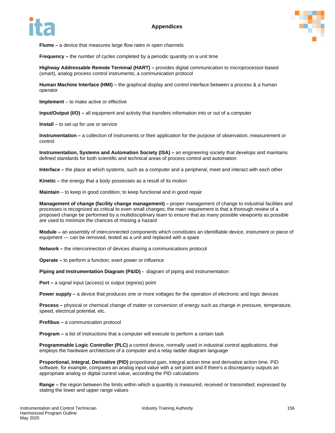



**Flume –** a device that measures large flow rates in open channels

**Frequency** – the number of cycles completed by a periodic quantity on a unit time

**Highway Addressable Remote Terminal (HART) –** provides digital communication to microprocessor-based (smart), analog process control instruments; a communication protocol

**Human Machine Interface (HMI) –** the graphical display and control interface between a process & a human operator

**Implement** – to make active or effective

**Input/Output (I/O) –** all equipment and activity that transfers information into or out of a computer

**Install** – to set up for use or service

**Instrumentation –** a collection of instruments or their application for the purpose of observation, measurement or control

**Instrumentation, Systems and Automation Society (ISA) –** an engineering society that develops and maintains defined standards for both scientific and technical areas of process control and automation

**Interface –** the place at which systems, such as a computer and a peripheral, meet and interact with each other

**Kinetic –** the energy that a body possesses as a result of its motion

**Maintain** – to keep in good condition; to keep functional and in good repair

**Management of change (facility change management) –** proper management of change to industrial facilities and processes is recognized as critical to even small changes; the main requirement is that a thorough review of a proposed change be performed by a multidisciplinary team to ensure that as many possible viewpoints as possible are used to minimize the chances of missing a hazard

**Module –** an assembly of interconnected components which constitutes an identifiable device, instrument or piece of equipment — can be removed, tested as a unit and replaced with a spare

**Network –** the interconnection of devices sharing a communications protocol

**Operate –** to perform a function; exert power or influence

**Piping and Instrumentation Diagram (P&ID) -** diagram of piping and instrumentation

**Port –** a signal input (access) or output (egress) point

**Power supply –** a device that produces one or more voltages for the operation of electronic and logic devices

**Process –** physical or chemical change of matter or conversion of energy such as change in pressure, temperature, speed, electrical potential, etc.

**Profibus –** a communication protocol

**Program –** a list of instructions that a computer will execute to perform a certain task

**Programmable Logic Controller (PLC)** a control device, normally used in industrial control applications, that employs the hardware architecture of a computer and a relay ladder diagram language

**Proportional, Integral, Derivative (PID)** proportional gain, integral action time and derivative action time. PID software, for example, compares an analog input value with a set point and if there's a discrepancy outputs an appropriate analog or digital control value, according the PID calculations

**Range –** the region between the limits within which a quantity is measured, received or transmitted; expressed by stating the lower and upper range values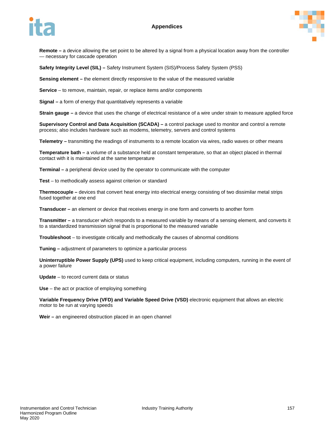### **Appendices**





**Remote –** a device allowing the set point to be altered by a signal from a physical location away from the controller — necessary for cascade operation

**Safety Integrity Level (SIL) –** Safety Instrument System (SIS)/Process Safety System (PSS)

**Sensing element –** the element directly responsive to the value of the measured variable

**Service** – to remove, maintain, repair, or replace items and/or components

**Signal –** a form of energy that quantitatively represents a variable

**Strain gauge –** a device that uses the change of electrical resistance of a wire under strain to measure applied force

**Supervisory Control and Data Acquisition (SCADA) –** a control package used to monitor and control a remote process; also includes hardware such as modems, telemetry, servers and control systems

**Telemetry –** transmitting the readings of instruments to a remote location via wires, radio waves or other means

**Temperature bath –** a volume of a substance held at constant temperature, so that an object placed in thermal contact with it is maintained at the same temperature

**Terminal –** a peripheral device used by the operator to communicate with the computer

**Test** – to methodically assess against criterion or standard

**Thermocouple –** devices that convert heat energy into electrical energy consisting of two dissimilar metal strips fused together at one end

**Transducer –** an element or device that receives energy in one form and converts to another form

**Transmitter –** a transducer which responds to a measured variable by means of a sensing element, and converts it to a standardized transmission signal that is proportional to the measured variable

**Troubleshoot** – to investigate critically and methodically the causes of abnormal conditions

**Tuning –** adjustment of parameters to optimize a particular process

**Uninterruptible Power Supply (UPS)** used to keep critical equipment, including computers, running in the event of a power failure

**Update** – to record current data or status

**Use** – the act or practice of employing something

**Variable Frequency Drive (VFD) and Variable Speed Drive (VSD)** electronic equipment that allows an electric motor to be run at varying speeds

**Weir –** an engineered obstruction placed in an open channel